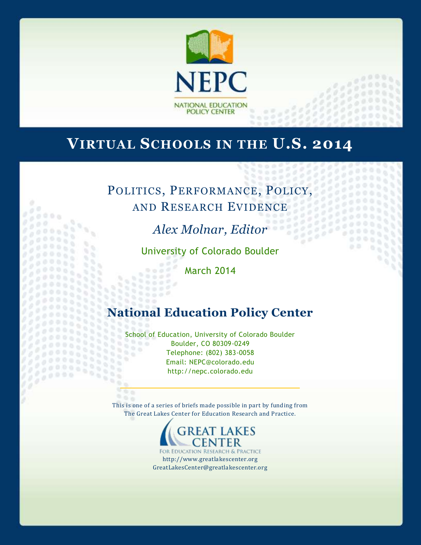

# **VIRTUAL SCHOOLS IN THE U.S. 2014**

# POLITICS, PERFORMANCE, POLICY, AND RESEARCH EVIDENCE

g o

 $\frac{1}{2}$ 

 $\frac{1}{2}$  $1.10000$ 

*Alex Molnar, Editor*

st.

 $\alpha$ 

50

University of Colorado Boulder

March 2014

Gе  $0000$ 

# **National Education Policy Center**

School of Education, University of Colorado Boulder  $0.0.0$ Boulder, CO 80309-0249 Telephone: (802) 383-0058 Email: NEPC@colorado.edu http://nepc.colorado.edu

966 This is one of a series of briefs made possible in part by funding from The Great Lakes Center for Education Research and Practice.



FOR RESEARCH & PRACTICE http://www.greatlakescenter.org GreatLakesCenter@greatlakescenter.org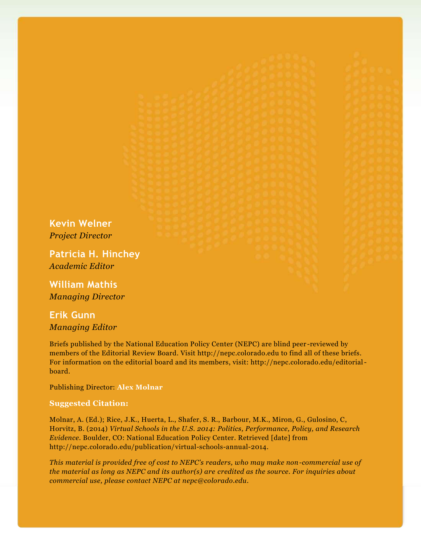**Kevin Welner** *Project Director*

**Patricia H. Hinchey** *Academic Editor*

**William Mathis** *Managing Director*

# **Erik Gunn** *Managing Editor*

Briefs published by the National Education Policy Center (NEPC) are blind peer -reviewed by members of the Editorial Review Board. Visit http://nepc.colorado.edu to find all of these briefs. For information on the editorial board and its members, visit: http://nepc.colorado.edu/editorialboard.

Publishing Director: **Alex Molnar**

#### **Suggested Citation:**

Molnar, A. (Ed.); Rice, J.K., Huerta, L., Shafer, S. R., Barbour, M.K., Miron, G., Gulosino, C, Horvitz, B. (2014) *Virtual Schools in the U.S. 2014: Politics, Performance, Policy, and Research Evidence.* Boulder, CO: National Education Policy Center. Retrieved [date] from http://nepc.colorado.edu/publication/virtual-schools-annual-2014.

*This material is provided free of cost to NEPC's readers, who may make non-commercial use of the material as long as NEPC and its author(s) are credited as the source. For inquiries about commercial use, please contact NEPC at nepc@colorado.edu.*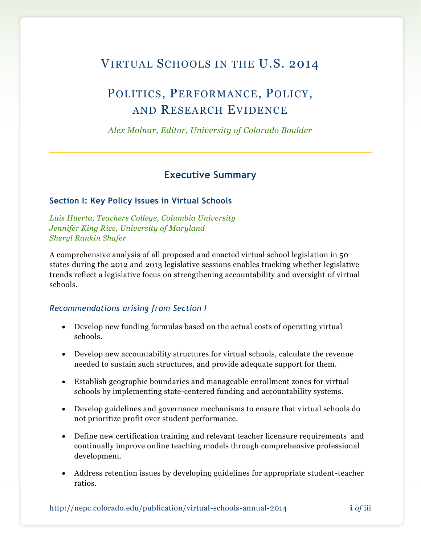# VIRTUAL SCHOOLS IN THE U.S. 2014

# POLITICS, PERFORMANCE, POLICY, AND RESEARCH EVIDENCE

*Alex Molnar, Editor, University of Colorado Boulder*

# **Executive Summary**

### **Section I: Key Policy Issues in Virtual Schools**

*Luis Huerta, Teachers College, Columbia University Jennifer King Rice, University of Maryland Sheryl Rankin Shafer* 

A comprehensive analysis of all proposed and enacted virtual school legislation in 50 states during the 2012 and 2013 legislative sessions enables tracking whether legislative trends reflect a legislative focus on strengthening accountability and oversight of virtual schools.

### *Recommendations arising from Section I*

- Develop new funding formulas based on the actual costs of operating virtual schools.
- Develop new accountability structures for virtual schools, calculate the revenue needed to sustain such structures, and provide adequate support for them.
- Establish geographic boundaries and manageable enrollment zones for virtual schools by implementing state-centered funding and accountability systems.
- Develop guidelines and governance mechanisms to ensure that virtual schools do not prioritize profit over student performance.
- Define new certification training and relevant teacher licensure requirements and continually improve online teaching models through comprehensive professional development.
- Address retention issues by developing guidelines for appropriate student-teacher ratios.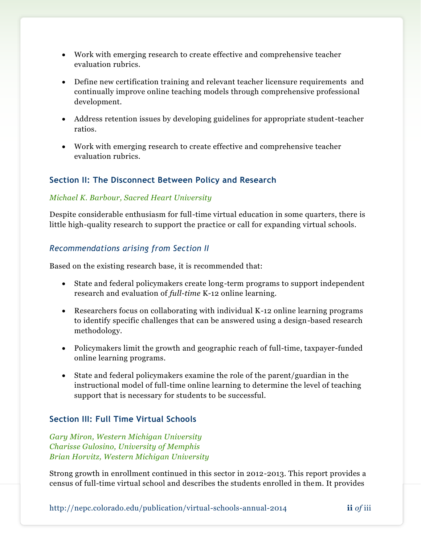- Work with emerging research to create effective and comprehensive teacher evaluation rubrics.
- Define new certification training and relevant teacher licensure requirements and continually improve online teaching models through comprehensive professional development.
- Address retention issues by developing guidelines for appropriate student-teacher ratios.
- Work with emerging research to create effective and comprehensive teacher evaluation rubrics.

### **Section II: The Disconnect Between Policy and Research**

### *Michael K. Barbour, Sacred Heart University*

Despite considerable enthusiasm for full-time virtual education in some quarters, there is little high-quality research to support the practice or call for expanding virtual schools.

### *Recommendations arising from Section II*

Based on the existing research base, it is recommended that:

- State and federal policymakers create long-term programs to support independent research and evaluation of *full-time* K-12 online learning.
- Researchers focus on collaborating with individual K-12 online learning programs to identify specific challenges that can be answered using a design-based research methodology.
- Policymakers limit the growth and geographic reach of full-time, taxpayer-funded online learning programs.
- State and federal policymakers examine the role of the parent/guardian in the instructional model of full-time online learning to determine the level of teaching support that is necessary for students to be successful.

### **Section III: Full Time Virtual Schools**

*Gary Miron, Western Michigan University Charisse Gulosino, University of Memphis Brian Horvitz, Western Michigan University*

Strong growth in enrollment continued in this sector in 2012-2013. This report provides a census of full-time virtual school and describes the students enrolled in them. It provides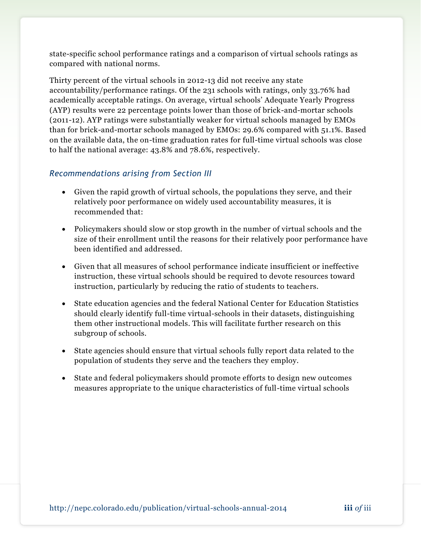state-specific school performance ratings and a comparison of virtual schools ratings as compared with national norms.

Thirty percent of the virtual schools in 2012-13 did not receive any state accountability/performance ratings. Of the 231 schools with ratings, only 33.76% had academically acceptable ratings. On average, virtual schools' Adequate Yearly Progress (AYP) results were 22 percentage points lower than those of brick-and-mortar schools (2011-12). AYP ratings were substantially weaker for virtual schools managed by EMOs than for brick-and-mortar schools managed by EMOs: 29.6% compared with 51.1%. Based on the available data, the on-time graduation rates for full-time virtual schools was close to half the national average: 43.8% and 78.6%, respectively.

### *Recommendations arising from Section III*

- Given the rapid growth of virtual schools, the populations they serve, and their relatively poor performance on widely used accountability measures, it is recommended that:
- Policymakers should slow or stop growth in the number of virtual schools and the size of their enrollment until the reasons for their relatively poor performance have been identified and addressed.
- Given that all measures of school performance indicate insufficient or ineffective instruction, these virtual schools should be required to devote resources toward instruction, particularly by reducing the ratio of students to teachers.
- State education agencies and the federal National Center for Education Statistics should clearly identify full-time virtual-schools in their datasets, distinguishing them other instructional models. This will facilitate further research on this subgroup of schools.
- State agencies should ensure that virtual schools fully report data related to the population of students they serve and the teachers they employ.
- State and federal policymakers should promote efforts to design new outcomes measures appropriate to the unique characteristics of full-time virtual schools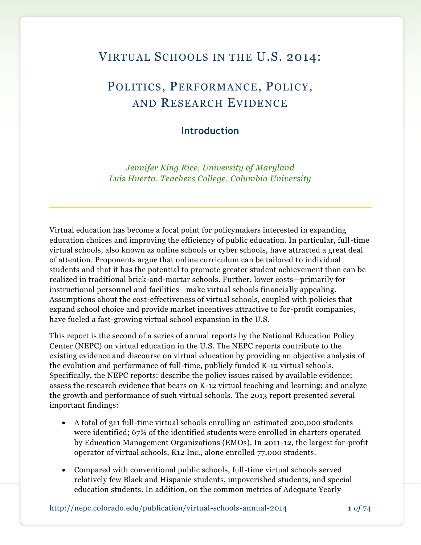# VIRTUAL SCHOOLS IN THE U.S. 2014:

# POLITICS, PERFORMANCE, POLICY, AND RESEARCH EVIDENCE

## **Introduction**

*Jennifer King Rice, University of Maryland Luis Huerta, Teachers College, Columbia University*

Virtual education has become a focal point for policymakers interested in expanding education choices and improving the efficiency of public education. In particular, full-time virtual schools, also known as online schools or cyber schools, have attracted a great deal of attention. Proponents argue that online curriculum can be tailored to individual students and that it has the potential to promote greater student achievement than can be realized in traditional brick-and-mortar schools. Further, lower costs—primarily for instructional personnel and facilities—make virtual schools financially appealing. Assumptions about the cost-effectiveness of virtual schools, coupled with policies that expand school choice and provide market incentives attractive to for-profit companies, have fueled a fast-growing virtual school expansion in the U.S.

This report is the second of a series of annual reports by the National Education Policy Center (NEPC) on virtual education in the U.S. The NEPC reports contribute to the existing evidence and discourse on virtual education by providing an objective analysis of the evolution and performance of full-time, publicly funded K-12 virtual schools. Specifically, the NEPC reports: describe the policy issues raised by available evidence; assess the research evidence that bears on K-12 virtual teaching and learning; and analyze the growth and performance of such virtual schools. The 2013 report presented several important findings:

- A total of 311 full-time virtual schools enrolling an estimated 200,000 students were identified; 67% of the identified students were enrolled in charters operated by Education Management Organizations (EMOs). In 2011-12, the largest for-profit operator of virtual schools, K12 Inc., alone enrolled 77,000 students.
- Compared with conventional public schools, full-time virtual schools served relatively few Black and Hispanic students, impoverished students, and special education students. In addition, on the common metrics of Adequate Yearly

http://nepc.colorado.edu/publication/virtual-schools-annual-2014 **1** *of* 74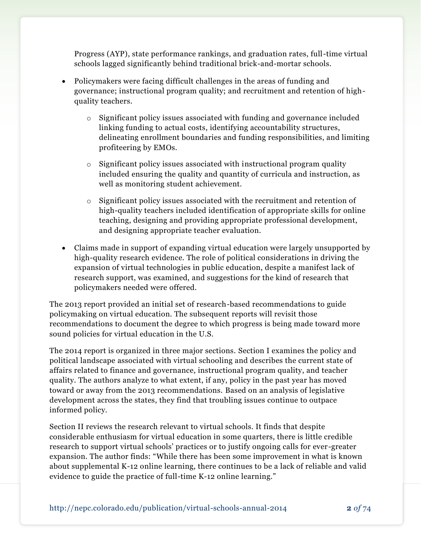Progress (AYP), state performance rankings, and graduation rates, full-time virtual schools lagged significantly behind traditional brick-and-mortar schools.

- Policymakers were facing difficult challenges in the areas of funding and governance; instructional program quality; and recruitment and retention of highquality teachers.
	- o Significant policy issues associated with funding and governance included linking funding to actual costs, identifying accountability structures, delineating enrollment boundaries and funding responsibilities, and limiting profiteering by EMOs.
	- $\circ$  Significant policy issues associated with instructional program quality included ensuring the quality and quantity of curricula and instruction, as well as monitoring student achievement.
	- o Significant policy issues associated with the recruitment and retention of high-quality teachers included identification of appropriate skills for online teaching, designing and providing appropriate professional development, and designing appropriate teacher evaluation.
- Claims made in support of expanding virtual education were largely unsupported by high-quality research evidence. The role of political considerations in driving the expansion of virtual technologies in public education, despite a manifest lack of research support, was examined, and suggestions for the kind of research that policymakers needed were offered.

The 2013 report provided an initial set of research-based recommendations to guide policymaking on virtual education. The subsequent reports will revisit those recommendations to document the degree to which progress is being made toward more sound policies for virtual education in the U.S.

The 2014 report is organized in three major sections. Section I examines the policy and political landscape associated with virtual schooling and describes the current state of affairs related to finance and governance, instructional program quality, and teacher quality. The authors analyze to what extent, if any, policy in the past year has moved toward or away from the 2013 recommendations. Based on an analysis of legislative development across the states, they find that troubling issues continue to outpace informed policy.

Section II reviews the research relevant to virtual schools. It finds that despite considerable enthusiasm for virtual education in some quarters, there is little credible research to support virtual schools' practices or to justify ongoing calls for ever-greater expansion. The author finds: "While there has been some improvement in what is known about supplemental K-12 online learning, there continues to be a lack of reliable and valid evidence to guide the practice of full-time K-12 online learning."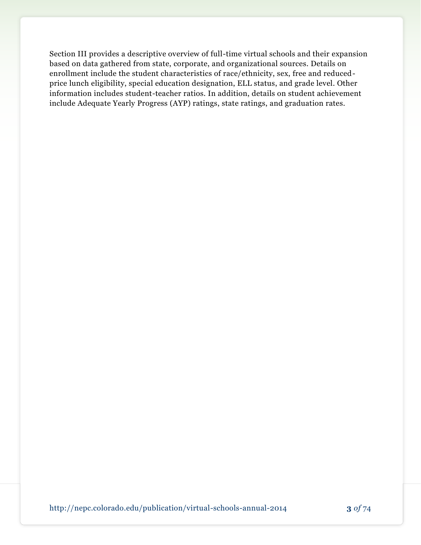Section III provides a descriptive overview of full-time virtual schools and their expansion based on data gathered from state, corporate, and organizational sources. Details on enrollment include the student characteristics of race/ethnicity, sex, free and reducedprice lunch eligibility, special education designation, ELL status, and grade level. Other information includes student-teacher ratios. In addition, details on student achievement include Adequate Yearly Progress (AYP) ratings, state ratings, and graduation rates.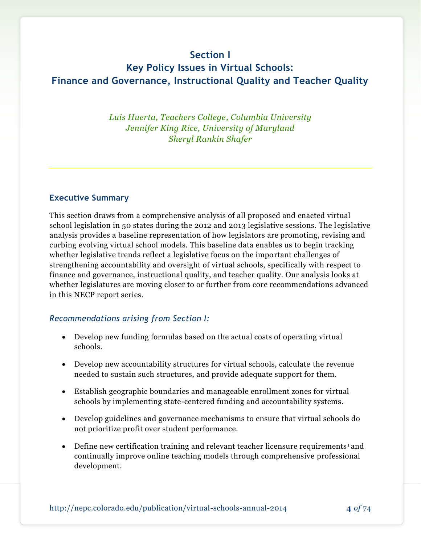# **Section I**

# **Key Policy Issues in Virtual Schools: Finance and Governance, Instructional Quality and Teacher Quality**

*Luis Huerta, Teachers College, Columbia University Jennifer King Rice, University of Maryland Sheryl Rankin Shafer* 

### **Executive Summary**

This section draws from a comprehensive analysis of all proposed and enacted virtual school legislation in 50 states during the 2012 and 2013 legislative sessions. The legislative analysis provides a baseline representation of how legislators are promoting, revising and curbing evolving virtual school models. This baseline data enables us to begin tracking whether legislative trends reflect a legislative focus on the important challenges of strengthening accountability and oversight of virtual schools, specifically with respect to finance and governance, instructional quality, and teacher quality. Our analysis looks at whether legislatures are moving closer to or further from core recommendations advanced in this NECP report series.

### *Recommendations arising from Section I:*

- Develop new funding formulas based on the actual costs of operating virtual schools.
- Develop new accountability structures for virtual schools, calculate the revenue needed to sustain such structures, and provide adequate support for them.
- Establish geographic boundaries and manageable enrollment zones for virtual schools by implementing state-centered funding and accountability systems.
- Develop guidelines and governance mechanisms to ensure that virtual schools do not prioritize profit over student performance.
- $\bullet$  Define new certification training and relevant teacher licensure requirements<sup>1</sup> and continually improve online teaching models through comprehensive professional development.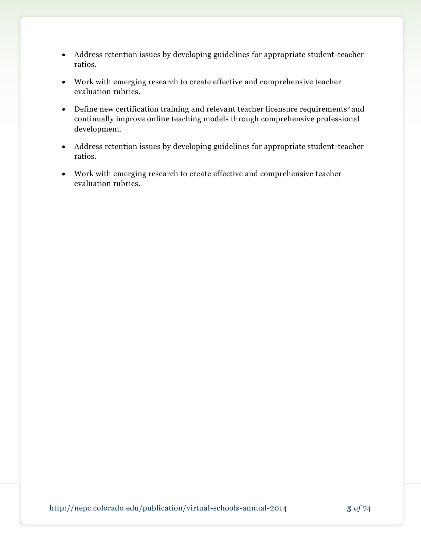- Address retention issues by developing guidelines for appropriate student-teacher ratios.
- Work with emerging research to create effective and comprehensive teacher evaluation rubrics.
- Define new certification training and relevant teacher licensure requirements<sup>2</sup> and continually improve online teaching models through comprehensive professional development.
- Address retention issues by developing guidelines for appropriate student-teacher ratios.
- Work with emerging research to create effective and comprehensive teacher evaluation rubrics.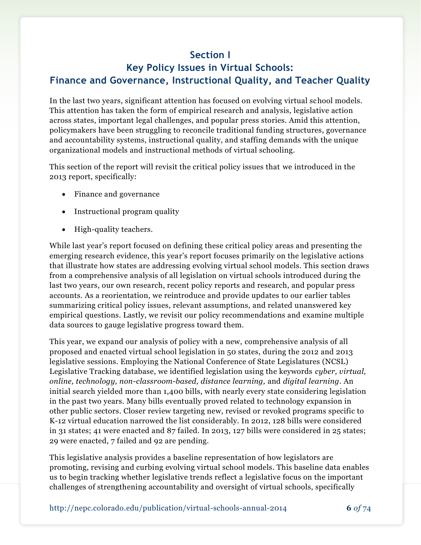# **Section I**

# **Key Policy Issues in Virtual Schools: Finance and Governance, Instructional Quality, and Teacher Quality**

In the last two years, significant attention has focused on evolving virtual school models. This attention has taken the form of empirical research and analysis, legislative action across states, important legal challenges, and popular press stories. Amid this attention, policymakers have been struggling to reconcile traditional funding structures, governance and accountability systems, instructional quality, and staffing demands with the unique organizational models and instructional methods of virtual schooling.

This section of the report will revisit the critical policy issues that we introduced in the 2013 report, specifically:

- Finance and governance
- Instructional program quality
- High-quality teachers.

While last year's report focused on defining these critical policy areas and presenting the emerging research evidence, this year's report focuses primarily on the legislative actions that illustrate how states are addressing evolving virtual school models. This section draws from a comprehensive analysis of all legislation on virtual schools introduced during the last two years, our own research, recent policy reports and research, and popular press accounts. As a reorientation, we reintroduce and provide updates to our earlier tables summarizing critical policy issues, relevant assumptions, and related unanswered key empirical questions. Lastly, we revisit our policy recommendations and examine multiple data sources to gauge legislative progress toward them.

This year, we expand our analysis of policy with a new, comprehensive analysis of all proposed and enacted virtual school legislation in 50 states, during the 2012 and 2013 legislative sessions. Employing the National Conference of State Legislatures (NCSL) Legislative Tracking database, we identified legislation using the keywords *cyber, virtual, online, technology, non-classroom-based, distance learning,* and *digital learning*. An initial search yielded more than 1,400 bills, with nearly every state considering legislation in the past two years. Many bills eventually proved related to technology expansion in other public sectors. Closer review targeting new, revised or revoked programs specific to K-12 virtual education narrowed the list considerably. In 2012, 128 bills were considered in 31 states; 41 were enacted and 87 failed. In 2013, 127 bills were considered in 25 states; 29 were enacted, 7 failed and 92 are pending.

This legislative analysis provides a baseline representation of how legislators are promoting, revising and curbing evolving virtual school models. This baseline data enables us to begin tracking whether legislative trends reflect a legislative focus on the important challenges of strengthening accountability and oversight of virtual schools, specifically

http://nepc.colorado.edu/publication/virtual-schools-annual-2014 **6** *of* 74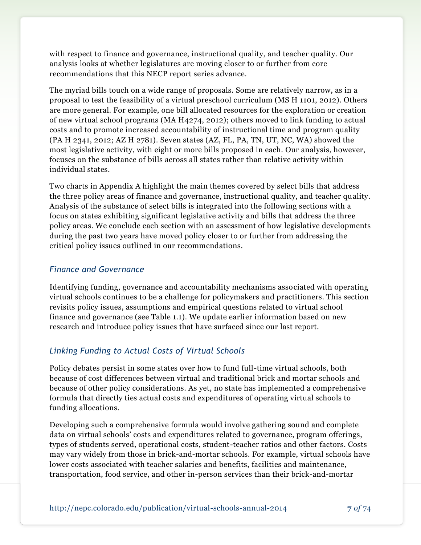with respect to finance and governance, instructional quality, and teacher quality. Our analysis looks at whether legislatures are moving closer to or further from core recommendations that this NECP report series advance.

The myriad bills touch on a wide range of proposals. Some are relatively narrow, as in a proposal to test the feasibility of a virtual preschool curriculum (MS H 1101, 2012). Others are more general. For example, one bill allocated resources for the exploration or creation of new virtual school programs (MA H4274, 2012); others moved to link funding to actual costs and to promote increased accountability of instructional time and program quality (PA H 2341, 2012; AZ H 2781). Seven states (AZ, FL, PA, TN, UT, NC, WA) showed the most legislative activity, with eight or more bills proposed in each. Our analysis, however, focuses on the substance of bills across all states rather than relative activity within individual states.

Two charts in Appendix A highlight the main themes covered by select bills that address the three policy areas of finance and governance, instructional quality, and teacher quality. Analysis of the substance of select bills is integrated into the following sections with a focus on states exhibiting significant legislative activity and bills that address the three policy areas. We conclude each section with an assessment of how legislative developments during the past two years have moved policy closer to or further from addressing the critical policy issues outlined in our recommendations.

### *Finance and Governance*

Identifying funding, governance and accountability mechanisms associated with operating virtual schools continues to be a challenge for policymakers and practitioners. This section revisits policy issues, assumptions and empirical questions related to virtual school finance and governance (see Table 1.1). We update earlier information based on new research and introduce policy issues that have surfaced since our last report.

## *Linking Funding to Actual Costs of Virtual Schools*

Policy debates persist in some states over how to fund full-time virtual schools, both because of cost differences between virtual and traditional brick and mortar schools and because of other policy considerations. As yet, no state has implemented a comprehensive formula that directly ties actual costs and expenditures of operating virtual schools to funding allocations.

Developing such a comprehensive formula would involve gathering sound and complete data on virtual schools' costs and expenditures related to governance, program offerings, types of students served, operational costs, student-teacher ratios and other factors. Costs may vary widely from those in brick-and-mortar schools. For example, virtual schools have lower costs associated with teacher salaries and benefits, facilities and maintenance, transportation, food service, and other in-person services than their brick-and-mortar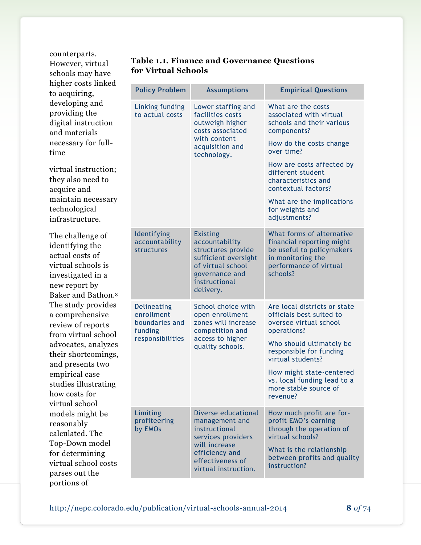counterparts. However, virtual schools may have higher costs linked to acquiring, developing and providing the digital instruction and materials necessary for fulltime

virtual instruction; they also need to acquire and maintain necessary technological infrastructure.

The challenge of identifying the actual costs of virtual schools is investigated in a new report by Baker and Bathon.<sup>3</sup> The study provides a comprehensive review of reports from virtual school advocates, analyzes their shortcomings, and presents two empirical case studies illustrating how costs for virtual school models might be reasonably calculated. The Top-Down model for determining virtual school costs parses out the portions of

### **Table 1.1. Finance and Governance Questions for Virtual Schools**

| <b>Policy Problem</b>                                                      | <b>Assumptions</b>                                                                                                                                          | <b>Empirical Questions</b>                                                                                                                                                                                                                                                                         |
|----------------------------------------------------------------------------|-------------------------------------------------------------------------------------------------------------------------------------------------------------|----------------------------------------------------------------------------------------------------------------------------------------------------------------------------------------------------------------------------------------------------------------------------------------------------|
| Linking funding<br>to actual costs                                         | Lower staffing and<br>facilities costs<br>outweigh higher<br>costs associated<br>with content<br>acquisition and<br>technology.                             | What are the costs<br>associated with virtual<br>schools and their various<br>components?<br>How do the costs change<br>over time?<br>How are costs affected by<br>different student<br>characteristics and<br>contextual factors?<br>What are the implications<br>for weights and<br>adjustments? |
| Identifying<br>accountability<br>structures                                | <b>Existing</b><br>accountability<br>structures provide<br>sufficient oversight<br>of virtual school<br>governance and<br>instructional<br>delivery.        | What forms of alternative<br>financial reporting might<br>be useful to policymakers<br>in monitoring the<br>performance of virtual<br>schools?                                                                                                                                                     |
| Delineating<br>enrollment<br>boundaries and<br>funding<br>responsibilities | School choice with<br>open enrollment<br>zones will increase<br>competition and<br>access to higher<br>quality schools.                                     | Are local districts or state<br>officials best suited to<br>oversee virtual school<br>operations?<br>Who should ultimately be<br>responsible for funding<br>virtual students?<br>How might state-centered<br>vs. local funding lead to a<br>more stable source of<br>revenue?                      |
| Limiting<br>profiteering<br>by EMOs                                        | Diverse educational<br>management and<br>instructional<br>services providers<br>will increase<br>efficiency and<br>effectiveness of<br>virtual instruction. | How much profit are for-<br>profit EMO's earning<br>through the operation of<br>virtual schools?<br>What is the relationship<br>between profits and quality<br>instruction?                                                                                                                        |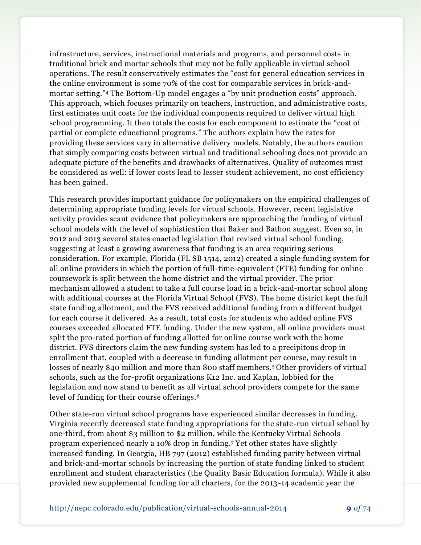infrastructure, services, instructional materials and programs, and personnel costs in traditional brick and mortar schools that may not be fully applicable in virtual school operations. The result conservatively estimates the "cost for general education services in the online environment is some 70% of the cost for comparable services in brick-andmortar setting."<sup>4</sup> The Bottom-Up model engages a "by unit production costs" approach. This approach, which focuses primarily on teachers, instruction, and administrative costs, first estimates unit costs for the individual components required to deliver virtual high school programming. It then totals the costs for each component to estimate the "cost of partial or complete educational programs." The authors explain how the rates for providing these services vary in alternative delivery models. Notably, the authors caution that simply comparing costs between virtual and traditional schooling does not provide an adequate picture of the benefits and drawbacks of alternatives. Quality of outcomes must be considered as well: if lower costs lead to lesser student achievement, no cost efficiency has been gained.

This research provides important guidance for policymakers on the empirical challenges of determining appropriate funding levels for virtual schools. However, recent legislative activity provides scant evidence that policymakers are approaching the funding of virtual school models with the level of sophistication that Baker and Bathon suggest. Even so, in 2012 and 2013 several states enacted legislation that revised virtual school funding, suggesting at least a growing awareness that funding is an area requiring serious consideration. For example, Florida (FL SB 1514, 2012) created a single funding system for all online providers in which the portion of full-time-equivalent (FTE) funding for online coursework is split between the home district and the virtual provider. The prior mechanism allowed a student to take a full course load in a brick-and-mortar school along with additional courses at the Florida Virtual School (FVS). The home district kept the full state funding allotment, and the FVS received additional funding from a different budget for each course it delivered. As a result, total costs for students who added online FVS courses exceeded allocated FTE funding. Under the new system, all online providers must split the pro-rated portion of funding allotted for online course work with the home district. FVS directors claim the new funding system has led to a precipitous drop in enrollment that, coupled with a decrease in funding allotment per course, may result in losses of nearly \$40 million and more than 800 staff members. <sup>5</sup> Other providers of virtual schools, such as the for-profit organizations K12 Inc. and Kaplan, lobbied for the legislation and now stand to benefit as all virtual school providers compete for the same level of funding for their course offerings.<sup>6</sup>

Other state-run virtual school programs have experienced similar decreases in funding. Virginia recently decreased state funding appropriations for the state-run virtual school by one-third, from about \$3 million to \$2 million, while the Kentucky Virtual Schools program experienced nearly a 10% drop in funding.<sup>7</sup> Yet other states have slightly increased funding. In Georgia, HB 797 (2012) established funding parity between virtual and brick-and-mortar schools by increasing the portion of state funding linked to student enrollment and student characteristics (the Quality Basic Education formula). While it also provided new supplemental funding for all charters, for the 2013-14 academic year the

http://nepc.colorado.edu/publication/virtual-schools-annual-2014 **9** *of* 74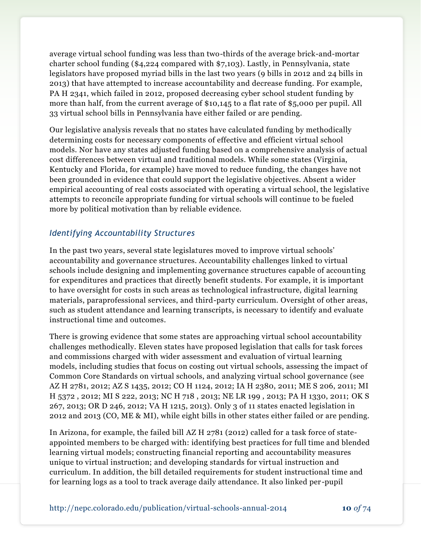average virtual school funding was less than two-thirds of the average brick-and-mortar charter school funding (\$4,224 compared with \$7,103). Lastly, in Pennsylvania, state legislators have proposed myriad bills in the last two years (9 bills in 2012 and 24 bills in 2013) that have attempted to increase accountability and decrease funding. For example, PA H 2341, which failed in 2012, proposed decreasing cyber school student funding by more than half, from the current average of \$10,145 to a flat rate of \$5,000 per pupil. All 33 virtual school bills in Pennsylvania have either failed or are pending.

Our legislative analysis reveals that no states have calculated funding by methodically determining costs for necessary components of effective and efficient virtual school models. Nor have any states adjusted funding based on a comprehensive analysis of actual cost differences between virtual and traditional models. While some states (Virginia, Kentucky and Florida, for example) have moved to reduce funding, the changes have not been grounded in evidence that could support the legislative objectives. Absent a wider empirical accounting of real costs associated with operating a virtual school, the legislative attempts to reconcile appropriate funding for virtual schools will continue to be fueled more by political motivation than by reliable evidence.

## *Identifying Accountability Structures*

In the past two years, several state legislatures moved to improve virtual schools' accountability and governance structures. Accountability challenges linked to virtual schools include designing and implementing governance structures capable of accounting for expenditures and practices that directly benefit students. For example, it is important to have oversight for costs in such areas as technological infrastructure, digital learning materials, paraprofessional services, and third-party curriculum. Oversight of other areas, such as student attendance and learning transcripts, is necessary to identify and evaluate instructional time and outcomes.

There is growing evidence that some states are approaching virtual school accountability challenges methodically. Eleven states have proposed legislation that calls for task forces and commissions charged with wider assessment and evaluation of virtual learning models, including studies that focus on costing out virtual schools, assessing the impact of Common Core Standards on virtual schools, and analyzing virtual school governance (see AZ H 2781, 2012; AZ S 1435, 2012; CO H 1124, 2012; IA H 2380, 2011; ME S 206, 2011; MI H 5372 , 2012; MI S 222, 2013; NC H 718 , 2013; NE LR 199 , 2013; PA H 1330, 2011; OK S 267, 2013; OR D 246, 2012; VA H 1215, 2013). Only 3 of 11 states enacted legislation in 2012 and 2013 (CO, ME & MI), while eight bills in other states either failed or are pending.

In Arizona, for example, the failed bill AZ H 2781 (2012) called for a task force of stateappointed members to be charged with: identifying best practices for full time and blended learning virtual models; constructing financial reporting and accountability measures unique to virtual instruction; and developing standards for virtual instruction and curriculum. In addition, the bill detailed requirements for student instructional time and for learning logs as a tool to track average daily attendance. It also linked per -pupil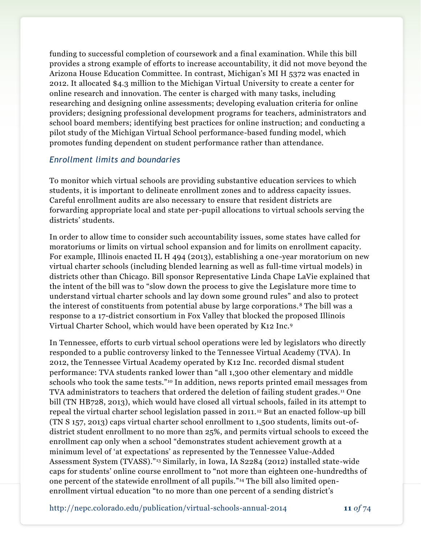funding to successful completion of coursework and a final examination. While this bill provides a strong example of efforts to increase accountability, it did not move beyond the Arizona House Education Committee. In contrast, Michigan's MI H 5372 was enacted in 2012. It allocated \$4.3 million to the Michigan Virtual University to create a center for online research and innovation. The center is charged with many tasks, including researching and designing online assessments; developing evaluation criteria for online providers; designing professional development programs for teachers, administrators and school board members; identifying best practices for online instruction; and conducting a pilot study of the Michigan Virtual School performance-based funding model, which promotes funding dependent on student performance rather than attendance.

### *Enrollment limits and boundaries*

To monitor which virtual schools are providing substantive education services to which students, it is important to delineate enrollment zones and to address capacity issues. Careful enrollment audits are also necessary to ensure that resident districts are forwarding appropriate local and state per-pupil allocations to virtual schools serving the districts' students.

In order to allow time to consider such accountability issues, some states have called for moratoriums or limits on virtual school expansion and for limits on enrollment capacity. For example, Illinois enacted IL H 494 (2013), establishing a one-year moratorium on new virtual charter schools (including blended learning as well as full-time virtual models) in districts other than Chicago. Bill sponsor Representative Linda Chape LaVie explained that the intent of the bill was to "slow down the process to give the Legislature more time to understand virtual charter schools and lay down some ground rules" and also to protect the interest of constituents from potential abuse by large corporations. <sup>8</sup> The bill was a response to a 17-district consortium in Fox Valley that blocked the proposed Illinois Virtual Charter School, which would have been operated by K12 Inc.<sup>9</sup>

In Tennessee, efforts to curb virtual school operations were led by legislators who directly responded to a public controversy linked to the Tennessee Virtual Academy (TVA). In 2012, the Tennessee Virtual Academy operated by K12 Inc. recorded dismal student performance: TVA students ranked lower than "all 1,300 other elementary and middle schools who took the same tests."<sup>10</sup> In addition, news reports printed email messages from TVA administrators to teachers that ordered the deletion of failing student grades.<sup>11</sup> One bill (TN HB728, 2013), which would have closed all virtual schools, failed in its attempt to repeal the virtual charter school legislation passed in 2011. <sup>12</sup> But an enacted follow-up bill (TN S 157, 2013) caps virtual charter school enrollment to 1,500 students, limits out-ofdistrict student enrollment to no more than 25%, and permits virtual schools to exceed the enrollment cap only when a school "demonstrates student achievement growth at a minimum level of 'at expectations' as represented by the Tennessee Value-Added Assessment System (TVASS)."<sup>13</sup> Similarly, in Iowa, IA S2284 (2012) installed state-wide caps for students' online course enrollment to "not more than eighteen one-hundredths of one percent of the statewide enrollment of all pupils."<sup>14</sup> The bill also limited openenrollment virtual education "to no more than one percent of a sending district's

http://nepc.colorado.edu/publication/virtual-schools-annual-2014 **11** *of* 74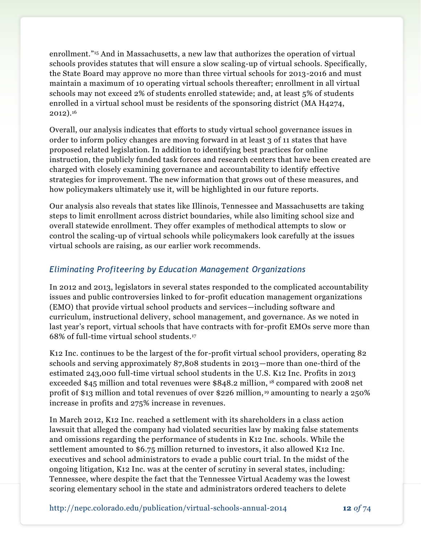enrollment."<sup>15</sup> And in Massachusetts, a new law that authorizes the operation of virtual schools provides statutes that will ensure a slow scaling-up of virtual schools. Specifically, the State Board may approve no more than three virtual schools for 2013-2016 and must maintain a maximum of 10 operating virtual schools thereafter; enrollment in all virtual schools may not exceed 2% of students enrolled statewide; and, at least 5% of students enrolled in a virtual school must be residents of the sponsoring district (MA H4274, 2012).<sup>16</sup>

Overall, our analysis indicates that efforts to study virtual school governance issues in order to inform policy changes are moving forward in at least 3 of 11 states that have proposed related legislation. In addition to identifying best practices for online instruction, the publicly funded task forces and research centers that have been created are charged with closely examining governance and accountability to identify effective strategies for improvement. The new information that grows out of these measures, and how policymakers ultimately use it, will be highlighted in our future reports.

Our analysis also reveals that states like Illinois, Tennessee and Massachusetts are taking steps to limit enrollment across district boundaries, while also limiting school size and overall statewide enrollment. They offer examples of methodical attempts to slow or control the scaling-up of virtual schools while policymakers look carefully at the issues virtual schools are raising, as our earlier work recommends.

# *Eliminating Profiteering by Education Management Organizations*

In 2012 and 2013, legislators in several states responded to the complicated accountability issues and public controversies linked to for-profit education management organizations (EMO) that provide virtual school products and services—including software and curriculum, instructional delivery, school management, and governance. As we noted in last year's report, virtual schools that have contracts with for-profit EMOs serve more than 68% of full-time virtual school students.<sup>17</sup>

K12 Inc. continues to be the largest of the for-profit virtual school providers, operating 82 schools and serving approximately 87,808 students in 2013—more than one-third of the estimated 243,000 full-time virtual school students in the U.S. K12 Inc. Profits in 2013 exceeded \$45 million and total revenues were \$848.2 million, <sup>18</sup> compared with 2008 net profit of \$13 million and total revenues of over \$226 million, <sup>19</sup> amounting to nearly a 250% increase in profits and 275% increase in revenues.

In March 2012, K12 Inc. reached a settlement with its shareholders in a class action lawsuit that alleged the company had violated securities law by making false statements and omissions regarding the performance of students in K12 Inc. schools. While the settlement amounted to \$6.75 million returned to investors, it also allowed K12 Inc. executives and school administrators to evade a public court trial. In the midst of the ongoing litigation, K12 Inc. was at the center of scrutiny in several states, including: Tennessee, where despite the fact that the Tennessee Virtual Academy was the lowest scoring elementary school in the state and administrators ordered teachers to delete

http://nepc.colorado.edu/publication/virtual-schools-annual-2014 **12** *of* 74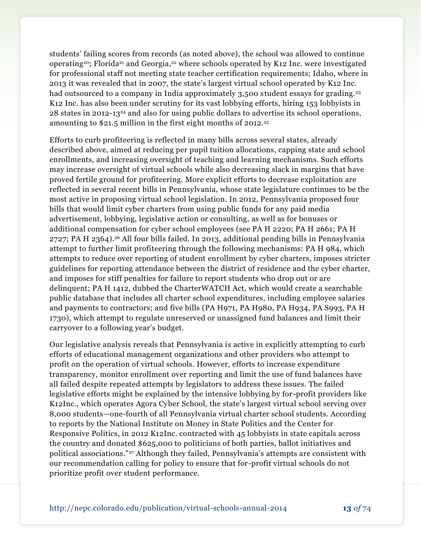students' failing scores from records (as noted above), the school was allowed to continue operating<sup>20</sup>; Florida<sup>21</sup> and Georgia,<sup>22</sup> where schools operated by K12 Inc. were investigated for professional staff not meeting state teacher certification requirements; Idaho, where in 2013 it was revealed that in 2007, the state's largest virtual school operated by K12 Inc. had outsourced to a company in India approximately 3,500 student essays for grading.<sup>23</sup> K12 Inc. has also been under scrutiny for its vast lobbying efforts, hiring 153 lobbyists in 28 states in 2012-13<sup>24</sup> and also for using public dollars to advertise its school operations, amounting to \$21.5 million in the first eight months of 2012.<sup>25</sup>

Efforts to curb profiteering is reflected in many bills across several states, already described above, aimed at reducing per pupil tuition allocations, capping state and school enrollments, and increasing oversight of teaching and learning mechanisms. Such efforts may increase oversight of virtual schools while also decreasing slack in margins that have proved fertile ground for profiteering. More explicit efforts to decrease exploitation are reflected in several recent bills in Pennsylvania, whose state legislature continues to be the most active in proposing virtual school legislation. In 2012, Pennsylvania proposed four bills that would limit cyber charters from using public funds for any paid media advertisement, lobbying, legislative action or consulting, as well as for bonuses or additional compensation for cyber school employees (see PA H 2220; PA H 2661; PA H 2727; PA H 2364).<sup>26</sup> All four bills failed. In 2013, additional pending bills in Pennsylvania attempt to further limit profiteering through the following mechanisms: PA H 984, which attempts to reduce over reporting of student enrollment by cyber charters, imposes stricter guidelines for reporting attendance between the district of residence and the cyber charter, and imposes for stiff penalties for failure to report students who drop out or are delinquent; PA H 1412, dubbed the CharterWATCH Act, which would create a searchable public database that includes all charter school expenditures, including employee salaries and payments to contractors; and five bills (PA H971, PA H980, PA H934, PA S993, PA H 1730), which attempt to regulate unreserved or unassigned fund balances and limit their carryover to a following year's budget.

Our legislative analysis reveals that Pennsylvania is active in explicitly attempting to curb efforts of educational management organizations and other providers who attempt to profit on the operation of virtual schools. However, efforts to increase expenditure transparency, monitor enrollment over reporting and limit the use of fund balances have all failed despite repeated attempts by legislators to address these issues. The failed legislative efforts might be explained by the intensive lobbying by for-profit providers like K12Inc., which operates Agora Cyber School, the state's largest virtual school serving over 8,000 students—one-fourth of all Pennsylvania virtual charter school students. According to reports by the National Institute on Money in State Politics and the Center for Responsive Politics, in 2012 K12Inc. contracted with 45 lobbyists in state capitals across the country and donated \$625,000 to politicians of both parties, ballot initiatives and political associations."<sup>27</sup> Although they failed, Pennsylvania's attempts are consistent with our recommendation calling for policy to ensure that for-profit virtual schools do not prioritize profit over student performance.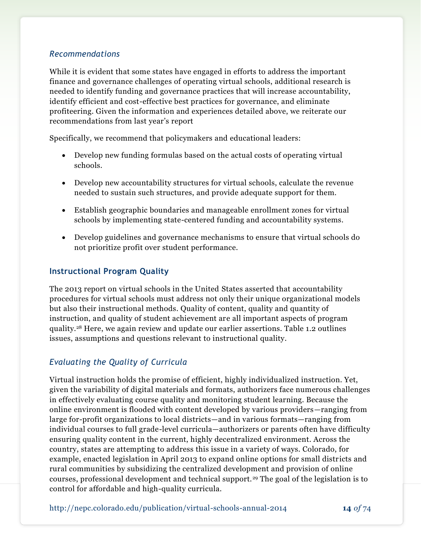### *Recommendations*

While it is evident that some states have engaged in efforts to address the important finance and governance challenges of operating virtual schools, additional research is needed to identify funding and governance practices that will increase accountability, identify efficient and cost-effective best practices for governance, and eliminate profiteering. Given the information and experiences detailed above, we reiterate our recommendations from last year's report

Specifically, we recommend that policymakers and educational leaders:

- Develop new funding formulas based on the actual costs of operating virtual schools.
- Develop new accountability structures for virtual schools, calculate the revenue needed to sustain such structures, and provide adequate support for them.
- Establish geographic boundaries and manageable enrollment zones for virtual schools by implementing state-centered funding and accountability systems.
- Develop guidelines and governance mechanisms to ensure that virtual schools do not prioritize profit over student performance.

### **Instructional Program Quality**

The 2013 report on virtual schools in the United States asserted that accountability procedures for virtual schools must address not only their unique organizational models but also their instructional methods. Quality of content, quality and quantity of instruction, and quality of student achievement are all important aspects of program quality.<sup>28</sup> Here, we again review and update our earlier assertions. Table 1.2 outlines issues, assumptions and questions relevant to instructional quality.

### *Evaluating the Quality of Curricula*

Virtual instruction holds the promise of efficient, highly individualized instruction. Yet, given the variability of digital materials and formats, authorizers face numerous challenges in effectively evaluating course quality and monitoring student learning. Because the online environment is flooded with content developed by various providers—ranging from large for-profit organizations to local districts—and in various formats—ranging from individual courses to full grade-level curricula—authorizers or parents often have difficulty ensuring quality content in the current, highly decentralized environment. Across the country, states are attempting to address this issue in a variety of ways. Colorado, for example, enacted legislation in April 2013 to expand online options for small districts and rural communities by subsidizing the centralized development and provision of online courses, professional development and technical support.<sup>29</sup> The goal of the legislation is to control for affordable and high-quality curricula.

http://nepc.colorado.edu/publication/virtual-schools-annual-2014 **14** *of* 74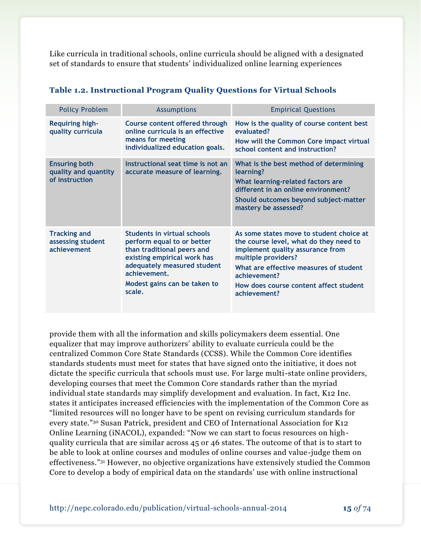Like curricula in traditional schools, online curricula should be aligned with a designated set of standards to ensure that students' individualized online learning experiences

| <b>Policy Problem</b>                                          | <b>Assumptions</b>                                                                                                                                                                                                     | <b>Empirical Questions</b>                                                                                                                                                                                                                                        |
|----------------------------------------------------------------|------------------------------------------------------------------------------------------------------------------------------------------------------------------------------------------------------------------------|-------------------------------------------------------------------------------------------------------------------------------------------------------------------------------------------------------------------------------------------------------------------|
| <b>Requiring high-</b><br>quality curricula                    | Course content offered through<br>online curricula is an effective<br>means for meeting<br>individualized education goals.                                                                                             | How is the quality of course content best<br>evaluated?<br>How will the Common Core impact virtual<br>school content and instruction?                                                                                                                             |
| <b>Ensuring both</b><br>quality and quantity<br>of instruction | Instructional seat time is not an<br>accurate measure of learning.                                                                                                                                                     | What is the best method of determining<br>learning?<br>What learning-related factors are<br>different in an online environment?<br>Should outcomes beyond subject-matter<br>mastery be assessed?                                                                  |
| <b>Tracking and</b><br>assessing student<br>achievement        | <b>Students in virtual schools</b><br>perform equal to or better<br>than traditional peers and<br>existing empirical work has<br>adequately measured student<br>achievement.<br>Modest gains can be taken to<br>scale. | As some states move to student choice at<br>the course level, what do they need to<br>implement quality assurance from<br>multiple providers?<br>What are effective measures of student<br>achievement?<br>How does course content affect student<br>achievement? |

#### **Table 1.2. Instructional Program Quality Questions for Virtual Schools**

provide them with all the information and skills policymakers deem essential. One equalizer that may improve authorizers' ability to evaluate curricula could be the centralized Common Core State Standards (CCSS). While the Common Core identifies standards students must meet for states that have signed onto the initiative, it does not dictate the specific curricula that schools must use. For large multi-state online providers, developing courses that meet the Common Core standards rather than the myriad individual state standards may simplify development and evaluation. In fact, K12 Inc. states it anticipates increased efficiencies with the implementation of the Common Core as "limited resources will no longer have to be spent on revising curriculum standards for every state."<sup>30</sup> Susan Patrick, president and CEO of International Association for K12 Online Learning (iNACOL), expanded: "Now we can start to focus resources on highquality curricula that are similar across 45 or 46 states. The outcome of that is to start to be able to look at online courses and modules of online courses and value-judge them on effectiveness."<sup>31</sup> However, no objective organizations have extensively studied the Common Core to develop a body of empirical data on the standards' use with online instructional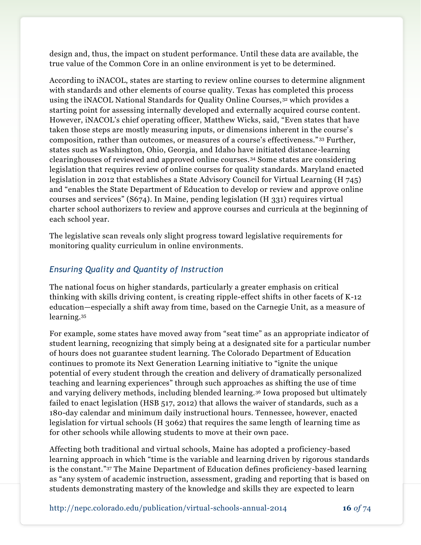design and, thus, the impact on student performance. Until these data are available, the true value of the Common Core in an online environment is yet to be determined.

According to iNACOL, states are starting to review online courses to determine alignment with standards and other elements of course quality. Texas has completed this process using the iNACOL National Standards for Quality Online Courses,<sup>32</sup> which provides a starting point for assessing internally developed and externally acquired course content. However, iNACOL's chief operating officer, Matthew Wicks, said, "Even states that have taken those steps are mostly measuring inputs, or dimensions inherent in the course's composition, rather than outcomes, or measures of a course's effectiveness." <sup>33</sup> Further, states such as Washington, Ohio, Georgia, and Idaho have initiated distance-learning clearinghouses of reviewed and approved online courses.<sup>34</sup> Some states are considering legislation that requires review of online courses for quality standards. Maryland enacted legislation in 2012 that establishes a State Advisory Council for Virtual Learning (H 745) and "enables the State Department of Education to develop or review and approve online courses and services" (S674). In Maine, pending legislation (H 331) requires virtual charter school authorizers to review and approve courses and curricula at the beginning of each school year.

The legislative scan reveals only slight progress toward legislative requirements for monitoring quality curriculum in online environments.

## *Ensuring Quality and Quantity of Instruction*

The national focus on higher standards, particularly a greater emphasis on critical thinking with skills driving content, is creating ripple-effect shifts in other facets of K-12 education—especially a shift away from time, based on the Carnegie Unit, as a measure of learning.<sup>35</sup>

For example, some states have moved away from "seat time" as an appropriate indicator of student learning, recognizing that simply being at a designated site for a particular number of hours does not guarantee student learning. The Colorado Department of Education continues to promote its Next Generation Learning initiative to "ignite the unique potential of every student through the creation and delivery of dramatically personalized teaching and learning experiences" through such approaches as shifting the use of time and varying delivery methods, including blended learning.<sup>36</sup> Iowa proposed but ultimately failed to enact legislation (HSB 517, 2012) that allows the waiver of standards, such as a 180-day calendar and minimum daily instructional hours. Tennessee, however, enacted legislation for virtual schools (H 3062) that requires the same length of learning time as for other schools while allowing students to move at their own pace.

Affecting both traditional and virtual schools, Maine has adopted a proficiency-based learning approach in which "time is the variable and learning driven by rigorous standards is the constant."<sup>37</sup> The Maine Department of Education defines proficiency-based learning as "any system of academic instruction, assessment, grading and reporting that is based on students demonstrating mastery of the knowledge and skills they are expected to learn

http://nepc.colorado.edu/publication/virtual-schools-annual-2014 **16** *of* 74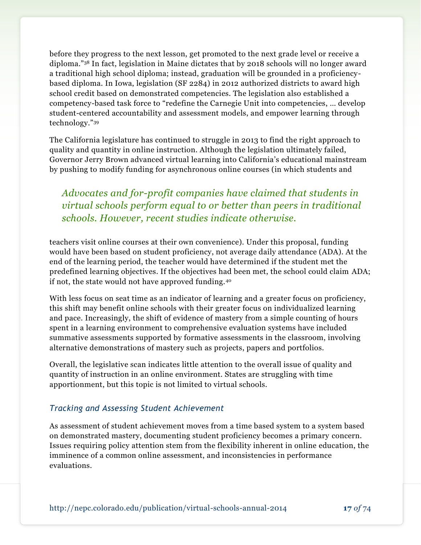before they progress to the next lesson, get promoted to the next grade level or receive a diploma."<sup>38</sup> In fact, legislation in Maine dictates that by 2018 schools will no longer award a traditional high school diploma; instead, graduation will be grounded in a proficiencybased diploma. In Iowa, legislation (SF 2284) in 2012 authorized districts to award high school credit based on demonstrated competencies. The legislation also established a competency-based task force to "redefine the Carnegie Unit into competencies, … develop student-centered accountability and assessment models, and empower learning through technology."<sup>39</sup>

The California legislature has continued to struggle in 2013 to find the right approach to quality and quantity in online instruction. Although the legislation ultimately failed, Governor Jerry Brown advanced virtual learning into California's educational mainstream by pushing to modify funding for asynchronous online courses (in which students and

*Advocates and for-profit companies have claimed that students in virtual schools perform equal to or better than peers in traditional schools. However, recent studies indicate otherwise.*

teachers visit online courses at their own convenience). Under this proposal, funding would have been based on student proficiency, not average daily attendance (ADA). At the end of the learning period, the teacher would have determined if the student met the predefined learning objectives. If the objectives had been met, the school could claim ADA; if not, the state would not have approved funding.<sup>40</sup>

With less focus on seat time as an indicator of learning and a greater focus on proficiency, this shift may benefit online schools with their greater focus on individualized learning and pace. Increasingly, the shift of evidence of mastery from a simple counting of hours spent in a learning environment to comprehensive evaluation systems have included summative assessments supported by formative assessments in the classroom, involving alternative demonstrations of mastery such as projects, papers and portfolios.

Overall, the legislative scan indicates little attention to the overall issue of quality and quantity of instruction in an online environment. States are struggling with time apportionment, but this topic is not limited to virtual schools.

### *Tracking and Assessing Student Achievement*

As assessment of student achievement moves from a time based system to a system based on demonstrated mastery, documenting student proficiency becomes a primary concern. Issues requiring policy attention stem from the flexibility inherent in online education, the imminence of a common online assessment, and inconsistencies in performance evaluations.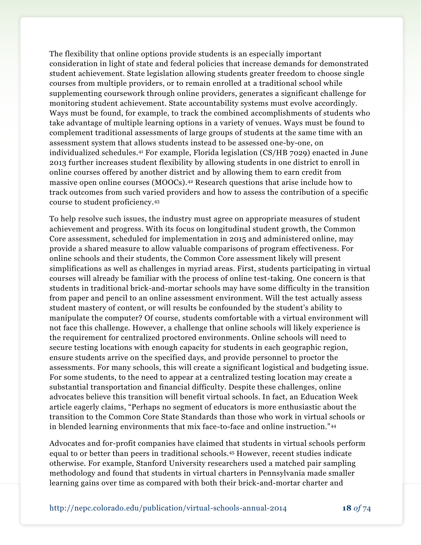The flexibility that online options provide students is an especially important consideration in light of state and federal policies that increase demands for demonstrated student achievement. State legislation allowing students greater freedom to choose single courses from multiple providers, or to remain enrolled at a traditional school while supplementing coursework through online providers, generates a significant challenge for monitoring student achievement. State accountability systems must evolve accordingly. Ways must be found, for example, to track the combined accomplishments of students who take advantage of multiple learning options in a variety of venues. Ways must be found to complement traditional assessments of large groups of students at the same time with an assessment system that allows students instead to be assessed one-by-one, on individualized schedules.<sup>41</sup> For example, Florida legislation (CS/HB 7029) enacted in June 2013 further increases student flexibility by allowing students in one district to enroll in online courses offered by another district and by allowing them to earn credit from massive open online courses (MOOCs).<sup>42</sup> Research questions that arise include how to track outcomes from such varied providers and how to assess the contribution of a specific course to student proficiency.<sup>43</sup>

To help resolve such issues, the industry must agree on appropriate measures of student achievement and progress. With its focus on longitudinal student growth, the Common Core assessment, scheduled for implementation in 2015 and administered online, may provide a shared measure to allow valuable comparisons of program effectiveness. For online schools and their students, the Common Core assessment likely will present simplifications as well as challenges in myriad areas. First, students participating in virtual courses will already be familiar with the process of online test-taking. One concern is that students in traditional brick-and-mortar schools may have some difficulty in the transition from paper and pencil to an online assessment environment. Will the test actually assess student mastery of content, or will results be confounded by the student's ability to manipulate the computer? Of course, students comfortable with a virtual environment will not face this challenge. However, a challenge that online schools will likely experience is the requirement for centralized proctored environments. Online schools will need to secure testing locations with enough capacity for students in each geographic region, ensure students arrive on the specified days, and provide personnel to proctor the assessments. For many schools, this will create a significant logistical and budgeting issue. For some students, to the need to appear at a centralized testing location may create a substantial transportation and financial difficulty. Despite these challenges, online advocates believe this transition will benefit virtual schools. In fact, an Education Week article eagerly claims, "Perhaps no segment of educators is more enthusiastic about the transition to the Common Core State Standards than those who work in virtual schools or in blended learning environments that mix face-to-face and online instruction."<sup>44</sup>

Advocates and for-profit companies have claimed that students in virtual schools perform equal to or better than peers in traditional schools.<sup>45</sup> However, recent studies indicate otherwise. For example, Stanford University researchers used a matched pair sampling methodology and found that students in virtual charters in Pennsylvania made smaller learning gains over time as compared with both their brick-and-mortar charter and

http://nepc.colorado.edu/publication/virtual-schools-annual-2014 **18** *of* 74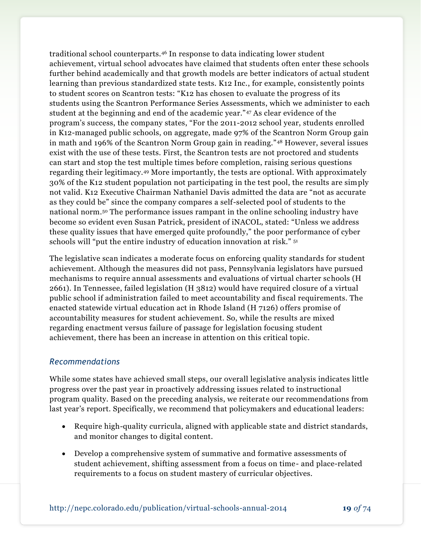traditional school counterparts.<sup>46</sup> In response to data indicating lower student achievement, virtual school advocates have claimed that students often enter these schools further behind academically and that growth models are better indicators of actual student learning than previous standardized state tests. K12 Inc., for example, consistently points to student scores on Scantron tests: "K12 has chosen to evaluate the progress of its students using the Scantron Performance Series Assessments, which we administer to each student at the beginning and end of the academic year."<sup>47</sup> As clear evidence of the program's success, the company states, "For the 2011-2012 school year, students enrolled in K12-managed public schools, on aggregate, made 97% of the Scantron Norm Group gain in math and 196% of the Scantron Norm Group gain in reading."<sup>48</sup> However, several issues exist with the use of these tests. First, the Scantron tests are not proctored and students can start and stop the test multiple times before completion, raising serious questions regarding their legitimacy.<sup>49</sup> More importantly, the tests are optional. With approximately 30% of the K12 student population not participating in the test pool, the results are simply not valid. K12 Executive Chairman Nathaniel Davis admitted the data are "not as accurate as they could be" since the company compares a self-selected pool of students to the national norm.<sup>50</sup> The performance issues rampant in the online schooling industry have become so evident even Susan Patrick, president of iNACOL, stated: "Unless we address these quality issues that have emerged quite profoundly," the poor performance of cyber schools will "put the entire industry of education innovation at risk." <sup>51</sup>

The legislative scan indicates a moderate focus on enforcing quality standards for student achievement. Although the measures did not pass, Pennsylvania legislators have pursued mechanisms to require annual assessments and evaluations of virtual charter schools (H 2661). In Tennessee, failed legislation (H 3812) would have required closure of a virtual public school if administration failed to meet accountability and fiscal requirements. The enacted statewide virtual education act in Rhode Island (H 7126) offers promise of accountability measures for student achievement. So, while the results are mixed regarding enactment versus failure of passage for legislation focusing student achievement, there has been an increase in attention on this critical topic.

### *Recommendations*

While some states have achieved small steps, our overall legislative analysis indicates little progress over the past year in proactively addressing issues related to instructional program quality. Based on the preceding analysis, we reiterate our recommendations from last year's report. Specifically, we recommend that policymakers and educational leaders:

- Require high-quality curricula, aligned with applicable state and district standards, and monitor changes to digital content.
- Develop a comprehensive system of summative and formative assessments of student achievement, shifting assessment from a focus on time- and place-related requirements to a focus on student mastery of curricular objectives.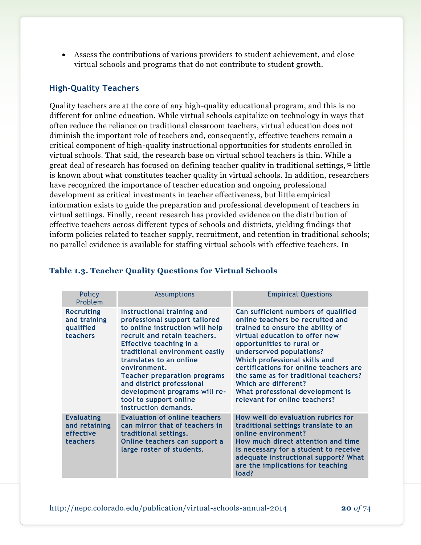Assess the contributions of various providers to student achievement, and close virtual schools and programs that do not contribute to student growth.

### **High-Quality Teachers**

Quality teachers are at the core of any high-quality educational program, and this is no different for online education. While virtual schools capitalize on technology in ways that often reduce the reliance on traditional classroom teachers, virtual education does not diminish the important role of teachers and, consequently, effective teachers remain a critical component of high-quality instructional opportunities for students enrolled in virtual schools. That said, the research base on virtual school teachers is thin. While a great deal of research has focused on defining teacher quality in traditional settings, <sup>52</sup> little is known about what constitutes teacher quality in virtual schools. In addition, researchers have recognized the importance of teacher education and ongoing professional development as critical investments in teacher effectiveness, but little empirical information exists to guide the preparation and professional development of teachers in virtual settings. Finally, recent research has provided evidence on the distribution of effective teachers across different types of schools and districts, yielding findings that inform policies related to teacher supply, recruitment, and retention in traditional schools; no parallel evidence is available for staffing virtual schools with effective teachers. In

| Policy<br>Problem                                           | <b>Assumptions</b>                                                                                                                                                                                                                                                                                                                                                                            | <b>Empirical Questions</b>                                                                                                                                                                                                                                                                                                                                                                                              |
|-------------------------------------------------------------|-----------------------------------------------------------------------------------------------------------------------------------------------------------------------------------------------------------------------------------------------------------------------------------------------------------------------------------------------------------------------------------------------|-------------------------------------------------------------------------------------------------------------------------------------------------------------------------------------------------------------------------------------------------------------------------------------------------------------------------------------------------------------------------------------------------------------------------|
| <b>Recruiting</b><br>and training<br>qualified<br>teachers  | Instructional training and<br>professional support tailored<br>to online instruction will help<br>recruit and retain teachers.<br>Effective teaching in a<br>traditional environment easily<br>translates to an online<br>environment.<br><b>Teacher preparation programs</b><br>and district professional<br>development programs will re-<br>tool to support online<br>instruction demands. | Can sufficient numbers of qualified<br>online teachers be recruited and<br>trained to ensure the ability of<br>virtual education to offer new<br>opportunities to rural or<br>underserved populations?<br>Which professional skills and<br>certifications for online teachers are<br>the same as for traditional teachers?<br>Which are different?<br>What professional development is<br>relevant for online teachers? |
| <b>Evaluating</b><br>and retaining<br>effective<br>teachers | <b>Evaluation of online teachers</b><br>can mirror that of teachers in<br>traditional settings.<br>Online teachers can support a<br>large roster of students.                                                                                                                                                                                                                                 | How well do evaluation rubrics for<br>traditional settings translate to an<br>online environment?<br>How much direct attention and time<br>is necessary for a student to receive<br>adequate instructional support? What<br>are the implications for teaching<br>load?                                                                                                                                                  |

#### **Table 1.3. Teacher Quality Questions for Virtual Schools**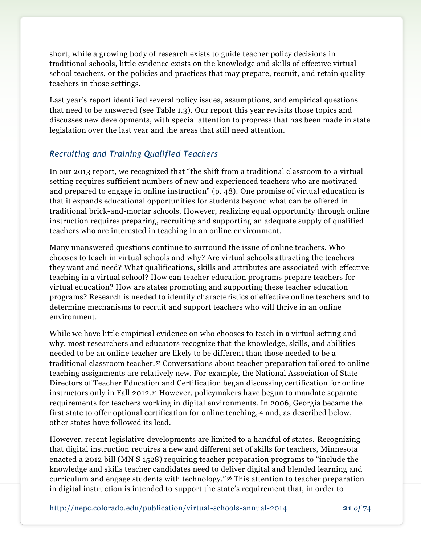short, while a growing body of research exists to guide teacher policy decisions in traditional schools, little evidence exists on the knowledge and skills of effective virtual school teachers, or the policies and practices that may prepare, recruit, and retain quality teachers in those settings.

Last year's report identified several policy issues, assumptions, and empirical questions that need to be answered (see Table 1.3). Our report this year revisits those topics and discusses new developments, with special attention to progress that has been made in state legislation over the last year and the areas that still need attention.

## *Recruiting and Training Qualified Teachers*

In our 2013 report, we recognized that "the shift from a traditional classroom to a virtual setting requires sufficient numbers of new and experienced teachers who are motivated and prepared to engage in online instruction" (p. 48). One promise of virtual education is that it expands educational opportunities for students beyond what can be offered in traditional brick-and-mortar schools. However, realizing equal opportunity through online instruction requires preparing, recruiting and supporting an adequate supply of qualified teachers who are interested in teaching in an online environment.

Many unanswered questions continue to surround the issue of online teachers. Who chooses to teach in virtual schools and why? Are virtual schools attracting the teachers they want and need? What qualifications, skills and attributes are associated with effective teaching in a virtual school? How can teacher education programs prepare teachers for virtual education? How are states promoting and supporting these teacher education programs? Research is needed to identify characteristics of effective online teachers and to determine mechanisms to recruit and support teachers who will thrive in an online environment.

While we have little empirical evidence on who chooses to teach in a virtual setting and why, most researchers and educators recognize that the knowledge, skills, and abilities needed to be an online teacher are likely to be different than those needed to be a traditional classroom teacher.<sup>53</sup> Conversations about teacher preparation tailored to online teaching assignments are relatively new. For example, the National Association of State Directors of Teacher Education and Certification began discussing certification for online instructors only in Fall 2012.<sup>54</sup> However, policymakers have begun to mandate separate requirements for teachers working in digital environments. In 2006, Georgia became the first state to offer optional certification for online teaching, <sup>55</sup> and, as described below, other states have followed its lead.

However, recent legislative developments are limited to a handful of states. Recognizing that digital instruction requires a new and different set of skills for teachers, Minnesota enacted a 2012 bill (MN S 1528) requiring teacher preparation programs to "include the knowledge and skills teacher candidates need to deliver digital and blended learning and curriculum and engage students with technology."<sup>56</sup> This attention to teacher preparation in digital instruction is intended to support the state's requirement that, in order to

http://nepc.colorado.edu/publication/virtual-schools-annual-2014 **21** *of* 74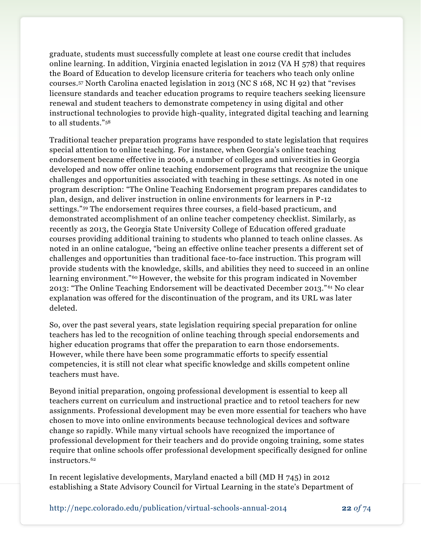graduate, students must successfully complete at least one course credit that includes online learning. In addition, Virginia enacted legislation in 2012 (VA H 578) that requires the Board of Education to develop licensure criteria for teachers who teach only online courses.<sup>57</sup> North Carolina enacted legislation in 2013 (NC S 168, NC H 92) that "revises licensure standards and teacher education programs to require teachers seeking licensure renewal and student teachers to demonstrate competency in using digital and other instructional technologies to provide high-quality, integrated digital teaching and learning to all students."<sup>58</sup>

Traditional teacher preparation programs have responded to state legislation that requires special attention to online teaching. For instance, when Georgia's online teaching endorsement became effective in 2006, a number of colleges and universities in Georgia developed and now offer online teaching endorsement programs that recognize the unique challenges and opportunities associated with teaching in these settings. As noted in one program description: "The Online Teaching Endorsement program prepares candidates to plan, design, and deliver instruction in online environments for learners in P-12 settings."<sup>59</sup> The endorsement requires three courses, a field-based practicum, and demonstrated accomplishment of an online teacher competency checklist. Similarly, as recently as 2013, the Georgia State University College of Education offered graduate courses providing additional training to students who planned to teach online classes. As noted in an online catalogue, "being an effective online teacher presents a different set of challenges and opportunities than traditional face-to-face instruction. This program will provide students with the knowledge, skills, and abilities they need to succeed in an online learning environment."<sup>60</sup> However, the website for this program indicated in November 2013: "The Online Teaching Endorsement will be deactivated December 2013." <sup>61</sup> No clear explanation was offered for the discontinuation of the program, and its URL was later deleted.

So, over the past several years, state legislation requiring special preparation for online teachers has led to the recognition of online teaching through special endorsements and higher education programs that offer the preparation to earn those endorsements. However, while there have been some programmatic efforts to specify essential competencies, it is still not clear what specific knowledge and skills competent online teachers must have.

Beyond initial preparation, ongoing professional development is essential to keep all teachers current on curriculum and instructional practice and to retool teachers for new assignments. Professional development may be even more essential for teachers who have chosen to move into online environments because technological devices and software change so rapidly. While many virtual schools have recognized the importance of professional development for their teachers and do provide ongoing training, some states require that online schools offer professional development specifically designed for online instructors.<sup>62</sup>

In recent legislative developments, Maryland enacted a bill (MD H 745) in 2012 establishing a State Advisory Council for Virtual Learning in the state's Department of

http://nepc.colorado.edu/publication/virtual-schools-annual-2014 **22** *of* 74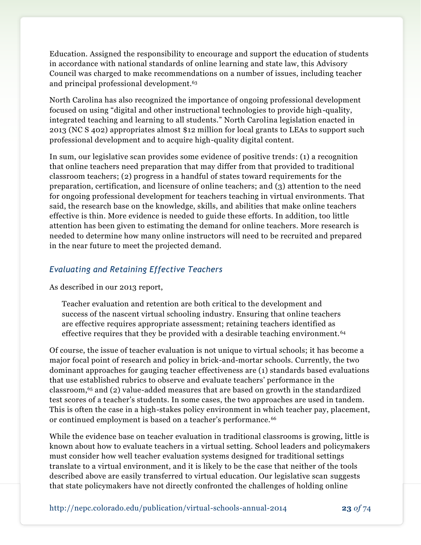Education. Assigned the responsibility to encourage and support the education of students in accordance with national standards of online learning and state law, this Advisory Council was charged to make recommendations on a number of issues, including teacher and principal professional development.<sup>63</sup>

North Carolina has also recognized the importance of ongoing professional development focused on using "digital and other instructional technologies to provide high-quality, integrated teaching and learning to all students." North Carolina legislation enacted in 2013 (NC S 402) appropriates almost \$12 million for local grants to LEAs to support such professional development and to acquire high-quality digital content.

In sum, our legislative scan provides some evidence of positive trends: (1) a recognition that online teachers need preparation that may differ from that provided to traditional classroom teachers; (2) progress in a handful of states toward requirements for the preparation, certification, and licensure of online teachers; and (3) attention to the need for ongoing professional development for teachers teaching in virtual environments. That said, the research base on the knowledge, skills, and abilities that make online teachers effective is thin. More evidence is needed to guide these efforts. In addition, too little attention has been given to estimating the demand for online teachers. More research is needed to determine how many online instructors will need to be recruited and prepared in the near future to meet the projected demand.

## *Evaluating and Retaining Effective Teachers*

As described in our 2013 report,

Teacher evaluation and retention are both critical to the development and success of the nascent virtual schooling industry. Ensuring that online teachers are effective requires appropriate assessment; retaining teachers identified as effective requires that they be provided with a desirable teaching environment. <sup>64</sup>

Of course, the issue of teacher evaluation is not unique to virtual schools; it has become a major focal point of research and policy in brick-and-mortar schools. Currently, the two dominant approaches for gauging teacher effectiveness are (1) standards based evaluations that use established rubrics to observe and evaluate teachers' performance in the classroom, <sup>65</sup> and (2) value-added measures that are based on growth in the standardized test scores of a teacher's students. In some cases, the two approaches are used in tandem. This is often the case in a high-stakes policy environment in which teacher pay, placement, or continued employment is based on a teacher's performance.<sup>66</sup>

While the evidence base on teacher evaluation in traditional classrooms is growing, little is known about how to evaluate teachers in a virtual setting. School leaders and policymakers must consider how well teacher evaluation systems designed for traditional settings translate to a virtual environment, and it is likely to be the case that neither of the tools described above are easily transferred to virtual education. Our legislative scan suggests that state policymakers have not directly confronted the challenges of holding online

http://nepc.colorado.edu/publication/virtual-schools-annual-2014 **23** *of* 74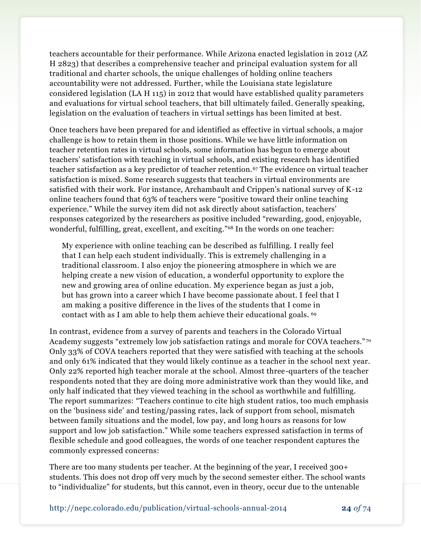teachers accountable for their performance. While Arizona enacted legislation in 2012 (AZ H 2823) that describes a comprehensive teacher and principal evaluation system for all traditional and charter schools, the unique challenges of holding online teachers accountability were not addressed. Further, while the Louisiana state legislature considered legislation (LA H 115) in 2012 that would have established quality parameters and evaluations for virtual school teachers, that bill ultimately failed. Generally speaking, legislation on the evaluation of teachers in virtual settings has been limited at best.

Once teachers have been prepared for and identified as effective in virtual schools, a major challenge is how to retain them in those positions. While we have little information on teacher retention rates in virtual schools, some information has begun to emerge about teachers' satisfaction with teaching in virtual schools, and existing research has identified teacher satisfaction as a key predictor of teacher retention.<sup>67</sup> The evidence on virtual teacher satisfaction is mixed. Some research suggests that teachers in virtual environments are satisfied with their work. For instance, Archambault and Crippen's national survey of K-12 online teachers found that 63% of teachers were "positive toward their online teaching experience." While the survey item did not ask directly about satisfaction, teachers' responses categorized by the researchers as positive included "rewarding, good, enjoyable, wonderful, fulfilling, great, excellent, and exciting."<sup>68</sup> In the words on one teacher:

My experience with online teaching can be described as fulfilling. I really feel that I can help each student individually. This is extremely challenging in a traditional classroom. I also enjoy the pioneering atmosphere in which we are helping create a new vision of education, a wonderful opportunity to explore the new and growing area of online education. My experience began as just a job, but has grown into a career which I have become passionate about. I feel that I am making a positive difference in the lives of the students that I come in contact with as I am able to help them achieve their educational goals. <sup>69</sup>

In contrast, evidence from a survey of parents and teachers in the Colorado Virtual Academy suggests "extremely low job satisfaction ratings and morale for COVA teachers." <sup>70</sup> Only 33% of COVA teachers reported that they were satisfied with teaching at the schools and only 61% indicated that they would likely continue as a teacher in the school next year. Only 22% reported high teacher morale at the school. Almost three-quarters of the teacher respondents noted that they are doing more administrative work than they would like, and only half indicated that they viewed teaching in the school as worthwhile and fulfilling. The report summarizes: "Teachers continue to cite high student ratios, too much emphasis on the 'business side' and testing/passing rates, lack of support from school, mismatch between family situations and the model, low pay, and long hours as reasons for low support and low job satisfaction." While some teachers expressed satisfaction in terms of flexible schedule and good colleagues, the words of one teacher respondent captures the commonly expressed concerns:

There are too many students per teacher. At the beginning of the year, I received 300+ students. This does not drop off very much by the second semester either. The school wants to "individualize" for students, but this cannot, even in theory, occur due to the untenable

http://nepc.colorado.edu/publication/virtual-schools-annual-2014 **24** *of* 74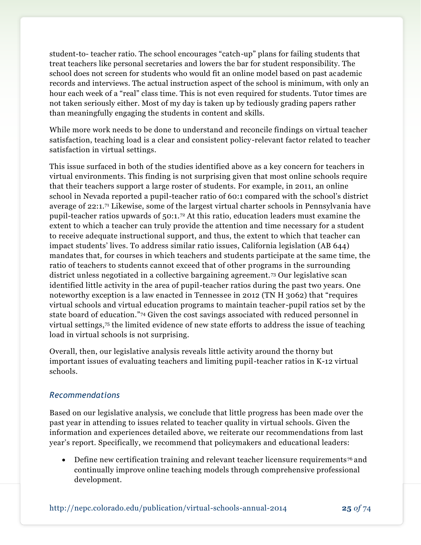student-to- teacher ratio. The school encourages "catch-up" plans for failing students that treat teachers like personal secretaries and lowers the bar for student responsibility. The school does not screen for students who would fit an online model based on past academic records and interviews. The actual instruction aspect of the school is minimum, with only an hour each week of a "real" class time. This is not even required for students. Tutor times are not taken seriously either. Most of my day is taken up by tediously grading papers rather than meaningfully engaging the students in content and skills.

While more work needs to be done to understand and reconcile findings on virtual teacher satisfaction, teaching load is a clear and consistent policy-relevant factor related to teacher satisfaction in virtual settings.

This issue surfaced in both of the studies identified above as a key concern for teachers in virtual environments. This finding is not surprising given that most online schools require that their teachers support a large roster of students. For example, in 2011, an online school in Nevada reported a pupil-teacher ratio of 60:1 compared with the school's district average of 22:1.<sup>71</sup> Likewise, some of the largest virtual charter schools in Pennsylvania have pupil-teacher ratios upwards of 50:1.<sup>72</sup> At this ratio, education leaders must examine the extent to which a teacher can truly provide the attention and time necessary for a student to receive adequate instructional support, and thus, the extent to which that teacher can impact students' lives. To address similar ratio issues, California legislation (AB 644) mandates that, for courses in which teachers and students participate at the same time, the ratio of teachers to students cannot exceed that of other programs in the surrounding district unless negotiated in a collective bargaining agreement. <sup>73</sup> Our legislative scan identified little activity in the area of pupil-teacher ratios during the past two years. One noteworthy exception is a law enacted in Tennessee in 2012 (TN H 3062) that "requires virtual schools and virtual education programs to maintain teacher-pupil ratios set by the state board of education."<sup>74</sup> Given the cost savings associated with reduced personnel in virtual settings,<sup>75</sup> the limited evidence of new state efforts to address the issue of teaching load in virtual schools is not surprising.

Overall, then, our legislative analysis reveals little activity around the thorny but important issues of evaluating teachers and limiting pupil-teacher ratios in K-12 virtual schools.

## *Recommendations*

Based on our legislative analysis, we conclude that little progress has been made over the past year in attending to issues related to teacher quality in virtual schools. Given the information and experiences detailed above, we reiterate our recommendations from last year's report. Specifically, we recommend that policymakers and educational leaders:

 Define new certification training and relevant teacher licensure requirements <sup>76</sup> and continually improve online teaching models through comprehensive professional development.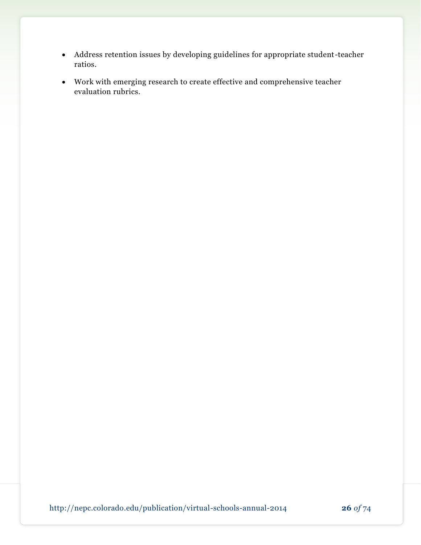- Address retention issues by developing guidelines for appropriate student-teacher ratios.
- Work with emerging research to create effective and comprehensive teacher evaluation rubrics.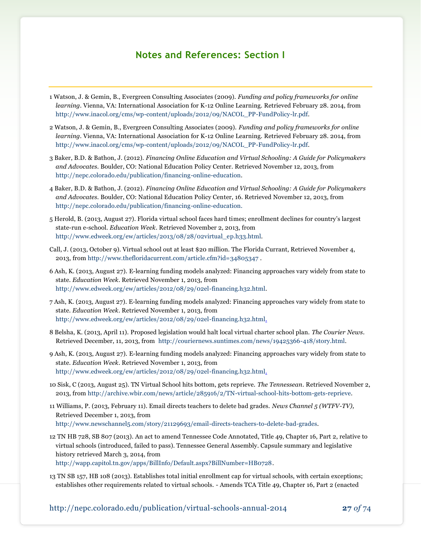## **Notes and References: Section I**

- 1 Watson, J. & Gemin, B., Evergreen Consulting Associates (2009). *Funding and policy frameworks for online learning*. Vienna, VA: International Association for K-12 Online Learning. Retrieved February 28. 2014, from [http://www.inacol.org/cms/wp-content/uploads/2012/09/NACOL\\_PP-FundPolicy-lr.pdf.](http://www.inacol.org/cms/wp-content/uploads/2012/09/NACOL_PP-FundPolicy-lr.pdf)
- 2 Watson, J. & Gemin, B., Evergreen Consulting Associates (2009). *Funding and policy frameworks for online learning*. Vienna, VA: International Association for K-12 Online Learning. Retrieved February 28. 2014, from [http://www.inacol.org/cms/wp-content/uploads/2012/09/NACOL\\_PP-FundPolicy-lr.pdf.](http://www.inacol.org/cms/wp-content/uploads/2012/09/NACOL_PP-FundPolicy-lr.pdf)
- 3 Baker, B.D. & Bathon, J. (2012). *Financing Online Education and Virtual Schooling: A Guide for Policymakers and Advocates.* Boulder, CO: National Education Policy Center. Retrieved November 12, 2013, from [http://nepc.colorado.edu/publication/financing-online-education.](http://nepc.colorado.edu/publication/financing-online-education)
- 4 Baker, B.D. & Bathon, J. (2012). *Financing Online Education and Virtual Schooling: A Guide for Policymakers and Advocates.* Boulder, CO: National Education Policy Center, 16. Retrieved November 12, 2013, from [http://nepc.colorado.edu/publication/financing-online-education.](http://nepc.colorado.edu/publication/financing-online-education)
- 5 Herold, B. (2013, August 27). Florida virtual school faces hard times; enrollment declines for country's largest state-run e-school. *Education Week*. Retrieved November 2, 2013, from [http://www.edweek.org/ew/articles/2013/08/28/02virtual\\_ep.h33.html.](http://www.edweek.org/ew/articles/2013/08/28/02virtual_ep.h33.html)
- Call, J. (2013, October 9). Virtual school out at least \$20 million. The Florida Currant, Retrieved November 4, 2013, from <http://www.thefloridacurrent.com/article.cfm?id=34805347> .
- 6 Ash, K. (2013, August 27). E-learning funding models analyzed: Financing approaches vary widely from state to state. *Education Week*. Retrieved November 1, 2013, from [http://www.edweek.org/ew/articles/2012/08/29/02el-financing.h32.html.](http://www.edweek.org/ew/articles/2012/08/29/02el-financing.h32.html)
- 7 Ash, K. (2013, August 27). E-learning funding models analyzed: Financing approaches vary widely from state to state. *Education Week*. Retrieved November 1, 2013, from [http://www.edweek.org/ew/articles/2012/08/29/02el-financing.h32.html.](http://www.edweek.org/ew/articles/2012/08/29/02el-financing.h32.html)
- 8 Belsha, K. (2013, April 11). Proposed legislation would halt local virtual charter school plan. *The Courier News*. Retrieved December, 11, 2013, from [http://couriernews.suntimes.com/news/19425366-418/story.html.](http://couriernews.suntimes.com/news/19425366-418/story.html)
- 9 Ash, K. (2013, August 27). E-learning funding models analyzed: Financing approaches vary widely from state to state. *Education Week*. Retrieved November 1, 2013, from [http://www.edweek.org/ew/articles/2012/08/29/02el-financing.h32.html.](http://www.edweek.org/ew/articles/2012/08/29/02el-financing.h32.html)
- 10 Sisk, C (2013, August 25). TN Virtual School hits bottom, gets reprieve. *The Tennessean*. Retrieved November 2, 2013, from [http://archive.wbir.com/news/article/285916/2/TN-virtual-school-hits-bottom-gets-reprieve.](http://archive.wbir.com/news/article/285916/2/TN-virtual-school-hits-bottom-gets-reprieve)
- 11 Williams, P. (2013, February 11). Email directs teachers to delete bad grades. *News Channel 5 (WTFV-TV),* Retrieved December 1, 2013, from [http://www.newschannel5.com/story/21129693/email-directs-teachers-to-delete-bad-grades.](http://www.newschannel5.com/story/21129693/email-directs-teachers-to-delete-bad-grades)
- 12 TN HB 728, SB 807 (2013). An act to amend Tennessee Code Annotated, Title 49, Chapter 16, Part 2, relative to virtual schools (introduced, failed to pass). Tennessee General Assembly. Capsule summary and legislative history retrieved March 3, 2014, from [http://wapp.capitol.tn.gov/apps/BillInfo/Default.aspx?BillNumber=HB0728.](http://wapp.capitol.tn.gov/apps/BillInfo/Default.aspx?BillNumber=HB0728)
- 13 TN SB 157, HB 108 (2013). Establishes total initial enrollment cap for virtual schools, with certain exceptions; establishes other requirements related to virtual schools. - Amends TCA Title 49, Chapter 16, Part 2 (enacted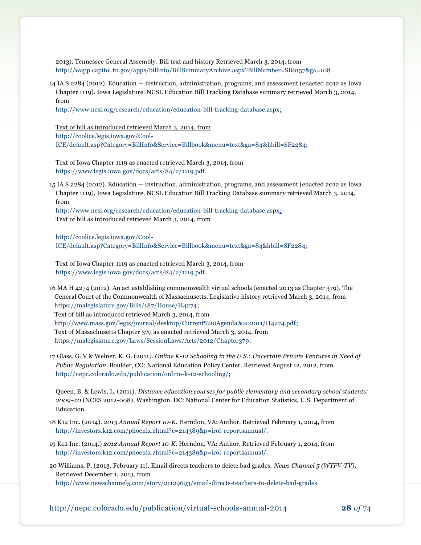2013). Tennessee General Assembly. Bill text and history Retrieved March 3, 2014, from [http://wapp.capitol.tn.gov/apps/billinfo/BillSummaryArchive.aspx?BillNumber=SB0157&ga=108.](http://wapp.capitol.tn.gov/apps/billinfo/BillSummaryArchive.aspx?BillNumber=SB0157&ga=108)

14 IA S 2284 (2012). Education — instruction, administration, programs, and assessment (enacted 2012 as Iowa Chapter 1119). Iowa Legislature. NCSL Education Bill Tracking Database summary retrieved March 3, 2014, from

[http://www.ncsl.org/research/education/education-bill-tracking-database.aspx;](http://www.ncsl.org/research/education/education-bill-tracking-database.aspx)

Text of bill as introduced retrieved March 3, 2014, from

[http://coolice.legis.iowa.gov/Cool-](http://coolice.legis.iowa.gov/Cool-ICE/default.asp?Category=BillInfo&Service=Billbook&menu=text&ga=84&hbill=SF2284)

[ICE/default.asp?Category=BillInfo&Service=Billbook&menu=text&ga=84&hbill=SF2284;](http://coolice.legis.iowa.gov/Cool-ICE/default.asp?Category=BillInfo&Service=Billbook&menu=text&ga=84&hbill=SF2284)

Text of Iowa Chapter 1119 as enacted retrieved March 3, 2014, from [https://www.legis.iowa.gov/docs/acts/84/2/1119.pdf.](https://www.legis.iowa.gov/docs/acts/84/2/1119.pdf)

15 IA S 2284 (2012). Education — instruction, administration, programs, and assessment (enacted 2012 as Iowa Chapter 1119). Iowa Legislature. NCSL Education Bill Tracking Database summary retrieved March 3, 2014, from

[http://www.ncsl.org/research/education/education-bill-tracking-database.aspx;](http://www.ncsl.org/research/education/education-bill-tracking-database.aspx) Text of bill as introduced retrieved March 3, 2014, from

[http://coolice.legis.iowa.gov/Cool-](http://coolice.legis.iowa.gov/Cool-ICE/default.asp?Category=BillInfo&Service=Billbook&menu=text&ga=84&hbill=SF2284)[ICE/default.asp?Category=BillInfo&Service=Billbook&menu=text&ga=84&hbill=SF2284;](http://coolice.legis.iowa.gov/Cool-ICE/default.asp?Category=BillInfo&Service=Billbook&menu=text&ga=84&hbill=SF2284)

Text of Iowa Chapter 1119 as enacted retrieved March 3, 2014, from [https://www.legis.iowa.gov/docs/acts/84/2/1119.pdf.](https://www.legis.iowa.gov/docs/acts/84/2/1119.pdf)

16 MA H 4274 (2012). An act establishing commonwealth virtual schools (enacted 2013 as Chapter 379). The General Court of the Commonwealth of Massachusetts. Legislative history retrieved March 3, 2014, from [https://malegislature.gov/Bills/187/House/H4274;](https://malegislature.gov/Bills/187/House/H4274) Text of bill as introduced retrieved March 3, 2014, from [http://www.mass.gov/legis/journal/desktop/Current%20Agenda%202011/H4274.pdf;](http://www.mass.gov/legis/journal/desktop/Current%20Agenda%202011/H4274.pdf) Text of Massachusetts Chapter 379 as enacted retrieved March 3, 2014, from https://malegislature.gov/Laws/SessionLaws/Acts/2012/Chapter379.

17 Glass, G. V & Welner, K. G. (2011*). Online K-12 Schooling in the U.S.: Uncertain Private Ventures in Need of Public Regulation*. Boulder, CO: National Education Policy Center. Retrieved August 12, 2012, from [http://nepc.colorado.edu/publication/online-k-12-schooling/;](http://nepc.colorado.edu/publication/online-k-12-schooling/)

Queen, B. & Lewis, L. (2011). *Distance education courses for public elementary and secondary school students: 2009–10* (NCES 2012-008). Washington, DC: National Center for Education Statistics, U.S. Department of Education.

- 18 K12 Inc. (2014). *2013 Annual Report 10-K*. Herndon, VA: Author. Retrieved February 1, 2014, from [http://investors.k12.com/phoenix.zhtml?c=214389&p=irol-reportsannual/.](http://investors.k12.com/phoenix.zhtml?c=214389&p=irol-reportsannual/)
- 19 K12 Inc. (2014.) *2012 Annual Report 10-K*. Herndon, VA: Author. Retrieved February 1, 2014, from [http://investors.k12.com/phoenix.zhtml?c=214389&p=irol-reportsannual/.](http://investors.k12.com/phoenix.zhtml?c=214389&p=irol-reportsannual/)
- 20 Williams, P. (2013, February 11). Email directs teachers to delete bad grades. *News Channel 5 (WTFV-TV),* Retrieved December 1, 2013, from

[http://www.newschannel5.com/story/21129693/email-directs-teachers-to-delete-bad-grades.](http://www.newschannel5.com/story/21129693/email-directs-teachers-to-delete-bad-grades)

http://nepc.colorado.edu/publication/virtual-schools-annual-2014 **28** *of* 74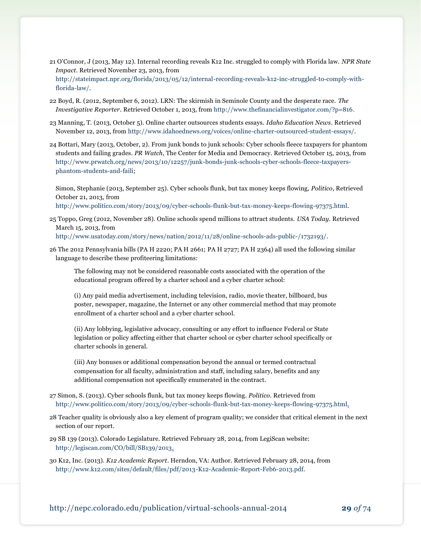- 21 O'Connor, J (2013, May 12). Internal recording reveals K12 Inc. struggled to comply with Florida law. *NPR State Impact*. Retrieved November 23, 2013, from [http://stateimpact.npr.org/florida/2013/05/12/internal-recording-reveals-k12-inc-struggled-to-comply-with](http://stateimpact.npr.org/florida/2013/05/12/internal-recording-reveals-k12-inc-struggled-to-comply-with-florida-law/)[florida-law/.](http://stateimpact.npr.org/florida/2013/05/12/internal-recording-reveals-k12-inc-struggled-to-comply-with-florida-law/)
- 22 Boyd, R. (2012, September 6, 2012). LRN: The skirmish in Seminole County and the desperate race. *The Investigative Reporter*. Retrieved October 1, 2013, from [http://www.thefinancialinvestigator.com/?p=816.](http://www.thefinancialinvestigator.com/?p=816)
- 23 Manning, T. (2013, October 5). Online charter outsources students essays. *Idaho Education News*. Retrieved November 12, 2013, from [http://www.idahoednews.org/voices/online-charter-outsourced-student-essays/.](http://www.idahoednews.org/voices/online-charter-outsourced-student-essays/)
- 24 Bottari, Mary (2013, October, 2). [From junk bonds to junk schools: Cyber schools fleece taxpayers for phantom](http://www.prwatch.org/news/2013/10/12257/junk-bonds-junk-schools-cyber-schools-fleece-taxpayers-phantom-students-and-faili)  [students and failing grades.](http://www.prwatch.org/news/2013/10/12257/junk-bonds-junk-schools-cyber-schools-fleece-taxpayers-phantom-students-and-faili) *PR Watch*, The Center for Media and Democracy. Retrieved October 15, 2013, from [http://www.prwatch.org/news/2013/10/12257/junk-bonds-junk-schools-cyber-schools-fleece-taxpayers](http://www.prwatch.org/news/2013/10/12257/junk-bonds-junk-schools-cyber-schools-fleece-taxpayers-phantom-students-and-faili)[phantom-students-and-faili;](http://www.prwatch.org/news/2013/10/12257/junk-bonds-junk-schools-cyber-schools-fleece-taxpayers-phantom-students-and-faili)

Simon, Stephanie (2013, September 25). Cyber schools flunk, but tax money keeps flowing, *Politico*, Retrieved October 21, 2013, from

[http://www.politico.com/story/2013/09/cyber-schools-flunk-but-tax-money-keeps-flowing-97375.html.](http://www.politico.com/story/2013/09/cyber-schools-flunk-but-tax-money-keeps-flowing-97375.html)

25 Toppo, Greg (2012, November 28). Online schools spend millions to attract students. *USA Today.* Retrieved March 15, 2013, from

[http://www.usatoday.com/story/news/nation/2012/11/28/online-schools-ads-public-/1732193/.](http://www.usatoday.com/story/news/nation/2012/11/28/online-schools-ads-public-/1732193/)

26 The 2012 Pennsylvania bills (PA H 2220; PA H 2661; PA H 2727; PA H 2364) all used the following similar language to describe these profiteering limitations:

The following may not be considered reasonable costs associated with the operation of the educational program offered by a charter school and a cyber charter school:

(i) Any paid media advertisement, including television, radio, movie theater, billboard, bus poster, newspaper, magazine, the Internet or any other commercial method that may promote enrollment of a charter school and a cyber charter school.

(ii) Any lobbying, legislative advocacy, consulting or any effort to influence Federal or State legislation or policy affecting either that charter school or cyber charter school specifically or charter schools in general.

(iii) Any bonuses or additional compensation beyond the annual or termed contractual compensation for all faculty, administration and staff, including salary, benefits and any additional compensation not specifically enumerated in the contract.

- 27 Simon, S. (2013). Cyber schools flunk, but tax money keeps flowing. *Politico*. Retrieved from [http://www.politico.com/story/2013/09/cyber-schools-flunk-but-tax-money-keeps-flowing-97375.html.](http://www.politico.com/story/2013/09/cyber-schools-flunk-but-tax-money-keeps-flowing-97375.html)
- 28 Teacher quality is obviously also a key element of program quality; we consider that critical element in the next section of our report.
- 29 SB 139 (2013). Colorado Legislature. Retrieved February 28, 2014, from LegiScan website: [http://legiscan.com/CO/bill/SB139/2013.](http://legiscan.com/CO/bill/SB139/2013)

30 K12, Inc. (2013). *K12 Academic Report*. Herndon, VA: Author. Retrieved February 28, 2014, from [http://www.k12.com/sites/default/files/pdf/2013-K12-Academic-Report-Feb6-2013.pdf.](http://www.k12.com/sites/default/files/pdf/2013-K12-Academic-Report-Feb6-2013.pdf)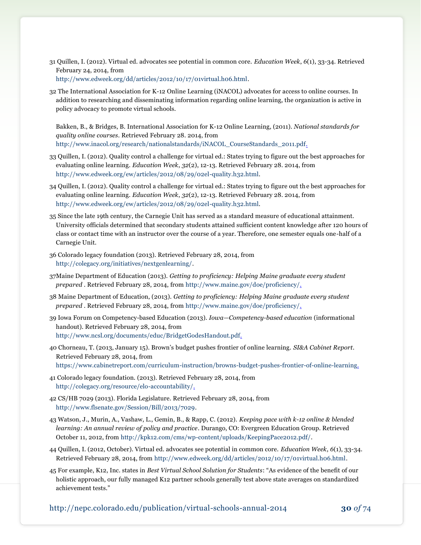- 31 Quillen, I. (2012). Virtual ed. advocates see potential in common core. *Education Week*, *6*(1), 33-34. Retrieved February 24, 2014, from [http://www.edweek.org/dd/articles/2012/10/17/01virtual.h06.html.](http://www.edweek.org/dd/articles/2012/10/17/01virtual.h06.html)
- 32 The International Association for K-12 Online Learning (iNACOL) advocates for access to online courses. In addition to researching and disseminating information regarding online learning, the organization is active in policy advocacy to promote virtual schools.

Bakken, B., & Bridges, B. International Association for K-12 Online Learning, (2011). *National standards for quality online courses*. Retrieved February 28. 2014, from [http://www.inacol.org/research/nationalstandards/iNACOL\\_CourseStandards\\_2011.pdf.](http://www.inacol.org/research/nationalstandards/iNACOL_CourseStandards_2011.pdf)

- 33 Quillen, I. (2012). Quality control a challenge for virtual ed.: States trying to figure out the best approaches for evaluating online learning. *Education Week*, *32*(2), 12-13. Retrieved February 28. 2014, from [http://www.edweek.org/ew/articles/2012/08/29/02el-quality.h32.html.](http://www.edweek.org/ew/articles/2012/08/29/02el-quality.h32.html)
- 34 Quillen, I. (2012). Quality control a challenge for virtual ed.: States trying to figure out the best approaches for evaluating online learning. *Education Week*, *32*(2), 12-13. Retrieved February 28. 2014, from [http://www.edweek.org/ew/articles/2012/08/29/02el-quality.h32.html.](http://www.edweek.org/ew/articles/2012/08/29/02el-quality.h32.html)
- 35 Since the late 19th century, the Carnegie Unit has served as a standard measure of educational attainment. University officials determined that secondary students attained sufficient content knowledge after 120 hours of class or contact time with an instructor over the course of a year. Therefore, one semester equals one-half of a Carnegie Unit.
- 36 Colorado legacy foundation (2013). Retrieved February 28, 2014, from [http://colegacy.org/initiatives/nextgenlearning/.](http://colegacy.org/initiatives/nextgenlearning/)
- 37Maine Department of Education (2013). *Getting to proficiency: Helping Maine graduate every student prepared* . Retrieved February 28, 2014, from [http://www.maine.gov/doe/proficiency/.](http://www.maine.gov/doe/proficiency/)
- 38 Maine Department of Education, (2013). *Getting to proficiency: Helping Maine graduate every student prepared* . Retrieved February 28, 2014, from [http://www.maine.gov/doe/proficiency/.](http://www.maine.gov/doe/proficiency/)
- 39 Iowa Forum on Competency-based Education (2013). *Iowa—Competency-based education* (informational handout). Retrieved February 28, 2014, from [http://www.ncsl.org/documents/educ/BridgetGodesHandout.pdf.](http://www.ncsl.org/documents/educ/BridgetGodesHandout.pdf)
- 40 Chorneau, T. (2013, January 15). Brown's budget pushes frontier of online learning. *SI&A Cabinet Report*. Retrieved February 28, 2014, from [https://www.cabinetreport.com/curriculum-instruction/browns-budget-pushes-frontier-of-online-learning.](https://www.cabinetreport.com/curriculum-instruction/browns-budget-pushes-frontier-of-online-learning)
- 41 Colorado legacy foundation. (2013). Retrieved February 28, 2014, from [http://colegacy.org/resource/elo-accountability/.](http://colegacy.org/resource/elo-accountability/)
- 42 CS/HB 7029 (2013). Florida Legislature. Retrieved February 28, 2014, from [http://www.flsenate.gov/Session/Bill/2013/7029.](http://www.flsenate.gov/Session/Bill/2013/7029)
- 43 Watson, J., Murin, A., Vashaw, L., Gemin, B., & Rapp, C. (2012). *Keeping pace with k-12 online & blended learning: An annual review of policy and practice*. Durango, CO: Evergreen Education Group. Retrieved October 11, 2012, fro[m http://kpk12.com/cms/wp-content/uploads/KeepingPace2012.pdf/.](http://kpk12.com/cms/wp-content/uploads/KeepingPace2012.pdf/)
- 44 Quillen, I. (2012, October). Virtual ed. advocates see potential in common core. *Education Week*, *6*(1), 33-34. Retrieved February 28, 2014, from [http://www.edweek.org/dd/articles/2012/10/17/01virtual.h06.html.](http://www.edweek.org/dd/articles/2012/10/17/01virtual.h06.html)
- 45 For example, K12, Inc. states in *Best Virtual School Solution for Students*: "As evidence of the benefit of our holistic approach, our fully managed K12 partner schools generally test above state averages on standardized achievement tests."

http://nepc.colorado.edu/publication/virtual-schools-annual-2014 **30** *of* 74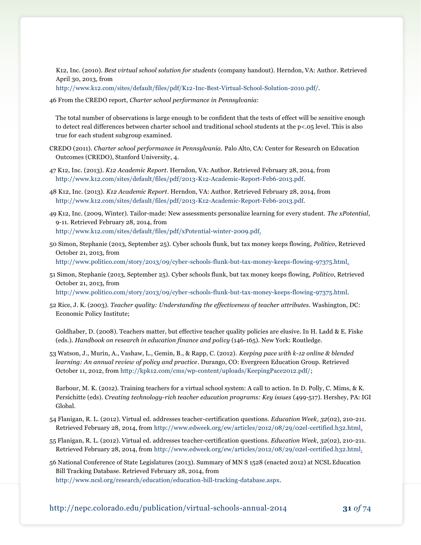K12, Inc. (2010). *Best virtual school solution for students* (company handout). Herndon, VA: Author. Retrieved April 30, 2013, from

[http://www.k12.com/sites/default/files/pdf/K12-Inc-Best-Virtual-School-Solution-2010.pdf/.](http://www.k12.com/sites/default/files/pdf/K12-Inc-Best-Virtual-School-Solution-2010.pdf/)

46 From the CREDO report, *Charter school performance in Pennsylvania*:

The total number of observations is large enough to be confident that the tests of effect will be sensitive enough to detect real differences between charter school and traditional school students at the p<.05 level. This is also true for each student subgroup examined.

- CREDO (2011). *Charter school performance in Pennsylvania.* Palo Alto, CA: Center for Research on Education Outcomes (CREDO), Stanford University, 4.
- 47 K12, Inc. (2013). *K12 Academic Report*. Herndon, VA: Author. Retrieved February 28, 2014, from [http://www.k12.com/sites/default/files/pdf/2013-K12-Academic-Report-Feb6-2013.pdf.](http://www.k12.com/sites/default/files/pdf/2013-K12-Academic-Report-Feb6-2013.pdf)
- 48 K12, Inc. (2013). *K12 Academic Report*. Herndon, VA: Author. Retrieved February 28, 2014, from [http://www.k12.com/sites/default/files/pdf/2013-K12-Academic-Report-Feb6-2013.pdf.](http://www.k12.com/sites/default/files/pdf/2013-K12-Academic-Report-Feb6-2013.pdf)
- 49 K12, Inc. (2009, Winter). Tailor-made: New assessments personalize learning for every student. *The xPotential*, 9-11. Retrieved February 28, 2014, from [http://www.k12.com/sites/default/files/pdf/xPotential-winter-2009.pdf.](http://www.k12.com/sites/default/files/pdf/xPotential-winter-2009.pdf)
- 50 Simon, Stephanie (2013, September 25). Cyber schools flunk, but tax money keeps flowing, *Politico*, Retrieved October 21, 2013, from [http://www.politico.com/story/2013/09/cyber-schools-flunk-but-tax-money-keeps-flowing-97375.html.](http://www.politico.com/story/2013/09/cyber-schools-flunk-but-tax-money-keeps-flowing-97375.html)
- 51 Simon, Stephanie (2013, September 25). Cyber schools flunk, but tax money keeps flowing, *Politico*, Retrieved October 21, 2013, from

[http://www.politico.com/story/2013/09/cyber-schools-flunk-but-tax-money-keeps-flowing-97375.html.](http://www.politico.com/story/2013/09/cyber-schools-flunk-but-tax-money-keeps-flowing-97375.html)

52 Rice, J. K. (2003). *Teacher quality: Understanding the effectiveness of teacher attributes.* Washington, DC: Economic Policy Institute;

Goldhaber, D. (2008). Teachers matter, but effective teacher quality policies are elusive. In H. Ladd & E. Fiske (eds.). *Handbook on research in education finance and policy* (146-165). New York: Routledge.

53 Watson, J., Murin, A., Vashaw, L., Gemin, B., & Rapp, C. (2012). *Keeping pace with k-12 online & blended learning: An annual review of policy and practice*. Durango, CO: Evergreen Education Group. Retrieved October 11, 2012, from [http://kpk12.com/cms/wp-content/uploads/KeepingPace2012.pdf/;](http://kpk12.com/cms/wp-content/uploads/KeepingPace2012.pdf/)

[Barbour, M. K. \(2012\). Training teachers for a virtual school system: A call to action. In D. Polly, C. Mims, & K.](http://www.academia.edu/2311688/Barbour_M._K._2012_._Training_teachers_for_a_virtual_school_system_A_call_to_action._In_D._Polly_C._Mims_and_K._Persichitte_Eds_._Creating_technology-rich_teacher_education_programs_Key_issues_pp._499-517_._Hershey_PA_IGI_Global)  Persichitte (eds). *[Creating technology-rich teacher education programs: Key issues](http://www.academia.edu/2311688/Barbour_M._K._2012_._Training_teachers_for_a_virtual_school_system_A_call_to_action._In_D._Polly_C._Mims_and_K._Persichitte_Eds_._Creating_technology-rich_teacher_education_programs_Key_issues_pp._499-517_._Hershey_PA_IGI_Global)* (499-517). Hershey, PA: IGI [Global.](http://www.academia.edu/2311688/Barbour_M._K._2012_._Training_teachers_for_a_virtual_school_system_A_call_to_action._In_D._Polly_C._Mims_and_K._Persichitte_Eds_._Creating_technology-rich_teacher_education_programs_Key_issues_pp._499-517_._Hershey_PA_IGI_Global)

- 54 Flanigan, R. L. (2012). Virtual ed. addresses teacher-certification questions. *Education Week*, *32*(02), 210-211. Retrieved February 28, 2014, from [http://www.edweek.org/ew/articles/2012/08/29/02el-certified.h32.html.](http://www.edweek.org/ew/articles/2012/08/29/02el-certified.h32.html)
- 55 Flanigan, R. L. (2012). Virtual ed. addresses teacher-certification questions. *Education Week*, *32*(02), 210-211. Retrieved February 28, 2014, from [http://www.edweek.org/ew/articles/2012/08/29/02el-certified.h32.html.](http://www.edweek.org/ew/articles/2012/08/29/02el-certified.h32.html)
- 56 National Conference of State Legislatures (2013). Summary of MN S 1528 (enacted 2012) at NCSL Education Bill Tracking Database. Retrieved February 28, 2014, from [http://www.ncsl.org/research/education/education-bill-tracking-database.aspx.](http://www.ncsl.org/research/education/education-bill-tracking-database.aspx)

http://nepc.colorado.edu/publication/virtual-schools-annual-2014 **31** *of* 74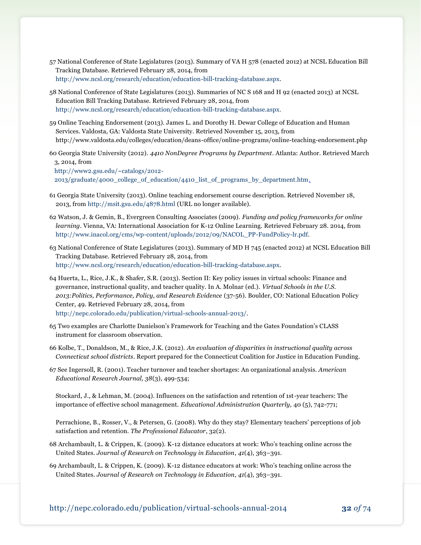- 57 National Conference of State Legislatures (2013). Summary of VA H 578 (enacted 2012) at NCSL Education Bill Tracking Database. Retrieved February 28, 2014, from [http://www.ncsl.org/research/education/education-bill-tracking-database.aspx.](http://www.ncsl.org/research/education/education-bill-tracking-database.aspx)
- 58 National Conference of State Legislatures (2013). Summaries of NC S 168 and H 92 (enacted 2013) at NCSL Education Bill Tracking Database. Retrieved February 28, 2014, from [http://www.ncsl.org/research/education/education-bill-tracking-database.aspx.](http://www.ncsl.org/research/education/education-bill-tracking-database.aspx)
- 59 Online Teaching Endorsement (2013). James L. and Dorothy H. Dewar College of Education and Human Services. Valdosta, GA: Valdosta State University. Retrieved November 15, 2013, from http://www.valdosta.edu/colleges/education/deans-office/online-programs/online-teaching-endorsement.php
- 60 Georgia State University (2012). *4410 NonDegree Programs by Department*. Atlanta: Author. Retrieved March 3, 2014, from [http://www2.gsu.edu/~catalogs/2012-](http://www2.gsu.edu/~catalogs/2012-2013/graduate/4000_college_of_education/4410_list_of_programs_by_department.htm)

[2013/graduate/4000\\_college\\_of\\_education/4410\\_list\\_of\\_programs\\_by\\_department.htm.](http://www2.gsu.edu/~catalogs/2012-2013/graduate/4000_college_of_education/4410_list_of_programs_by_department.htm)

- 61 Georgia State University (2013). Online teaching endorsement course description. Retrieved November 18, 2013, fro[m http://msit.gsu.edu/4878.html](http://msit.gsu.edu/4878.html) (URL no longer available).
- 62 Watson, J. & Gemin, B., Evergreen Consulting Associates (2009). *Funding and policy frameworks for online learning*. Vienna, VA: International Association for K-12 Online Learning. Retrieved February 28. 2014, from [http://www.inacol.org/cms/wp-content/uploads/2012/09/NACOL\\_PP-FundPolicy-lr.pdf.](http://www.inacol.org/cms/wp-content/uploads/2012/09/NACOL_PP-FundPolicy-lr.pdf)
- 63 National Conference of State Legislatures (2013). Summary of MD H 745 (enacted 2012) at NCSL Education Bill Tracking Database. Retrieved February 28, 2014, from [http://www.ncsl.org/research/education/education-bill-tracking-database.aspx.](http://www.ncsl.org/research/education/education-bill-tracking-database.aspx)
- 64 Huerta, L., Rice, J.K., & Shafer, S.R. (2013). Section II: Key policy issues in virtual schools: Finance and governance, instructional quality, and teacher quality. In A. Molnar (ed.). *Virtual Schools in the U.S. 2013:Politics, Performance, Policy, and Research Evidence* (37-56). Boulder, CO: National Education Policy Center, 49. Retrieved February 28, 2014, from [http://nepc.colorado.edu/publication/virtual-schools-annual-2013/.](http://nepc.colorado.edu/publication/virtual-schools-annual-2013/)
- 65 Two examples are Charlotte Danielson's Framework for Teaching and the Gates Foundation's CLASS instrument for classroom observation.
- 66 Kolbe, T., Donaldson, M., & Rice, J.K. (2012). *An evaluation of disparities in instructional quality across Connecticut school districts*. Report prepared for the Connecticut Coalition for Justice in Education Funding.
- 67 See Ingersoll, R. (2001)*.* Teacher turnover and teacher shortages: An organizational analysis. *American Educational Research Journal, 38*(3), 499-534;

Stockard, J., & Lehman, M. (2004). Influences on the satisfaction and retention of 1st-year teachers: The importance of effective school management. *Educational Administration Quarterly,* 40 (5), 742-771;

Perrachione, B., Rosser, V., & Petersen, G. (2008). Why do they stay? Elementary teachers' perceptions of job satisfaction and retention. *The Professional Educator*, 32(2).

68 Archambault, L. & Crippen, K. (2009). K-12 distance educators at work: Who's teaching online across the United States. *Journal of Research on Technology in Education*, *41*(4), 363–391.

69 Archambault, L. & Crippen, K. (2009). K-12 distance educators at work: Who's teaching online across the United States. *Journal of Research on Technology in Education*, *41*(4), 363–391.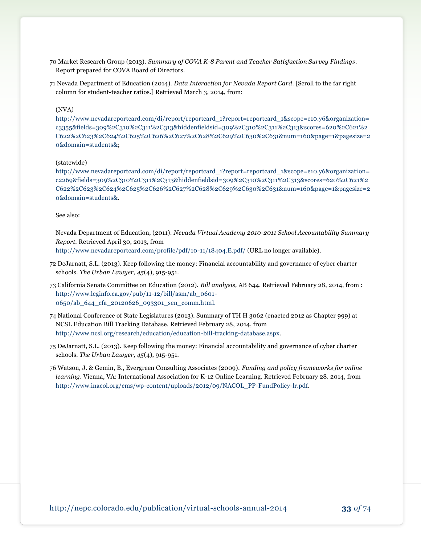- 70 Market Research Group (2013). *Summary of COVA K-8 Parent and Teacher Satisfaction Survey Findings*. Report prepared for COVA Board of Directors.
- 71 Nevada Department of Education (2014). *Data Interaction for Nevada Report Card*. [Scroll to the far right column for student-teacher ratios.] Retrieved March 3, 2014, from:

#### (NVA)

[http://www.nevadareportcard.com/di/report/reportcard\\_1?report=reportcard\\_1&scope=e10.y6&organization=](http://www.nevadareportcard.com/di/report/reportcard_1?report=reportcard_1&scope=e10.y6&organization=c3355&fields=309%2C310%2C311%2C313&hiddenfieldsid=309%2C310%2C311%2C313&scores=620%2C621%2C622%2C623%2C624%2C625%2C626%2C627%2C628%2C629%2C630%2C631&num=160&page=1&pagesize=20&domain=students&) [c3355&fields=309%2C310%2C311%2C313&hiddenfieldsid=309%2C310%2C311%2C313&scores=620%2C621%2](http://www.nevadareportcard.com/di/report/reportcard_1?report=reportcard_1&scope=e10.y6&organization=c3355&fields=309%2C310%2C311%2C313&hiddenfieldsid=309%2C310%2C311%2C313&scores=620%2C621%2C622%2C623%2C624%2C625%2C626%2C627%2C628%2C629%2C630%2C631&num=160&page=1&pagesize=20&domain=students&) [C622%2C623%2C624%2C625%2C626%2C627%2C628%2C629%2C630%2C631&num=160&page=1&pagesize=2](http://www.nevadareportcard.com/di/report/reportcard_1?report=reportcard_1&scope=e10.y6&organization=c3355&fields=309%2C310%2C311%2C313&hiddenfieldsid=309%2C310%2C311%2C313&scores=620%2C621%2C622%2C623%2C624%2C625%2C626%2C627%2C628%2C629%2C630%2C631&num=160&page=1&pagesize=20&domain=students&) [0&domain=students&;](http://www.nevadareportcard.com/di/report/reportcard_1?report=reportcard_1&scope=e10.y6&organization=c3355&fields=309%2C310%2C311%2C313&hiddenfieldsid=309%2C310%2C311%2C313&scores=620%2C621%2C622%2C623%2C624%2C625%2C626%2C627%2C628%2C629%2C630%2C631&num=160&page=1&pagesize=20&domain=students&)

#### (statewide)

[http://www.nevadareportcard.com/di/report/reportcard\\_1?report=reportcard\\_1&scope=e10.y6&organization=](http://www.nevadareportcard.com/di/report/reportcard_1?report=reportcard_1&scope=e10.y6&organization=c2269&fields=309%2C310%2C311%2C313&hiddenfieldsid=309%2C310%2C311%2C313&scores=620%2C621%2C622%2C623%2C624%2C625%2C626%2C627%2C628%2C629%2C630%2C631&num=160&page=1&pagesize=20&domain=students&) [c2269&fields=309%2C310%2C311%2C313&hiddenfieldsid=309%2C310%2C311%2C313&scores=620%2C621%2](http://www.nevadareportcard.com/di/report/reportcard_1?report=reportcard_1&scope=e10.y6&organization=c2269&fields=309%2C310%2C311%2C313&hiddenfieldsid=309%2C310%2C311%2C313&scores=620%2C621%2C622%2C623%2C624%2C625%2C626%2C627%2C628%2C629%2C630%2C631&num=160&page=1&pagesize=20&domain=students&) [C622%2C623%2C624%2C625%2C626%2C627%2C628%2C629%2C630%2C631&num=160&page=1&pagesize=2](http://www.nevadareportcard.com/di/report/reportcard_1?report=reportcard_1&scope=e10.y6&organization=c2269&fields=309%2C310%2C311%2C313&hiddenfieldsid=309%2C310%2C311%2C313&scores=620%2C621%2C622%2C623%2C624%2C625%2C626%2C627%2C628%2C629%2C630%2C631&num=160&page=1&pagesize=20&domain=students&) [0&domain=students&.](http://www.nevadareportcard.com/di/report/reportcard_1?report=reportcard_1&scope=e10.y6&organization=c2269&fields=309%2C310%2C311%2C313&hiddenfieldsid=309%2C310%2C311%2C313&scores=620%2C621%2C622%2C623%2C624%2C625%2C626%2C627%2C628%2C629%2C630%2C631&num=160&page=1&pagesize=20&domain=students&)

#### See also:

Nevada Department of Education, (2011). *Nevada Virtual Academy 2010-2011 School Accountability Summary Report.* Retrieved April 30, 2013, from <http://www.nevadareportcard.com/profile/pdf/10-11/18404.E.pdf/> (URL no longer available).

- 72 DeJarnatt, S.L. (2013). Keep following the money: Financial accountability and governance of cyber charter schools. *The Urban Lawyer, 45*(4), 915-951.
- 73 California Senate Committee on Education (2012). *Bill analysis,* AB 644. Retrieved February 28, 2014, from : [http://www.leginfo.ca.gov/pub/11-12/bill/asm/ab\\_0601-](http://www.leginfo.ca.gov/pub/11-12/bill/asm/ab_0601-0650/ab_644_cfa_20120626_093301_sen_comm.html) [0650/ab\\_644\\_cfa\\_20120626\\_093301\\_sen\\_comm.html.](http://www.leginfo.ca.gov/pub/11-12/bill/asm/ab_0601-0650/ab_644_cfa_20120626_093301_sen_comm.html)
- 74 National Conference of State Legislatures (2013). Summary of TH H 3062 (enacted 2012 as Chapter 999) at NCSL Education Bill Tracking Database. Retrieved February 28, 2014, from [http://www.ncsl.org/research/education/education-bill-tracking-database.aspx.](http://www.ncsl.org/research/education/education-bill-tracking-database.aspx)
- 75 DeJarnatt, S.L. (2013). Keep following the money: Financial accountability and governance of cyber charter schools. *The Urban Lawyer, 45*(4), 915-951.
- 76 Watson, J. & Gemin, B., Evergreen Consulting Associates (2009). *Funding and policy frameworks for online learning*. Vienna, VA: International Association for K-12 Online Learning. Retrieved February 28. 2014, from [http://www.inacol.org/cms/wp-content/uploads/2012/09/NACOL\\_PP-FundPolicy-lr.pdf.](http://www.inacol.org/cms/wp-content/uploads/2012/09/NACOL_PP-FundPolicy-lr.pdf)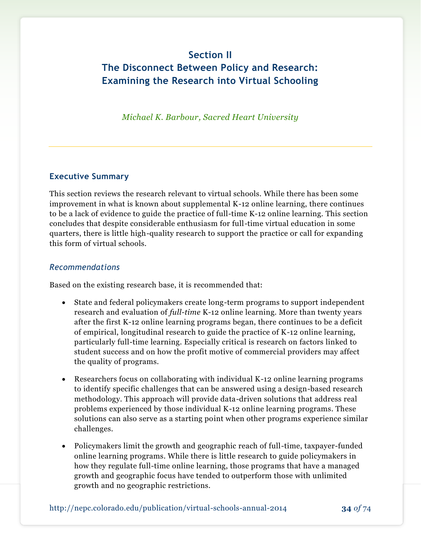# **Section II The Disconnect Between Policy and Research: Examining the Research into Virtual Schooling**

*Michael K. Barbour, Sacred Heart University*

### **Executive Summary**

This section reviews the research relevant to virtual schools. While there has been some improvement in what is known about supplemental K-12 online learning, there continues to be a lack of evidence to guide the practice of full-time K-12 online learning. This section concludes that despite considerable enthusiasm for full-time virtual education in some quarters, there is little high-quality research to support the practice or call for expanding this form of virtual schools.

### *Recommendations*

Based on the existing research base, it is recommended that:

- State and federal policymakers create long-term programs to support independent research and evaluation of *full-time* K-12 online learning. More than twenty years after the first K-12 online learning programs began, there continues to be a deficit of empirical, longitudinal research to guide the practice of K-12 online learning, particularly full-time learning. Especially critical is research on factors linked to student success and on how the profit motive of commercial providers may affect the quality of programs.
- Researchers focus on collaborating with individual K-12 online learning programs to identify specific challenges that can be answered using a design-based research methodology. This approach will provide data-driven solutions that address real problems experienced by those individual K-12 online learning programs. These solutions can also serve as a starting point when other programs experience similar challenges.
- Policymakers limit the growth and geographic reach of full-time, taxpayer-funded online learning programs. While there is little research to guide policymakers in how they regulate full-time online learning, those programs that have a managed growth and geographic focus have tended to outperform those with unlimited growth and no geographic restrictions.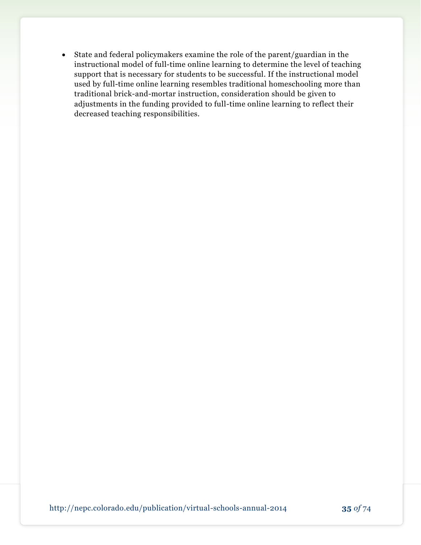State and federal policymakers examine the role of the parent/guardian in the instructional model of full-time online learning to determine the level of teaching support that is necessary for students to be successful. If the instructional model used by full-time online learning resembles traditional homeschooling more than traditional brick-and-mortar instruction, consideration should be given to adjustments in the funding provided to full-time online learning to reflect their decreased teaching responsibilities.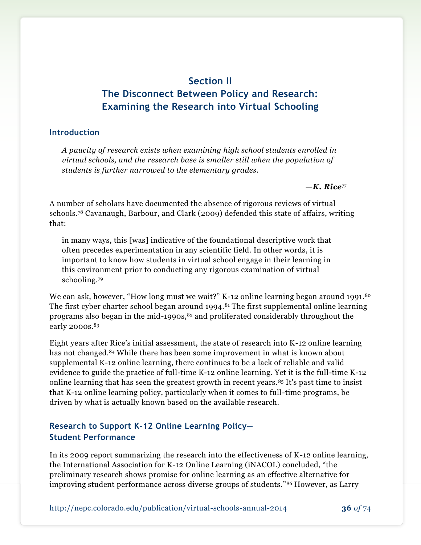## **Section II The Disconnect Between Policy and Research: Examining the Research into Virtual Schooling**

#### **Introduction**

*A paucity of research exists when examining high school students enrolled in virtual schools, and the research base is smaller still when the population of students is further narrowed to the elementary grades.*

*—K. Rice*<sup>77</sup>

A number of scholars have documented the absence of rigorous reviews of virtual schools.<sup>78</sup> Cavanaugh, Barbour, and Clark (2009) defended this state of affairs, writing that:

in many ways, this [was] indicative of the foundational descriptive work that often precedes experimentation in any scientific field. In other words, it is important to know how students in virtual school engage in their learning in this environment prior to conducting any rigorous examination of virtual schooling.<sup>79</sup>

We can ask, however, "How long must we wait?" K-12 online learning began around 1991.<sup>80</sup> The first cyber charter school began around 1994.<sup>81</sup> The first supplemental online learning programs also began in the mid-1990s, $82$  and proliferated considerably throughout the early 2000s.<sup>83</sup>

Eight years after Rice's initial assessment, the state of research into K-12 online learning has not changed.<sup>84</sup> While there has been some improvement in what is known about supplemental K-12 online learning, there continues to be a lack of reliable and valid evidence to guide the practice of full-time K-12 online learning. Yet it is the full-time K-12 online learning that has seen the greatest growth in recent years.<sup>85</sup> It's past time to insist that K-12 online learning policy, particularly when it comes to full-time programs, be driven by what is actually known based on the available research.

### **Research to Support K-12 Online Learning Policy— Student Performance**

In its 2009 report summarizing the research into the effectiveness of K-12 online learning, the International Association for K-12 Online Learning (iNACOL) concluded, "the preliminary research shows promise for online learning as an effective alternative for improving student performance across diverse groups of students."<sup>86</sup> However, as Larry

http://nepc.colorado.edu/publication/virtual-schools-annual-2014 **36** *of* 74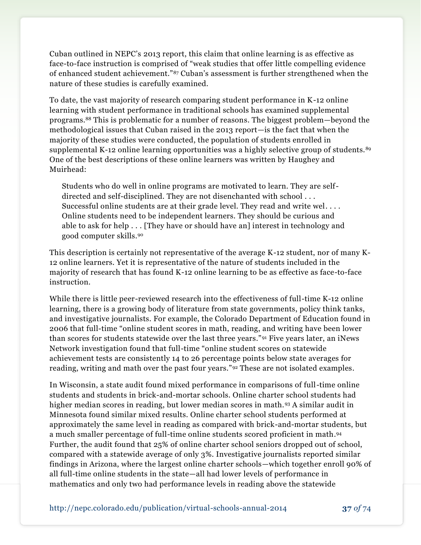Cuban outlined in NEPC's 2013 report, this claim that online learning is as effective as face-to-face instruction is comprised of "weak studies that offer little compelling evidence of enhanced student achievement."<sup>87</sup> Cuban's assessment is further strengthened when the nature of these studies is carefully examined.

To date, the vast majority of research comparing student performance in K-12 online learning with student performance in traditional schools has examined supplemental programs.<sup>88</sup> This is problematic for a number of reasons. The biggest problem—beyond the methodological issues that Cuban raised in the 2013 report—is the fact that when the majority of these studies were conducted, the population of students enrolled in supplemental K-12 online learning opportunities was a highly selective group of students.<sup>89</sup> One of the best descriptions of these online learners was written by Haughey and Muirhead:

Students who do well in online programs are motivated to learn. They are selfdirected and self-disciplined. They are not disenchanted with school . . . Successful online students are at their grade level. They read and write wel. . . . Online students need to be independent learners. They should be curious and able to ask for help  $\dots$  [They have or should have an] interest in technology and good computer skills.<sup>90</sup>

This description is certainly not representative of the average K-12 student, nor of many K-12 online learners. Yet it is representative of the nature of students included in the majority of research that has found K-12 online learning to be as effective as face-to-face instruction.

While there is little peer-reviewed research into the effectiveness of full-time K-12 online learning, there is a growing body of literature from state governments, policy think tanks, and investigative journalists. For example, the Colorado Department of Education found in 2006 that full-time "online student scores in math, reading, and writing have been lower than scores for students statewide over the last three years."<sup>91</sup> Five years later, an iNews Network investigation found that full-time "online student scores on statewide achievement tests are consistently 14 to 26 percentage points below state averages for reading, writing and math over the past four years."<sup>92</sup> These are not isolated examples.

In Wisconsin, a state audit found mixed performance in comparisons of full-time online students and students in brick-and-mortar schools. Online charter school students had higher median scores in reading, but lower median scores in math.<sup>93</sup> A similar audit in Minnesota found similar mixed results. Online charter school students performed at approximately the same level in reading as compared with brick-and-mortar students, but a much smaller percentage of full-time online students scored proficient in math. 94 Further, the audit found that 25% of online charter school seniors dropped out of school, compared with a statewide average of only 3%. Investigative journalists reported similar findings in Arizona, where the largest online charter schools—which together enroll 90% of all full-time online students in the state—all had lower levels of performance in mathematics and only two had performance levels in reading above the statewide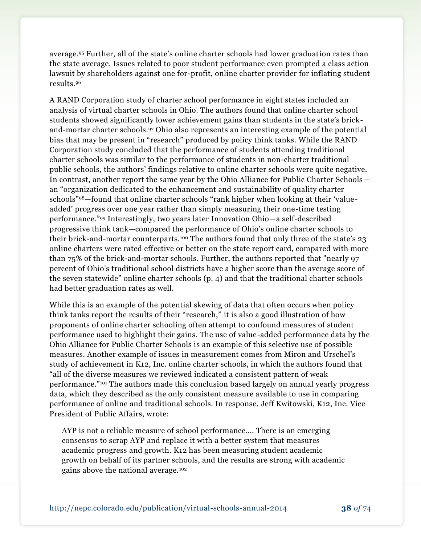average.<sup>95</sup> Further, all of the state's online charter schools had lower graduation rates than the state average. Issues related to poor student performance even prompted a class action lawsuit by shareholders against one for-profit, online charter provider for inflating student results.<sup>96</sup>

A RAND Corporation study of charter school performance in eight states included an analysis of virtual charter schools in Ohio. The authors found that online charter school students showed significantly lower achievement gains than students in the state's brickand-mortar charter schools.<sup>97</sup> Ohio also represents an interesting example of the potential bias that may be present in "research" produced by policy think tanks. While the RAND Corporation study concluded that the performance of students attending traditional charter schools was similar to the performance of students in non-charter traditional public schools, the authors' findings relative to online charter schools were quite negative. In contrast, another report the same year by the Ohio Alliance for Public Charter Schools an "organization dedicated to the enhancement and sustainability of quality charter schools"98—found that online charter schools "rank higher when looking at their 'valueadded' progress over one year rather than simply measuring their one-time testing performance."<sup>99</sup> Interestingly, two years later Innovation Ohio—a self-described progressive think tank—compared the performance of Ohio's online charter schools to their brick-and-mortar counterparts.<sup>100</sup> The authors found that only three of the state's 23 online charters were rated effective or better on the state report card, compared with more than 75% of the brick-and-mortar schools. Further, the authors reported that "nearly 97 percent of Ohio's traditional school districts have a higher score than the average score of the seven statewide" online charter schools (p. 4) and that the traditional charter schools had better graduation rates as well.

While this is an example of the potential skewing of data that often occurs when policy think tanks report the results of their "research," it is also a good illustration of how proponents of online charter schooling often attempt to confound measures of student performance used to highlight their gains. The use of value-added performance data by the Ohio Alliance for Public Charter Schools is an example of this selective use of possible measures. Another example of issues in measurement comes from Miron and Urschel's study of achievement in K12, Inc. online charter schools, in which the authors found that "all of the diverse measures we reviewed indicated a consistent pattern of weak performance."<sup>101</sup> The authors made this conclusion based largely on annual yearly progress data, which they described as the only consistent measure available to use in comparing performance of online and traditional schools. In response, Jeff Kwitowski, K12, Inc. Vice President of Public Affairs, wrote:

AYP is not a reliable measure of school performance…. There is an emerging consensus to scrap AYP and replace it with a better system that measures academic progress and growth. K12 has been measuring student academic growth on behalf of its partner schools, and the results are strong with academic gains above the national average.102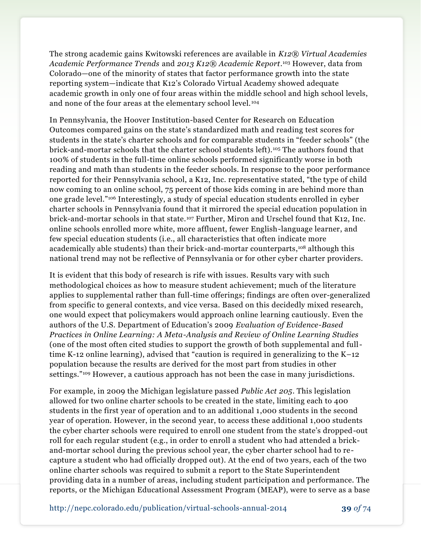The strong academic gains Kwitowski references are available in *K12® Virtual Academies Academic Performance Trends* and *2013 K12® Academic Report*. <sup>103</sup> However, data from Colorado—one of the minority of states that factor performance growth into the state reporting system—indicate that K12's Colorado Virtual Academy showed adequate academic growth in only one of four areas within the middle school and high school levels, and none of the four areas at the elementary school level. <sup>104</sup>

In Pennsylvania, the Hoover Institution-based Center for Research on Education Outcomes compared gains on the state's standardized math and reading test scores for students in the state's charter schools and for comparable students in "feeder schools" (the brick-and-mortar schools that the charter school students left).<sup>105</sup> The authors found that 100% of students in the full-time online schools performed significantly worse in both reading and math than students in the feeder schools. In response to the poor performance reported for their Pennsylvania school, a K12, Inc. representative stated, "the type of child now coming to an online school, 75 percent of those kids coming in are behind more than one grade level."<sup>106</sup> Interestingly, a study of special education students enrolled in cyber charter schools in Pennsylvania found that it mirrored the special education population in brick-and-mortar schools in that state.<sup>107</sup> Further, Miron and Urschel found that K12, Inc. online schools enrolled more white, more affluent, fewer English-language learner, and few special education students (i.e., all characteristics that often indicate more academically able students) than their brick-and-mortar counterparts, <sup>108</sup> although this national trend may not be reflective of Pennsylvania or for other cyber charter providers.

It is evident that this body of research is rife with issues. Results vary with such methodological choices as how to measure student achievement; much of the literature applies to supplemental rather than full-time offerings; findings are often over-generalized from specific to general contexts, and vice versa. Based on this decidedly mixed research, one would expect that policymakers would approach online learning cautiously. Even the authors of the U.S. Department of Education's 2009 *Evaluation of Evidence-Based Practices in Online Learning: A Meta-Analysis and Review of Online Learning Studies* (one of the most often cited studies to support the growth of both supplemental and fulltime K-12 online learning), advised that "caution is required in generalizing to the K–12 population because the results are derived for the most part from studies in other settings."<sup>109</sup> However, a cautious approach has not been the case in many jurisdictions.

For example, in 2009 the Michigan legislature passed *Public Act 205*. This legislation allowed for two online charter schools to be created in the state, limiting each to 400 students in the first year of operation and to an additional 1,000 students in the second year of operation. However, in the second year, to access these additional 1,000 students the cyber charter schools were required to enroll one student from the state's dropped-out roll for each regular student (e.g., in order to enroll a student who had attended a brickand-mortar school during the previous school year, the cyber charter school had to recapture a student who had officially dropped out). At the end of two years, each of the two online charter schools was required to submit a report to the State Superintendent providing data in a number of areas, including student participation and performance. The reports, or the Michigan Educational Assessment Program (MEAP), were to serve as a base

http://nepc.colorado.edu/publication/virtual-schools-annual-2014 **39** *of* 74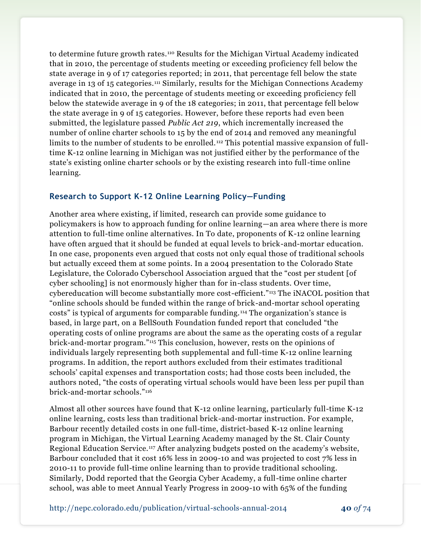to determine future growth rates.<sup>110</sup> Results for the Michigan Virtual Academy indicated that in 2010, the percentage of students meeting or exceeding proficiency fell below the state average in 9 of 17 categories reported; in 2011, that percentage fell below the state average in 13 of 15 categories.<sup>111</sup> Similarly, results for the Michigan Connections Academy indicated that in 2010, the percentage of students meeting or exceeding proficiency fell below the statewide average in 9 of the 18 categories; in 2011, that percentage fell below the state average in 9 of 15 categories. However, before these reports had even been submitted, the legislature passed *Public Act 219*, which incrementally increased the number of online charter schools to 15 by the end of 2014 and removed any meaningful limits to the number of students to be enrolled.<sup>112</sup> This potential massive expansion of fulltime K-12 online learning in Michigan was not justified either by the performance of the state's existing online charter schools or by the existing research into full-time online learning.

### **Research to Support K-12 Online Learning Policy—Funding**

Another area where existing, if limited, research can provide some guidance to policymakers is how to approach funding for online learning—an area where there is more attention to full-time online alternatives. In To date, proponents of K-12 online learning have often argued that it should be funded at equal levels to brick-and-mortar education. In one case, proponents even argued that costs not only equal those of traditional schools but actually exceed them at some points. In a 2004 presentation to the Colorado State Legislature, the Colorado Cyberschool Association argued that the "cost per student [of cyber schooling] is not enormously higher than for in-class students. Over time, cybereducation will become substantially more cost-efficient."<sup>113</sup> The iNACOL position that "online schools should be funded within the range of brick-and-mortar school operating costs" is typical of arguments for comparable funding. <sup>114</sup> The organization's stance is based, in large part, on a BellSouth Foundation funded report that concluded "the operating costs of online programs are about the same as the operating costs of a regular brick-and-mortar program."<sup>115</sup> This conclusion, however, rests on the opinions of individuals largely representing both supplemental and full-time K-12 online learning programs. In addition, the report authors excluded from their estimates traditional schools' capital expenses and transportation costs; had those costs been included, the authors noted, "the costs of operating virtual schools would have been less per pupil than brick-and-mortar schools."<sup>116</sup>

Almost all other sources have found that K-12 online learning, particularly full-time K-12 online learning, costs less than traditional brick-and-mortar instruction. For example, Barbour recently detailed costs in one full-time, district-based K-12 online learning program in Michigan, the Virtual Learning Academy managed by the St. Clair County Regional Education Service.<sup>117</sup> After analyzing budgets posted on the academy's website, Barbour concluded that it cost 16% less in 2009-10 and was projected to cost 7% less in 2010-11 to provide full-time online learning than to provide traditional schooling. Similarly, Dodd reported that the Georgia Cyber Academy, a full-time online charter school, was able to meet Annual Yearly Progress in 2009-10 with 65% of the funding

http://nepc.colorado.edu/publication/virtual-schools-annual-2014 **40** *of* 74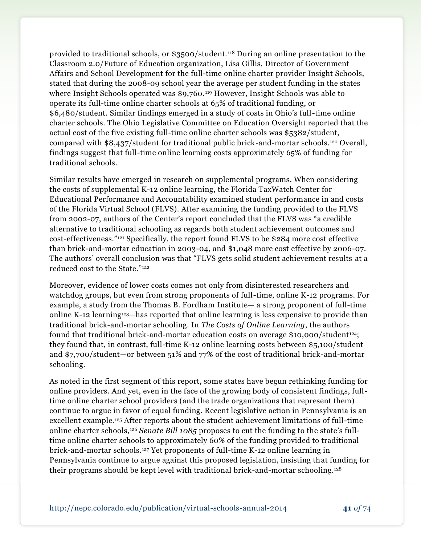provided to traditional schools, or \$3500/student. <sup>118</sup> During an online presentation to the Classroom 2.0/Future of Education organization, Lisa Gillis, Director of Government Affairs and School Development for the full-time online charter provider Insight Schools, stated that during the 2008-09 school year the average per student funding in the states where Insight Schools operated was \$9,760.<sup>119</sup> However, Insight Schools was able to operate its full-time online charter schools at 65% of traditional funding, or \$6,480/student. Similar findings emerged in a study of costs in Ohio's full-time online charter schools. The Ohio Legislative Committee on Education Oversight reported that the actual cost of the five existing full-time online charter schools was \$5382/student, compared with \$8,437/student for traditional public brick-and-mortar schools.<sup>120</sup> Overall, findings suggest that full-time online learning costs approximately 65% of funding for traditional schools.

Similar results have emerged in research on supplemental programs. When considering the costs of supplemental K-12 online learning, the Florida TaxWatch Center for Educational Performance and Accountability examined student performance in and costs of the Florida Virtual School (FLVS). After examining the funding provided to the FLVS from 2002-07, authors of the Center's report concluded that the FLVS was "a credible alternative to traditional schooling as regards both student achievement outcomes and cost-effectiveness."<sup>121</sup> Specifically, the report found FLVS to be \$284 more cost effective than brick-and-mortar education in 2003-04, and \$1,048 more cost effective by 2006-07. The authors' overall conclusion was that "FLVS gets solid student achievement results at a reduced cost to the State."<sup>122</sup>

Moreover, evidence of lower costs comes not only from disinterested researchers and watchdog groups, but even from strong proponents of full-time, online K-12 programs. For example, a study from the Thomas B. Fordham Institute— a strong proponent of full-time online K-12 learning123—has reported that online learning is less expensive to provide than traditional brick-and-mortar schooling. In *The Costs of Online Learning*, the authors found that traditional brick-and-mortar education costs on average \$10,000/student <sup>124</sup>; they found that, in contrast, full-time K-12 online learning costs between \$5,100/student and \$7,700/student—or between 51% and 77% of the cost of traditional brick-and-mortar schooling.

As noted in the first segment of this report, some states have begun rethinking funding for online providers. And yet, even in the face of the growing body of consistent findings, fulltime online charter school providers (and the trade organizations that represent them) continue to argue in favor of equal funding. Recent legislative action in Pennsylvania is an excellent example.<sup>125</sup> After reports about the student achievement limitations of full-time online charter schools,<sup>126</sup> *Senate Bill 1085* proposes to cut the funding to the state's fulltime online charter schools to approximately 60% of the funding provided to traditional brick-and-mortar schools.<sup>127</sup> Yet proponents of full-time K-12 online learning in Pennsylvania continue to argue against this proposed legislation, insisting that funding for their programs should be kept level with traditional brick-and-mortar schooling.128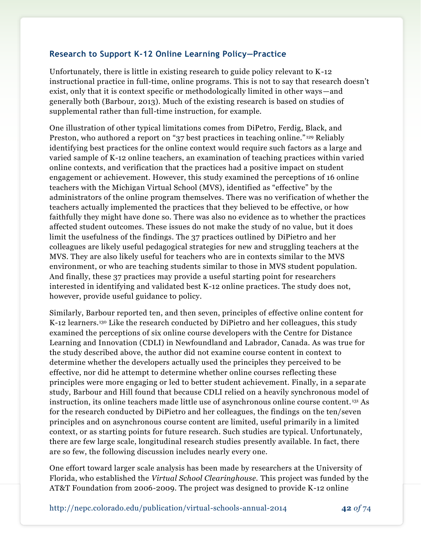### **Research to Support K-12 Online Learning Policy—Practice**

Unfortunately, there is little in existing research to guide policy relevant to K-12 instructional practice in full-time, online programs. This is not to say that research doesn't exist, only that it is context specific or methodologically limited in other ways—and generally both (Barbour, 2013). Much of the existing research is based on studies of supplemental rather than full-time instruction, for example.

One illustration of other typical limitations comes from DiPetro, Ferdig, Black, and Preston, who authored a report on "37 best practices in teaching online." <sup>129</sup> Reliably identifying best practices for the online context would require such factors as a large and varied sample of K-12 online teachers, an examination of teaching practices within varied online contexts, and verification that the practices had a positive impact on student engagement or achievement. However, this study examined the perceptions of 16 online teachers with the Michigan Virtual School (MVS), identified as "effective" by the administrators of the online program themselves. There was no verification of whether the teachers actually implemented the practices that they believed to be effective, or how faithfully they might have done so. There was also no evidence as to whether the practices affected student outcomes. These issues do not make the study of no value, but it does limit the usefulness of the findings. The 37 practices outlined by DiPietro and her colleagues are likely useful pedagogical strategies for new and struggling teachers at the MVS. They are also likely useful for teachers who are in contexts similar to the MVS environment, or who are teaching students similar to those in MVS student population. And finally, these 37 practices may provide a useful starting point for researchers interested in identifying and validated best K-12 online practices. The study does not, however, provide useful guidance to policy.

Similarly, Barbour reported ten, and then seven, principles of effective online content for K-12 learners.<sup>130</sup> Like the research conducted by DiPietro and her colleagues, this study examined the perceptions of six online course developers with the Centre for Distance Learning and Innovation (CDLI) in Newfoundland and Labrador, Canada. As was true for the study described above, the author did not examine course content in context to determine whether the developers actually used the principles they perceived to be effective, nor did he attempt to determine whether online courses reflecting these principles were more engaging or led to better student achievement. Finally, in a separate study, Barbour and Hill found that because CDLI relied on a heavily synchronous model of instruction, its online teachers made little use of asynchronous online course content. <sup>131</sup> As for the research conducted by DiPietro and her colleagues, the findings on the ten/seven principles and on asynchronous course content are limited, useful primarily in a limited context, or as starting points for future research. Such studies are typical. Unfortunately, there are few large scale, longitudinal research studies presently available. In fact, there are so few, the following discussion includes nearly every one.

One effort toward larger scale analysis has been made by researchers at the University of Florida, who established the *Virtual School Clearinghouse.* This project was funded by the AT&T Foundation from 2006-2009. The project was designed to provide K-12 online

http://nepc.colorado.edu/publication/virtual-schools-annual-2014 **42** *of* 74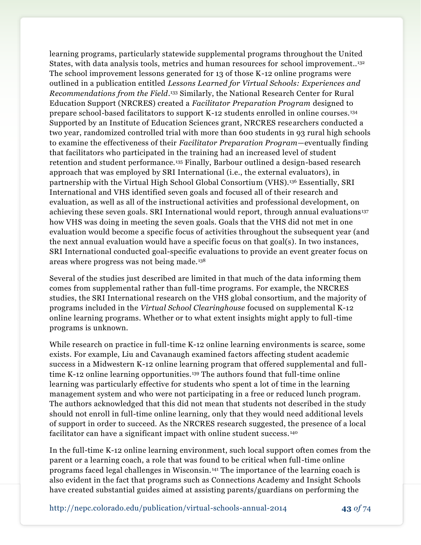learning programs, particularly statewide supplemental programs throughout the United States, with data analysis tools, metrics and human resources for school improvement..<sup>132</sup> The school improvement lessons generated for 13 of those K-12 online programs were outlined in a publication entitled *Lessons Learned for Virtual Schools: Experiences and Recommendations from the Field*. <sup>133</sup> Similarly, the National Research Center for Rural Education Support (NRCRES) created a *Facilitator Preparation Program* designed to prepare school-based facilitators to support K-12 students enrolled in online courses.<sup>134</sup> Supported by an Institute of Education Sciences grant, NRCRES researchers conducted a two year, randomized controlled trial with more than 600 students in 93 rural high schools to examine the effectiveness of their *Facilitator Preparation Program*—eventually finding that facilitators who participated in the training had an increased level of student retention and student performance.<sup>135</sup> Finally, Barbour outlined a design-based research approach that was employed by SRI International (i.e., the external evaluators), in partnership with the Virtual High School Global Consortium (VHS).<sup>136</sup> Essentially, SRI International and VHS identified seven goals and focused all of their research and evaluation, as well as all of the instructional activities and professional development, on achieving these seven goals. SRI International would report, through annual evaluations<sup>137</sup> how VHS was doing in meeting the seven goals. Goals that the VHS did not met in one evaluation would become a specific focus of activities throughout the subsequent year (and the next annual evaluation would have a specific focus on that goal(s). In two instances, SRI International conducted goal-specific evaluations to provide an event greater focus on areas where progress was not being made.<sup>138</sup>

Several of the studies just described are limited in that much of the data informing them comes from supplemental rather than full-time programs. For example, the NRCRES studies, the SRI International research on the VHS global consortium, and the majority of programs included in the *Virtual School Clearinghouse* focused on supplemental K-12 online learning programs. Whether or to what extent insights might apply to full-time programs is unknown.

While research on practice in full-time K-12 online learning environments is scarce, some exists. For example, Liu and Cavanaugh examined factors affecting student academic success in a Midwestern K-12 online learning program that offered supplemental and fulltime K-12 online learning opportunities.<sup>139</sup> The authors found that full-time online learning was particularly effective for students who spent a lot of time in the learning management system and who were not participating in a free or reduced lunch program. The authors acknowledged that this did not mean that students not described in the study should not enroll in full-time online learning, only that they would need additional levels of support in order to succeed. As the NRCRES research suggested, the presence of a local facilitator can have a significant impact with online student success.<sup>140</sup>

In the full-time K-12 online learning environment, such local support often comes from the parent or a learning coach, a role that was found to be critical when full-time online programs faced legal challenges in Wisconsin. <sup>141</sup> The importance of the learning coach is also evident in the fact that programs such as Connections Academy and Insight Schools have created substantial guides aimed at assisting parents/guardians on performing the

http://nepc.colorado.edu/publication/virtual-schools-annual-2014 **43** *of* 74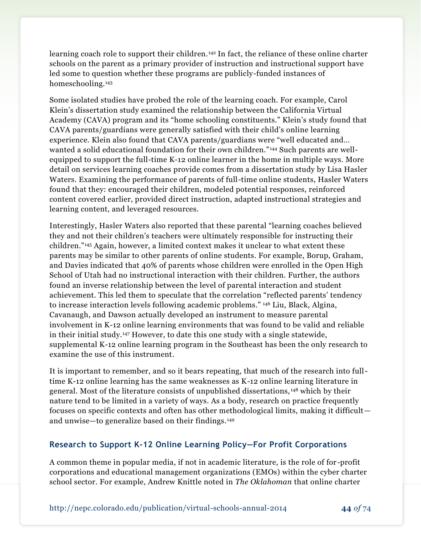learning coach role to support their children. <sup>142</sup> In fact, the reliance of these online charter schools on the parent as a primary provider of instruction and instructional support have led some to question whether these programs are publicly-funded instances of homeschooling.<sup>143</sup>

Some isolated studies have probed the role of the learning coach. For example, Carol Klein's dissertation study examined the relationship between the California Virtual Academy (CAVA) program and its "home schooling constituents." Klein's study found that CAVA parents/guardians were generally satisfied with their child's online learning experience. Klein also found that CAVA parents/guardians were "well educated and… wanted a solid educational foundation for their own children." <sup>144</sup> Such parents are wellequipped to support the full-time K-12 online learner in the home in multiple ways. More detail on services learning coaches provide comes from a dissertation study by Lisa Hasler Waters. Examining the performance of parents of full-time online students, Hasler Waters found that they: encouraged their children, modeled potential responses, reinforced content covered earlier, provided direct instruction, adapted instructional strategies and learning content, and leveraged resources.

Interestingly, Hasler Waters also reported that these parental "learning coaches believed they and not their children's teachers were ultimately responsible for instructing their children."<sup>145</sup> Again, however, a limited context makes it unclear to what extent these parents may be similar to other parents of online students. For example, Borup, Graham, and Davies indicated that 40% of parents whose children were enrolled in the Open High School of Utah had no instructional interaction with their children. Further, the authors found an inverse relationship between the level of parental interaction and student achievement. This led them to speculate that the correlation "reflected parents' tendency to increase interaction levels following academic problems." <sup>146</sup> Liu, Black, Algina, Cavanaugh, and Dawson actually developed an instrument to measure parental involvement in K-12 online learning environments that was found to be valid and reliable in their initial study.<sup>147</sup> However, to date this one study with a single statewide, supplemental K-12 online learning program in the Southeast has been the only research to examine the use of this instrument.

It is important to remember, and so it bears repeating, that much of the research into fulltime K-12 online learning has the same weaknesses as K-12 online learning literature in general. Most of the literature consists of unpublished dissertations, <sup>148</sup> which by their nature tend to be limited in a variety of ways. As a body, research on practice frequently focuses on specific contexts and often has other methodological limits, making it difficult and unwise—to generalize based on their findings.<sup>149</sup>

### **Research to Support K-12 Online Learning Policy—For Profit Corporations**

A common theme in popular media, if not in academic literature, is the role of for -profit corporations and educational management organizations (EMOs) within the cyber charter school sector. For example, Andrew Knittle noted in *The Oklahoman* that online charter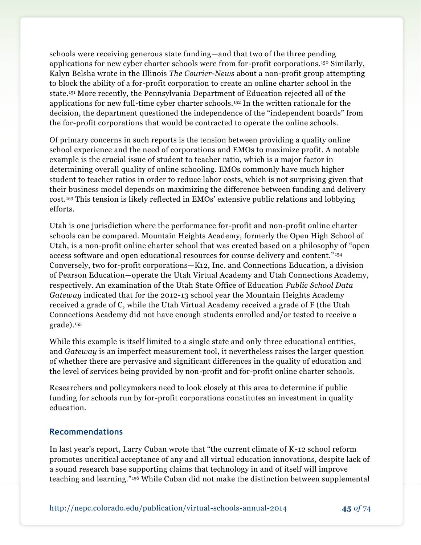schools were receiving generous state funding—and that two of the three pending applications for new cyber charter schools were from for-profit corporations.<sup>150</sup> Similarly, Kalyn Belsha wrote in the Illinois *The Courier-News* about a non-profit group attempting to block the ability of a for-profit corporation to create an online charter school in the state.<sup>151</sup> More recently, the Pennsylvania Department of Education rejected all of the applications for new full-time cyber charter schools.<sup>152</sup> In the written rationale for the decision, the department questioned the independence of the "independent boards" from the for-profit corporations that would be contracted to operate the online schools.

Of primary concerns in such reports is the tension between providing a quality online school experience and the need of corporations and EMOs to maximize profit. A notable example is the crucial issue of student to teacher ratio, which is a major factor in determining overall quality of online schooling. EMOs commonly have much higher student to teacher ratios in order to reduce labor costs, which is not surprising given that their business model depends on maximizing the difference between funding and delivery cost.<sup>153</sup> This tension is likely reflected in EMOs' extensive public relations and lobbying efforts.

Utah is one jurisdiction where the performance for-profit and non-profit online charter schools can be compared. Mountain Heights Academy, formerly the Open High School of Utah, is a non-profit online charter school that was created based on a philosophy of "open access software and open educational resources for course delivery and content." <sup>154</sup> Conversely, two for-profit corporations—K12, Inc. and Connections Education, a division of Pearson Education—operate the Utah Virtual Academy and Utah Connections Academy, respectively. An examination of the Utah State Office of Education *Public School Data Gateway* indicated that for the 2012-13 school year the Mountain Heights Academy received a grade of C, while the Utah Virtual Academy received a grade of F (the Utah Connections Academy did not have enough students enrolled and/or tested to receive a grade).<sup>155</sup>

While this example is itself limited to a single state and only three educational entities, and *Gateway* is an imperfect measurement tool, it nevertheless raises the larger question of whether there are pervasive and significant differences in the quality of education and the level of services being provided by non-profit and for-profit online charter schools.

Researchers and policymakers need to look closely at this area to determine if public funding for schools run by for-profit corporations constitutes an investment in quality education.

### **Recommendations**

In last year's report, Larry Cuban wrote that "the current climate of K-12 school reform promotes uncritical acceptance of any and all virtual education innovations, despite lack of a sound research base supporting claims that technology in and of itself will improve teaching and learning."<sup>156</sup> While Cuban did not make the distinction between supplemental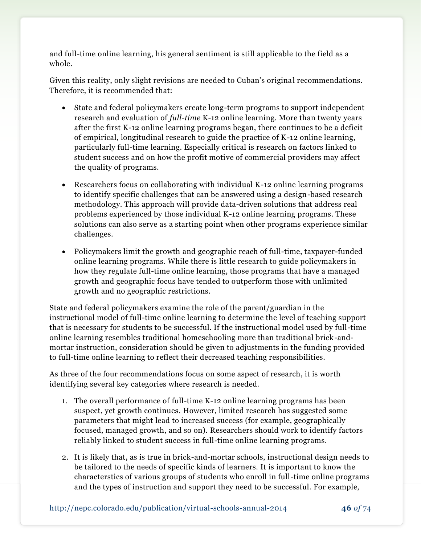and full-time online learning, his general sentiment is still applicable to the field as a whole.

Given this reality, only slight revisions are needed to Cuban's original recommendations. Therefore, it is recommended that:

- State and federal policymakers create long-term programs to support independent research and evaluation of *full-time* K-12 online learning. More than twenty years after the first K-12 online learning programs began, there continues to be a deficit of empirical, longitudinal research to guide the practice of K-12 online learning, particularly full-time learning. Especially critical is research on factors linked to student success and on how the profit motive of commercial providers may affect the quality of programs.
- Researchers focus on collaborating with individual K-12 online learning programs to identify specific challenges that can be answered using a design-based research methodology. This approach will provide data-driven solutions that address real problems experienced by those individual K-12 online learning programs. These solutions can also serve as a starting point when other programs experience similar challenges.
- Policymakers limit the growth and geographic reach of full-time, taxpayer-funded online learning programs. While there is little research to guide policymakers in how they regulate full-time online learning, those programs that have a managed growth and geographic focus have tended to outperform those with unlimited growth and no geographic restrictions.

State and federal policymakers examine the role of the parent/guardian in the instructional model of full-time online learning to determine the level of teaching support that is necessary for students to be successful. If the instructional model used by full-time online learning resembles traditional homeschooling more than traditional brick-andmortar instruction, consideration should be given to adjustments in the funding provided to full-time online learning to reflect their decreased teaching responsibilities.

As three of the four recommendations focus on some aspect of research, it is worth identifying several key categories where research is needed.

- 1. The overall performance of full-time K-12 online learning programs has been suspect, yet growth continues. However, limited research has suggested some parameters that might lead to increased success (for example, geographically focused, managed growth, and so on). Researchers should work to identify factors reliably linked to student success in full-time online learning programs.
- 2. It is likely that, as is true in brick-and-mortar schools, instructional design needs to be tailored to the needs of specific kinds of learners. It is important to know the characterstics of various groups of students who enroll in full-time online programs and the types of instruction and support they need to be successful. For example,

http://nepc.colorado.edu/publication/virtual-schools-annual-2014 **46** *of* 74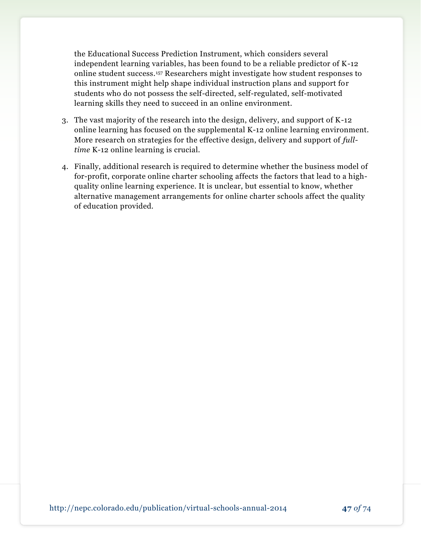the Educational Success Prediction Instrument, which considers several independent learning variables, has been found to be a reliable predictor of K-12 online student success.<sup>157</sup> Researchers might investigate how student responses to this instrument might help shape individual instruction plans and support for students who do not possess the self-directed, self-regulated, self-motivated learning skills they need to succeed in an online environment.

- 3. The vast majority of the research into the design, delivery, and support of K-12 online learning has focused on the supplemental K-12 online learning environment. More research on strategies for the effective design, delivery and support of *fulltime* K-12 online learning is crucial.
- 4. Finally, additional research is required to determine whether the business model of for-profit, corporate online charter schooling affects the factors that lead to a highquality online learning experience. It is unclear, but essential to know, whether alternative management arrangements for online charter schools affect the quality of education provided.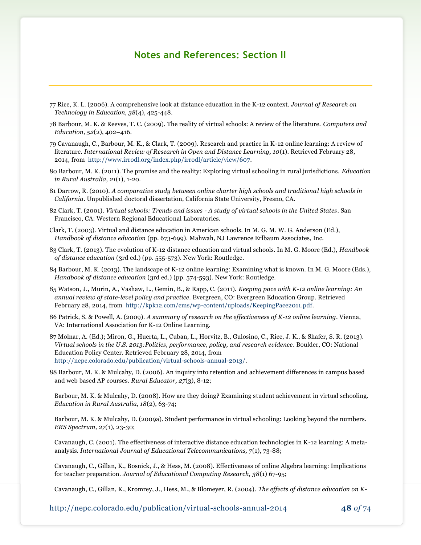## **Notes and References: Section II**

- 77 Rice, K. L. (2006). A comprehensive look at distance education in the K-12 context. *Journal of Research on Technology in Education, 38*(4), 425-448.
- 78 Barbour, M. K. & Reeves, T. C. (2009). The reality of virtual schools: A review of the literature. *Computers and Education, 52*(2), 402–416.
- 79 Cavanaugh, C., Barbour, M. K., & Clark, T. (2009). Research and practice in K-12 online learning: A review of literature. *International Review of Research in Open and Distance Learning, 10*(1). Retrieved February 28, 2014, from [http://www.irrodl.org/index.php/irrodl/article/view/607.](http://www.irrodl.org/index.php/irrodl/article/view/607)
- 80 Barbour, M. K. (2011). The promise and the reality: Exploring virtual schooling in rural jurisdictions. *Education in Rural Australia, 21*(1), 1-20.
- 81 Darrow, R. (2010). *A comparative study between online charter high schools and traditional high schools in California*. Unpublished doctoral dissertation, California State University, Fresno, CA.
- 82 Clark, T. (2001). *Virtual schools: Trends and issues - A study of virtual schools in the United States*. San Francisco, CA: Western Regional Educational Laboratories.
- Clark, T. (2003). Virtual and distance education in American schools. In M. G. M. W. G. Anderson (Ed.), *Handbook of distance education* (pp. 673-699). Mahwah, NJ Lawrence Erlbaum Associates, Inc.
- 83 Clark, T. (2013). The evolution of K-12 distance education and virtual schools. In M. G. Moore (Ed.), *Handbook of distance education* (3rd ed.) (pp. 555-573). New York: Routledge.
- 84 Barbour, M. K. (2013). The landscape of K-12 online learning: Examining what is known. In M. G. Moore (Eds.), *Handbook of distance education* (3rd ed.) (pp. 574-593). New York: Routledge.
- 85 Watson, J., Murin, A., Vashaw, L., Gemin, B., & Rapp, C. (2011). *Keeping pace with K-12 online learning: An annual review of state-level policy and practice*. Evergreen, CO: Evergreen Education Group. Retrieved February 28, 2014, from [http://kpk12.com/cms/wp-content/uploads/KeepingPace2011.pdf.](http://kpk12.com/cms/wp-content/uploads/KeepingPace2011.pdf)
- 86 Patrick, S. & Powell, A. (2009). *A summary of research on the effectiveness of K-12 online learning*. Vienna, VA: International Association for K-12 Online Learning.
- 87 Molnar, A. (Ed.); Miron, G., Huerta, L., Cuban, L., Horvitz, B., Gulosino, C., Rice, J. K., & Shafer, S. R. (2013). *Virtual schools in the U.S. 2013:Politics, performance, policy, and research evidence*. Boulder, CO: National Education Policy Center. Retrieved February 28, 2014, from [http://nepc.colorado.edu/publication/virtual-schools-annual-2013/.](http://nepc.colorado.edu/publication/virtual-schools-annual-2013/)
- 88 Barbour, M. K. & Mulcahy, D. (2006). An inquiry into retention and achievement differences in campus based and web based AP courses. *Rural Educator, 27*(3), 8-12;

Barbour, M. K. & Mulcahy, D. (2008). How are they doing? Examining student achievement in virtual schooling. *Education in Rural Australia, 18*(2), 63-74;

Barbour, M. K. & Mulcahy, D. (2009a). Student performance in virtual schooling: Looking beyond the numbers. *ERS Spectrum, 27*(1), 23-30;

Cavanaugh, C. (2001). The effectiveness of interactive distance education technologies in K-12 learning: A metaanalysis. *International Journal of Educational Telecommunications, 7*(1), 73-88;

Cavanaugh, C., Gillan, K., Bosnick, J., & Hess, M. (2008). Effectiveness of online Algebra learning: Implications for teacher preparation. *Journal of Educational Computing Research, 38*(1) 67-95;

Cavanaugh, C., Gillan, K., Kromrey, J., Hess, M., & Blomeyer, R. (2004). *The effects of distance education on K-*

http://nepc.colorado.edu/publication/virtual-schools-annual-2014 **48** *of* 74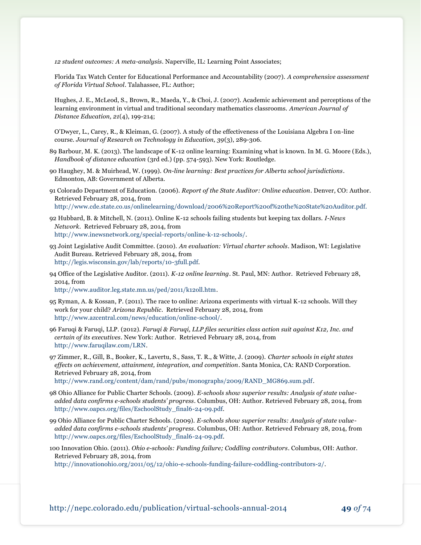*12 student outcomes: A meta-analysis*. Naperville, IL: Learning Point Associates;

Florida Tax Watch Center for Educational Performance and Accountability (2007). *A comprehensive assessment of Florida Virtual School*. Talahassee, FL: Author;

Hughes, J. E., McLeod, S., Brown, R., Maeda, Y., & Choi, J. (2007). Academic achievement and perceptions of the learning environment in virtual and traditional secondary mathematics classrooms. *American Journal of Distance Education, 21*(4), 199-214;

O'Dwyer, L., Carey, R., & Kleiman, G. (2007). A study of the effectiveness of the Louisiana Algebra I on-line course. *Journal of Research on Technology in Education, 39*(3), 289-306.

- 89 Barbour, M. K. (2013). The landscape of K-12 online learning: Examining what is known. In M. G. Moore (Eds.), *Handbook of distance education* (3rd ed.) (pp. 574-593). New York: Routledge.
- 90 Haughey, M. & Muirhead, W. (1999). *On-line learning: Best practices for Alberta school jurisdictions*. Edmonton, AB: Government of Alberta.
- 91 Colorado Department of Education. (2006). *Report of the State Auditor: Online education*. Denver, CO: Author. Retrieved February 28, 2014, from <http://www.cde.state.co.us/onlinelearning/download/2006%20Report%20of%20the%20State%20Auditor.pdf.>

92 Hubbard, B. & Mitchell, N. (2011). Online K-12 schools failing students but keeping tax dollars. *I-News Network*. Retrieved February 28, 2014, from [http://www.inewsnetwork.org/special-reports/online-k-12-schools/.](http://www.inewsnetwork.org/special-reports/online-k-12-schools/)

- 93 Joint Legislative Audit Committee. (2010). *An evaluation: Virtual charter schools*. Madison, WI: Legislative Audit Bureau. Retrieved February 28, 2014, from [http://legis.wisconsin.gov/lab/reports/10-3full.pdf.](http://legis.wisconsin.gov/lab/reports/10-3full.pdf)
- 94 Office of the Legislative Auditor. (2011). *K-12 online learning*. St. Paul, MN: Author. Retrieved February 28, 2014, from

[http://www.auditor.leg.state.mn.us/ped/2011/k12oll.htm.](http://www.auditor.leg.state.mn.us/ped/2011/k12oll.htm)

- 95 Ryman, A. & Kossan, P. (2011). The race to online: Arizona experiments with virtual K-12 schools. Will they work for your child? *Arizona Republic*. Retrieved February 28, 2014, from [http://www.azcentral.com/news/education/online-school/.](http://www.azcentral.com/news/education/online-school/)
- 96 Faruqi & Faruqi, LLP. (2012). *Faruqi & Faruqi, LLP files securities class action suit against K12, Inc. and certain of its executives*. New York: Author. Retrieved February 28, 2014, from [http://www.faruqilaw.com/LRN.](http://www.faruqilaw.com/LRN)
- 97 Zimmer, R., Gill, B., Booker, K., Lavertu, S., Sass, T. R., & Witte, J. (2009). *Charter schools in eight states effects on achievement, attainment, integration, and competition*. Santa Monica, CA: RAND Corporation. Retrieved February 28, 2014, from

[http://www.rand.org/content/dam/rand/pubs/monographs/2009/RAND\\_MG869.sum.pdf.](http://www.rand.org/content/dam/rand/pubs/monographs/2009/RAND_MG869.sum.pdf)

- 98 Ohio Alliance for Public Charter Schools. (2009). *E-schools show superior results: Analysis of state valueadded data confirms e-schools students' progress*. Columbus, OH: Author. Retrieved February 28, 2014, from [http://www.oapcs.org/files/EschoolStudy\\_final6-24-09.pdf.](http://www.oapcs.org/files/EschoolStudy_final6-24-09.pdf)
- 99 Ohio Alliance for Public Charter Schools. (2009). *E-schools show superior results: Analysis of state valueadded data confirms e-schools students' progress*. Columbus, OH: Author. Retrieved February 28, 2014, from [http://www.oapcs.org/files/EschoolStudy\\_final6-24-09.pdf.](http://www.oapcs.org/files/EschoolStudy_final6-24-09.pdf)
- 100 Innovation Ohio. (2011). *Ohio e-schools: Funding failure; Coddling contributors*. Columbus, OH: Author. Retrieved February 28, 2014, from

[http://innovationohio.org/2011/05/12/ohio-e-schools-funding-failure-coddling-contributors-2/.](http://innovationohio.org/2011/05/12/ohio-e-schools-funding-failure-coddling-contributors-2/)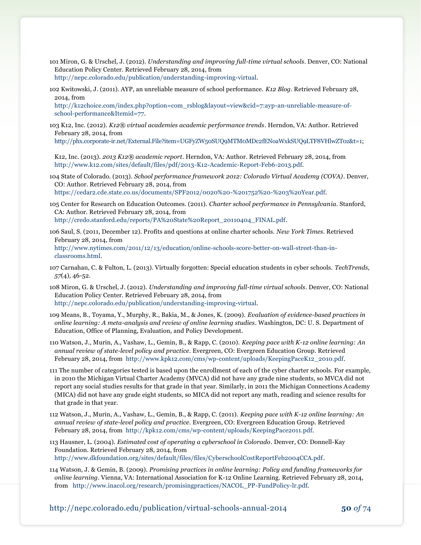- 101 Miron, G. & Urschel, J. (2012). *Understanding and improving full-time virtual schools*. Denver, CO: National Education Policy Center. Retrieved February 28, 2014, from
- [http://nepc.colorado.edu/publication/understanding-improving-virtual.](http://nepc.colorado.edu/publication/understanding-improving-virtual)
- 102 Kwitowski, J. (2011). AYP, an unreliable measure of school performance. *K12 Blog*. Retrieved February 28, 2014, from

[http://k12choice.com/index.php?option=com\\_rsblog&layout=view&cid=7:ayp-an-unreliable-measure-of](http://k12choice.com/index.php?option=com_rsblog&layout=view&cid=7:ayp-an-unreliable-measure-of-school-performance&Itemid=77)[school-performance&Itemid=77.](http://k12choice.com/index.php?option=com_rsblog&layout=view&cid=7:ayp-an-unreliable-measure-of-school-performance&Itemid=77)

103 K12, Inc. (2012). *K12® virtual academies academic performance trends*. Herndon, VA: Author. Retrieved February 28, 2014, from

[http://phx.corporate-ir.net/External.File?item=UGFyZW50SUQ9MTM0MDc2fENoaWxkSUQ9LTF8VHlwZT0z&t=1;](http://phx.corporate-ir.net/External.File?item=UGFyZW50SUQ9MTM0MDc2fENoaWxkSUQ9LTF8VHlwZT0z&t=1)

K12, Inc. (2013). *2013 K12® academic report*. Herndon, VA: Author. Retrieved February 28, 2014, from [http://www.k12.com/sites/default/files/pdf/2013-K12-Academic-Report-Feb6-2013.pdf.](http://www.k12.com/sites/default/files/pdf/2013-K12-Academic-Report-Feb6-2013.pdf)

104 State of Colorado. (2013). *School performance framework 2012: Colorado Virtual Academy (COVA)*. Denver, CO: Author. Retrieved February 28, 2014, from [https://cedar2.cde.state.co.us/documents/SPF2012/0020%20-%201752%20-%203%20Year.pdf.](https://cedar2.cde.state.co.us/documents/SPF2012/0020%20-%201752%20-%203%20Year.pdf)

105 Center for Research on Education Outcomes. (2011). *Charter school performance in Pennsylvania*. Stanford, CA: Author. Retrieved February 28, 2014, from [http://credo.stanford.edu/reports/PA%20State%20Report\\_20110404\\_FINAL.pdf.](http://credo.stanford.edu/reports/PA%20State%20Report_20110404_FINAL.pdf)

106 Saul, S. (2011, December 12). Profits and questions at online charter schools. *New York Times*. Retrieved February 28, 2014, from [http://www.nytimes.com/2011/12/13/education/online-schools-score-better-on-wall-street-than-in](http://www.nytimes.com/2011/12/13/education/online-schools-score-better-on-wall-street-than-in-classrooms.html)[classrooms.html.](http://www.nytimes.com/2011/12/13/education/online-schools-score-better-on-wall-street-than-in-classrooms.html)

107 Carnahan, C. & Fulton, L. (2013). Virtually forgotten: Special education students in cyber schools. *TechTrends, 57*(4), 46-52.

108 Miron, G. & Urschel, J. (2012). *Understanding and improving full-time virtual schools*. Denver, CO: National Education Policy Center. Retrieved February 28, 2014, from [http://nepc.colorado.edu/publication/understanding-improving-virtual.](http://nepc.colorado.edu/publication/understanding-improving-virtual)

109 Means, B., Toyama, Y., Murphy, R., Bakia, M., & Jones, K. (2009). *Evaluation of evidence-based practices in online learning: A meta-analysis and review of online learning studies*. Washington, DC: U. S. Department of Education, Office of Planning, Evaluation, and Policy Development.

110 Watson, J., Murin, A., Vashaw, L., Gemin, B., & Rapp, C. (2010). *Keeping pace with K-12 online learning: An annual review of state-level policy and practice*. Evergreen, CO: Evergreen Education Group. Retrieved February 28, 2014, from [http://www.kpk12.com/cms/wp-content/uploads/KeepingPaceK12\\_2010.pdf.](http://www.kpk12.com/cms/wp-content/uploads/KeepingPaceK12_2010.pdf)

- 111 The number of categories tested is based upon the enrollment of each of the cyber charter schools. For example, in 2010 the Michigan Virtual Charter Academy (MVCA) did not have any grade nine students, so MVCA did not report any social studies results for that grade in that year. Similarly, in 2011 the Michigan Connections Academy (MICA) did not have any grade eight students, so MICA did not report any math, reading and science results for that grade in that year.
- 112 Watson, J., Murin, A., Vashaw, L., Gemin, B., & Rapp, C. (2011). *Keeping pace with K-12 online learning: An annual review of state-level policy and practice*. Evergreen, CO: Evergreen Education Group. Retrieved February 28, 2014, from [http://kpk12.com/cms/wp-content/uploads/KeepingPace2011.pdf.](http://kpk12.com/cms/wp-content/uploads/KeepingPace2011.pdf)

113 Hausner, L. (2004). *Estimated cost of operating a cyberschool in Colorado*. Denver, CO: Donnell-Kay Foundation. Retrieved February 28, 2014, from [http://www.dkfoundation.org/sites/default/files/files/CyberschoolCostReportFeb2004CCA.pdf.](http://www.dkfoundation.org/sites/default/files/files/CyberschoolCostReportFeb2004CCA.pdf)

114 Watson, J. & Gemin, B. (2009). *Promising practices in online learning: Policy and funding frameworks for online learning*. Vienna, VA: International Association for K-12 Online Learning. Retrieved February 28, 2014, from [http://www.inacol.org/research/promisingpractices/NACOL\\_PP-FundPolicy-lr.pdf.](http://www.inacol.org/research/promisingpractices/NACOL_PP-FundPolicy-lr.pdf)

http://nepc.colorado.edu/publication/virtual-schools-annual-2014 **50** *of* 74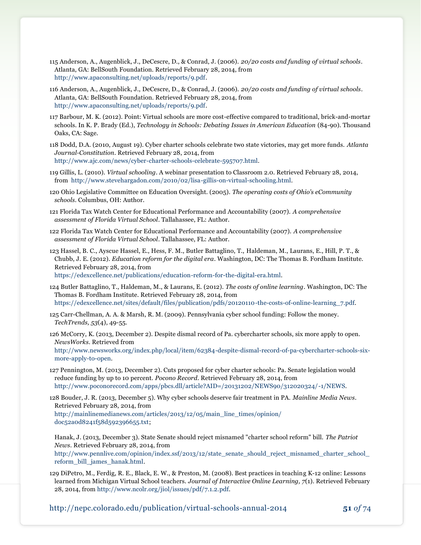- 115 Anderson, A., Augenblick, J., DeCescre, D., & Conrad, J. (2006). *20/20 costs and funding of virtual schools*. Atlanta, GA: BellSouth Foundation. Retrieved February 28, 2014, from [http://www.apaconsulting.net/uploads/reports/9.pdf.](http://www.apaconsulting.net/uploads/reports/9.pdf)
- 116 Anderson, A., Augenblick, J., DeCescre, D., & Conrad, J. (2006). *20/20 costs and funding of virtual schools*. Atlanta, GA: BellSouth Foundation. Retrieved February 28, 2014, from [http://www.apaconsulting.net/uploads/reports/9.pdf.](http://www.apaconsulting.net/uploads/reports/9.pdf)
- 117 Barbour, M. K. (2012). Point: Virtual schools are more cost-effective compared to traditional, brick-and-mortar schools. In K. P. Brady (Ed.), *Technology in Schools: Debating Issues in American Education* (84-90). Thousand Oaks, CA: Sage.
- 118 Dodd, D.A. (2010, August 19). Cyber charter schools celebrate two state victories, may get more funds. *Atlanta Journal-Constitution*. Retrieved February 28, 2014, from [http://www.ajc.com/news/cyber-charter-schools-celebrate-595707.html.](http://www.ajc.com/news/cyber-charter-schools-celebrate-595707.html)
- 119 Gillis, L. (2010). *Virtual schooling*. A webinar presentation to Classroom 2.0. Retrieved February 28, 2014, from [http://www.stevehargadon.com/2010/02/lisa-gillis-on-virtual-schooling.html.](http://www.stevehargadon.com/2010/02/lisa-gillis-on-virtual-schooling.html)
- 120 Ohio Legislative Committee on Education Oversight. (2005). *The operating costs of Ohio's eCommunity schools*. Columbus, OH: Author.
- 121 Florida Tax Watch Center for Educational Performance and Accountability (2007). *A comprehensive assessment of Florida Virtual School*. Tallahassee, FL: Author.
- 122 Florida Tax Watch Center for Educational Performance and Accountability (2007). *A comprehensive assessment of Florida Virtual School*. Tallahassee, FL: Author.
- 123 Hassel, B. C., Ayscue Hassel, E., Hess, F. M., Butler Battaglino, T., Haldeman, M., Laurans, E., Hill, P. T., & Chubb, J. E. (2012). *Education reform for the digital era*. Washington, DC: The Thomas B. Fordham Institute. Retrieved February 28, 2014, from [https://edexcellence.net/publications/education-reform-for-the-digital-era.html.](https://edexcellence.net/publications/education-reform-for-the-digital-era.html)

124 Butler Battaglino, T., Haldeman, M., & Laurans, E. (2012). *The costs of online learning*. Washington, DC: The

Thomas B. Fordham Institute. Retrieved February 28, 2014, from [https://edexcellence.net/sites/default/files/publication/pdfs/20120110-the-costs-of-online-learning\\_7.pdf.](https://edexcellence.net/sites/default/files/publication/pdfs/20120110-the-costs-of-online-learning_7.pdf)

125 Carr-Chellman, A. A. & Marsh, R. M. (2009). Pennsylvania cyber school funding: Follow the money. *TechTrends, 53*(4), 49-55.

126 McCorry, K. (2013, December 2). Despite dismal record of Pa. cybercharter schools, six more apply to open. *NewsWorks*. Retrieved from

[http://www.newsworks.org/index.php/local/item/62384-despite-dismal-record-of-pa-cybercharter-schools-six](http://www.newsworks.org/index.php/local/item/62384-despite-dismal-record-of-pa-cybercharter-schools-six-more-apply-to-open)[more-apply-to-open.](http://www.newsworks.org/index.php/local/item/62384-despite-dismal-record-of-pa-cybercharter-schools-six-more-apply-to-open)

127 Pennington, M. (2013, December 2). Cuts proposed for cyber charter schools: Pa. Senate legislation would reduce funding by up to 10 percent. *Pocono Record*. Retrieved February 28, 2014, from [http://www.poconorecord.com/apps/pbcs.dll/article?AID=/20131202/NEWS90/312020324/-1/NEWS.](http://www.poconorecord.com/apps/pbcs.dll/article?AID=/20131202/NEWS90/312020324/-1/NEWS)

128 Bouder, J. R. (2013, December 5). Why cyber schools deserve fair treatment in PA. *Mainline Media News*. Retrieved February 28, 2014, from [http://mainlinemedianews.com/articles/2013/12/05/main\\_line\\_times/opinion/](http://mainlinemedianews.com/articles/2013/12/05/main_line_times/opinion/doc52a0d8241f58d592396655.txt) [doc52a0d8241f58d592396655.txt;](http://mainlinemedianews.com/articles/2013/12/05/main_line_times/opinion/doc52a0d8241f58d592396655.txt)

Hanak, J. (2013, December 3). State Senate should reject misnamed "charter school reform" bill. *The Patriot News*. Retrieved February 28, 2014, from [http://www.pennlive.com/opinion/index.ssf/2013/12/state\\_senate\\_should\\_reject\\_misnamed\\_charter\\_school\\_](http://www.pennlive.com/opinion/index.ssf/2013/12/state_senate_should_reject_misnamed_charter_school_reform_bill_james_hanak.html) [reform\\_bill\\_james\\_hanak.html.](http://www.pennlive.com/opinion/index.ssf/2013/12/state_senate_should_reject_misnamed_charter_school_reform_bill_james_hanak.html)

129 DiPetro, M., Ferdig, R. E., Black, E. W., & Preston, M. (2008). Best practices in teaching K-12 online: Lessons learned from Michigan Virtual School teachers. *Journal of Interactive Online Learning, 7*(1). Retrieved February 28, 2014, from [http://www.ncolr.org/jiol/issues/pdf/7.1.2.pdf.](http://www.ncolr.org/jiol/issues/pdf/7.1.2.pdf)

http://nepc.colorado.edu/publication/virtual-schools-annual-2014 **51** *of* 74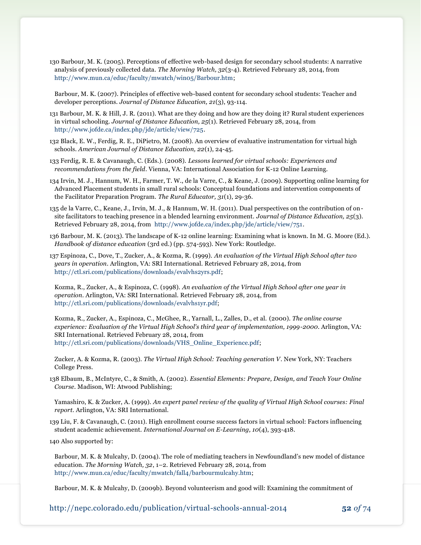130 Barbour, M. K. (2005). Perceptions of effective web-based design for secondary school students: A narrative analysis of previously collected data. *The Morning Watch, 32*(3-4). Retrieved February 28, 2014, from [http://www.mun.ca/educ/faculty/mwatch/win05/Barbour.htm;](http://www.mun.ca/educ/faculty/mwatch/win05/Barbour.htm)

Barbour, M. K. (2007). Principles of effective web-based content for secondary school students: Teacher and developer perceptions. *Journal of Distance Education, 21*(3), 93-114.

- 131 Barbour, M. K. & Hill, J. R. (2011). What are they doing and how are they doing it? Rural student experiences in virtual schooling. *Journal of Distance Education, 25*(1). Retrieved February 28, 2014, from [http://www.jofde.ca/index.php/jde/article/view/725.](http://www.jofde.ca/index.php/jde/article/view/725)
- 132 Black, E. W., Ferdig, R. E., DiPietro, M. (2008). An overview of evaluative instrumentation for virtual high schools. *American Journal of Distance Education, 22*(1), 24-45.
- 133 Ferdig, R. E. & Cavanaugh, C. (Eds.). (2008). *Lessons learned for virtual schools: Experiences and recommendations from the field*. Vienna, VA: International Association for K-12 Online Learning.
- 134 Irvin, M. J., Hannum, W. H., Farmer, T. W., de la Varre, C., & Keane, J. (2009). Supporting online learning for Advanced Placement students in small rural schools: Conceptual foundations and intervention components of the Facilitator Preparation Program. *The Rural Educator, 31*(1), 29-36.

135 de la Varre, C., Keane, J., Irvin, M. J., & Hannum, W. H. (2011). Dual perspectives on the contribution of onsite facilitators to teaching presence in a blended learning environment. *Journal of Distance Education, 25*(3). Retrieved February 28, 2014, from [http://www.jofde.ca/index.php/jde/article/view/751.](http://www.jofde.ca/index.php/jde/article/view/751)

136 Barbour, M. K. (2013). The landscape of K-12 online learning: Examining what is known. In M. G. Moore (Ed.). *Handbook of distance education* (3rd ed.) (pp. 574-593). New York: Routledge.

137 Espinoza, C., Dove, T., Zucker, A., & Kozma, R. (1999). *An evaluation of the Virtual High School after two years in operation*. Arlington, VA: SRI International. Retrieved February 28, 2014, from [http://ctl.sri.com/publications/downloads/evalvhs2yrs.pdf;](http://ctl.sri.com/publications/downloads/evalvhs2yrs.pdf)

Kozma, R., Zucker, A., & Espinoza, C. (1998). *An evaluation of the Virtual High School after one year in operation*. Arlington, VA: SRI International. Retrieved February 28, 2014, from [http://ctl.sri.com/publications/downloads/evalvhs1yr.pdf;](http://ctl.sri.com/publications/downloads/evalvhs1yr.pdf)

Kozma, R., Zucker, A., Espinoza, C., McGhee, R., Yarnall, L., Zalles, D., et al. (2000). *The online course experience: Evaluation of the Virtual High School's third year of implementation, 1999-2000*. Arlington, VA: SRI International. Retrieved February 28, 2014, from [http://ctl.sri.com/publications/downloads/VHS\\_Online\\_Experience.pdf;](http://ctl.sri.com/publications/downloads/VHS_Online_Experience.pdf)

Zucker, A. & Kozma, R. (2003). *The Virtual High School: Teaching generation V*. New York, NY: Teachers College Press.

138 Elbaum, B., McIntyre, C., & Smith, A. (2002). *Essential Elements: Prepare, Design, and Teach Your Online Course*. Madison, WI: Atwood Publishing;

Yamashiro, K. & Zucker, A. (1999). *An expert panel review of the quality of Virtual High School courses: Final report.* Arlington, VA: SRI International.

139 Liu, F. & Cavanaugh, C. (2011). High enrollment course success factors in virtual school: Factors influencing student academic achievement. *International Journal on E-Learning, 10*(4), 393-418.

140 Also supported by:

Barbour, M. K. & Mulcahy, D. (2004). The role of mediating teachers in Newfoundland's new model of distance education. *The Morning Watch, 32*, 1–2. Retrieved February 28, 2014, from [http://www.mun.ca/educ/faculty/mwatch/fall4/barbourmulcahy.htm;](http://www.mun.ca/educ/faculty/mwatch/fall4/barbourmulcahy.htm)

Barbour, M. K. & Mulcahy, D. (2009b). Beyond volunteerism and good will: Examining the commitment of

http://nepc.colorado.edu/publication/virtual-schools-annual-2014 **52** *of* 74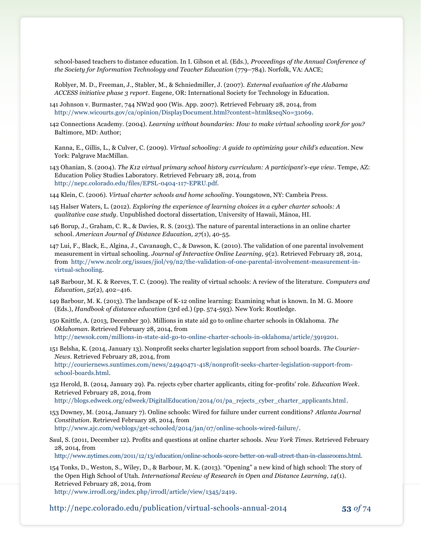school-based teachers to distance education. In I. Gibson et al. (Eds.), *Proceedings of the Annual Conference of the Society for Information Technology and Teacher Education* (779–784). Norfolk, VA: AACE;

Roblyer, M. D., Freeman, J., Stabler, M., & Schniedmiller, J. (2007). *External evaluation of the Alabama ACCESS initiative phase 3 report*. Eugene, OR: International Society for Technology in Education.

141 Johnson v. Burmaster, 744 NW2d 900 (Wis. App. 2007). Retrieved February 28, 2014, from [http://www.wicourts.gov/ca/opinion/DisplayDocument.html?content=html&seqNo=31069.](http://www.wicourts.gov/ca/opinion/DisplayDocument.html?content=html&seqNo=31069)

142 Connections Academy. (2004). *Learning without boundaries: How to make virtual schooling work for you?* Baltimore, MD: Author;

Kanna, E., Gillis, L., & Culver, C. (2009). *Virtual schooling: A guide to optimizing your child's education*. New York: Palgrave MacMillan.

143 Ohanian, S. (2004). *The K12 virtual primary school history curriculum: A participant's-eye view*. Tempe, AZ: Education Policy Studies Laboratory. Retrieved February 28, 2014, from [http://nepc.colorado.edu/files/EPSL-0404-117-EPRU.pdf.](http://nepc.colorado.edu/files/EPSL-0404-117-EPRU.pdf)

144 Klein, C. (2006). *Virtual charter schools and home schooling*. Youngstown, NY: Cambria Press.

145 Halser Waters, L. (2012). *Exploring the experience of learning choices in a cyber charter schools: A qualitative case study*. Unpublished doctoral dissertation, University of Hawaii, Mānoa, HI.

146 Borup, J., Graham, C. R., & Davies, R. S. (2013). The nature of parental interactions in an online charter school. *American Journal of Distance Education, 27*(1), 40-55.

147 Lui, F., Black, E., Algina, J., Cavanaugh, C., & Dawson, K. (2010). The validation of one parental involvement measurement in virtual schooling. *Journal of Interactive Online Learning, 9*(2). Retrieved February 28, 2014, from [http://www.ncolr.org/issues/jiol/v9/n2/the-validation-of-one-parental-involvement-measurement-in](http://www.ncolr.org/issues/jiol/v9/n2/the-validation-of-one-parental-involvement-measurement-in-virtual-schooling)[virtual-schooling.](http://www.ncolr.org/issues/jiol/v9/n2/the-validation-of-one-parental-involvement-measurement-in-virtual-schooling)

148 Barbour, M. K. & Reeves, T. C. (2009). The reality of virtual schools: A review of the literature. *Computers and Education, 52*(2), 402–416.

149 Barbour, M. K. (2013). The landscape of K-12 online learning: Examining what is known. In M. G. Moore (Eds.), *Handbook of distance education* (3rd ed.) (pp. 574-593). New York: Routledge.

150 Knittle, A. (2013, December 30). Millions in state aid go to online charter schools in Oklahoma. *The Oklahoman*. Retrieved February 28, 2014, from [http://newsok.com/millions-in-state-aid-go-to-online-charter-schools-in-oklahoma/article/3919201.](http://newsok.com/millions-in-state-aid-go-to-online-charter-schools-in-oklahoma/article/3919201)

151 Belsha, K. (2014, January 13). Nonprofit seeks charter legislation support from school boards. *The Courier-News*. Retrieved February 28, 2014, from [http://couriernews.suntimes.com/news/24940471-418/nonprofit-seeks-charter-legislation-support-from](http://couriernews.suntimes.com/news/24940471-418/nonprofit-seeks-charter-legislation-support-from-school-boards.html)[school-boards.html.](http://couriernews.suntimes.com/news/24940471-418/nonprofit-seeks-charter-legislation-support-from-school-boards.html)

152 Herold, B. (2014, January 29). Pa. rejects cyber charter applicants, citing for-profits' role. *Education Week*. Retrieved February 28, 2014, from [http://blogs.edweek.org/edweek/DigitalEducation/2014/01/pa\\_rejects\\_cyber\\_charter\\_applicants.html.](http://blogs.edweek.org/edweek/DigitalEducation/2014/01/pa_rejects_cyber_charter_applicants.html)

153 Downey, M. (2014, January 7). Online schools: Wired for failure under current conditions? *Atlanta Journal Constitution*. Retrieved February 28, 2014, from

[http://www.ajc.com/weblogs/get-schooled/2014/jan/07/online-schools-wired-failure/.](http://www.ajc.com/weblogs/get-schooled/2014/jan/07/online-schools-wired-failure/)

Saul, S. (2011, December 12). Profits and questions at online charter schools. *New York Times*. Retrieved February 28, 2014, from

[http://www.nytimes.com/2011/12/13/education/online-schools-score-better-on-wall-street-than-in-classrooms.html.](http://www.nytimes.com/2011/12/13/education/online-schools-score-better-on-wall-street-than-in-classrooms.html)

154 Tonks, D., Weston, S., Wiley, D., & Barbour, M. K. (2013). "Opening" a new kind of high school: The story of the Open High School of Utah. *International Review of Research in Open and Distance Learning, 14*(1). Retrieved February 28, 2014, from [http://www.irrodl.org/index.php/irrodl/article/view/1345/2419.](http://www.irrodl.org/index.php/irrodl/article/view/1345/2419)

http://nepc.colorado.edu/publication/virtual-schools-annual-2014 **53** *of* 74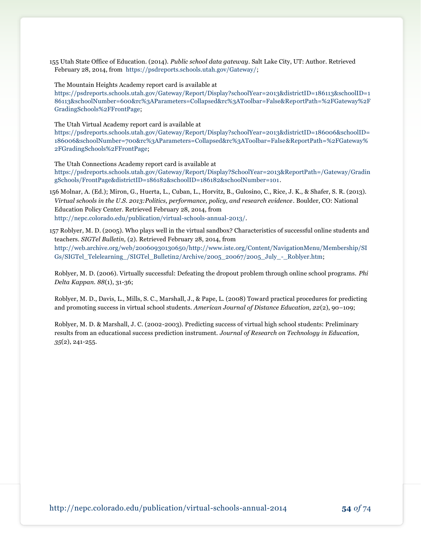155 Utah State Office of Education. (2014). *Public school data gateway*. Salt Lake City, UT: Author. Retrieved February 28, 2014, from [https://psdreports.schools.utah.gov/Gateway/;](https://psdreports.schools.utah.gov/Gateway/)

The Mountain Heights Academy report card is available at [https://psdreports.schools.utah.gov/Gateway/Report/Display?schoolYear=2013&districtID=186113&schoolID=1](https://psdreports.schools.utah.gov/Gateway/Report/Display?schoolYear=2013&districtID=186113&schoolID=186113&schoolNumber=600&rc%3AParameters=Collapsed&rc%3AToolbar=False&ReportPath=%2FGateway%2FGradingSchools%2FFrontPage) [86113&schoolNumber=600&rc%3AParameters=Collapsed&rc%3AToolbar=False&ReportPath=%2FGateway%2F](https://psdreports.schools.utah.gov/Gateway/Report/Display?schoolYear=2013&districtID=186113&schoolID=186113&schoolNumber=600&rc%3AParameters=Collapsed&rc%3AToolbar=False&ReportPath=%2FGateway%2FGradingSchools%2FFrontPage) [GradingSchools%2FFrontPage;](https://psdreports.schools.utah.gov/Gateway/Report/Display?schoolYear=2013&districtID=186113&schoolID=186113&schoolNumber=600&rc%3AParameters=Collapsed&rc%3AToolbar=False&ReportPath=%2FGateway%2FGradingSchools%2FFrontPage)

The Utah Virtual Academy report card is available at

[https://psdreports.schools.utah.gov/Gateway/Report/Display?schoolYear=2013&districtID=186006&schoolID=](https://psdreports.schools.utah.gov/Gateway/Report/Display?schoolYear=2013&districtID=186006&schoolID=186006&schoolNumber=700&rc%3AParameters=Collapsed&rc%3AToolbar=False&ReportPath=%2FGateway%2FGradingSchools%2FFrontPage) [186006&schoolNumber=700&rc%3AParameters=Collapsed&rc%3AToolbar=False&ReportPath=%2FGateway%](https://psdreports.schools.utah.gov/Gateway/Report/Display?schoolYear=2013&districtID=186006&schoolID=186006&schoolNumber=700&rc%3AParameters=Collapsed&rc%3AToolbar=False&ReportPath=%2FGateway%2FGradingSchools%2FFrontPage) [2FGradingSchools%2FFrontPage;](https://psdreports.schools.utah.gov/Gateway/Report/Display?schoolYear=2013&districtID=186006&schoolID=186006&schoolNumber=700&rc%3AParameters=Collapsed&rc%3AToolbar=False&ReportPath=%2FGateway%2FGradingSchools%2FFrontPage)

The Utah Connections Academy report card is available at [https://psdreports.schools.utah.gov/Gateway/Report/Display?SchoolYear=2013&ReportPath=/Gateway/Gradin](https://psdreports.schools.utah.gov/Gateway/Report/Display?SchoolYear=2013&ReportPath=/Gateway/GradingSchools/FrontPage&districtID=186182&schoolID=186182&schoolNumber=101) [gSchools/FrontPage&districtID=186182&schoolID=186182&schoolNumber=101.](https://psdreports.schools.utah.gov/Gateway/Report/Display?SchoolYear=2013&ReportPath=/Gateway/GradingSchools/FrontPage&districtID=186182&schoolID=186182&schoolNumber=101)

- 156 Molnar, A. (Ed.); Miron, G., Huerta, L., Cuban, L., Horvitz, B., Gulosino, C., Rice, J. K., & Shafer, S. R. (2013). *Virtual schools in the U.S. 2013:Politics, performance, policy, and research evidence*. Boulder, CO: National Education Policy Center. Retrieved February 28, 2014, from [http://nepc.colorado.edu/publication/virtual-schools-annual-2013/.](http://nepc.colorado.edu/publication/virtual-schools-annual-2013/)
- 157 Roblyer, M. D. (2005). Who plays well in the virtual sandbox? Characteristics of successful online students and teachers. *SIGTel Bulletin,* (2). Retrieved February 28, 2014, from [http://web.archive.org/web/20060930130650/http://www.iste.org/Content/NavigationMenu/Membership/SI](http://web.archive.org/web/20060930130650/http:/www.iste.org/Content/NavigationMenu/Membership/SIGs/SIGTel_Telelearning_/SIGTel_Bulletin2/Archive/2005_20067/2005_July_-_Roblyer.htm) [Gs/SIGTel\\_Telelearning\\_/SIGTel\\_Bulletin2/Archive/2005\\_20067/2005\\_July\\_-\\_Roblyer.htm;](http://web.archive.org/web/20060930130650/http:/www.iste.org/Content/NavigationMenu/Membership/SIGs/SIGTel_Telelearning_/SIGTel_Bulletin2/Archive/2005_20067/2005_July_-_Roblyer.htm)

Roblyer, M. D. (2006). Virtually successful: Defeating the dropout problem through online school programs. *Phi Delta Kappan. 88*(1), 31-36;

Roblyer, M. D., Davis, L., Mills, S. C., Marshall, J., & Pape, L. (2008) Toward practical procedures for predicting and promoting success in virtual school students. *American Journal of Distance Education, 22*(2), 90–109;

Roblyer, M. D. & Marshall, J. C. (2002-2003). Predicting success of virtual high school students: Preliminary results from an educational success prediction instrument. *Journal of Research on Technology in Education, 35*(2), 241-255.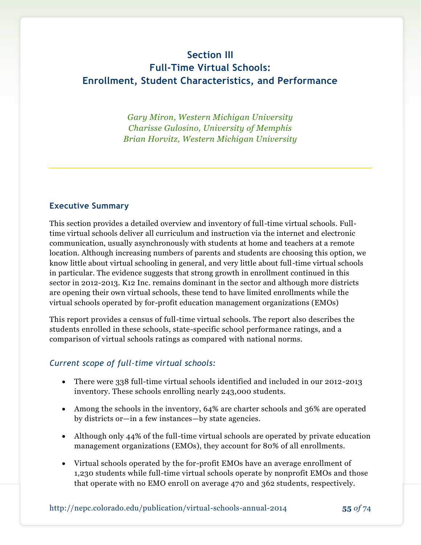# **Section III Full-Time Virtual Schools: Enrollment, Student Characteristics, and Performance**

*Gary Miron, Western Michigan University Charisse Gulosino, University of Memphis Brian Horvitz, Western Michigan University*

#### **Executive Summary**

This section provides a detailed overview and inventory of full-time virtual schools. Fulltime virtual schools deliver all curriculum and instruction via the internet and electronic communication, usually asynchronously with students at home and teachers at a remote location. Although increasing numbers of parents and students are choosing this option, we know little about virtual schooling in general, and very little about full-time virtual schools in particular. The evidence suggests that strong growth in enrollment continued in this sector in 2012-2013. K12 Inc. remains dominant in the sector and although more districts are opening their own virtual schools, these tend to have limited enrollments while the virtual schools operated by for-profit education management organizations (EMOs)

This report provides a census of full-time virtual schools. The report also describes the students enrolled in these schools, state-specific school performance ratings, and a comparison of virtual schools ratings as compared with national norms.

#### *Current scope of full-time virtual schools:*

- There were 338 full-time virtual schools identified and included in our 2012-2013 inventory. These schools enrolling nearly 243,000 students.
- Among the schools in the inventory, 64% are charter schools and 36% are operated by districts or—in a few instances—by state agencies.
- Although only 44% of the full-time virtual schools are operated by private education management organizations (EMOs), they account for 80% of all enrollments.
- Virtual schools operated by the for-profit EMOs have an average enrollment of 1,230 students while full-time virtual schools operate by nonprofit EMOs and those that operate with no EMO enroll on average 470 and 362 students, respectively.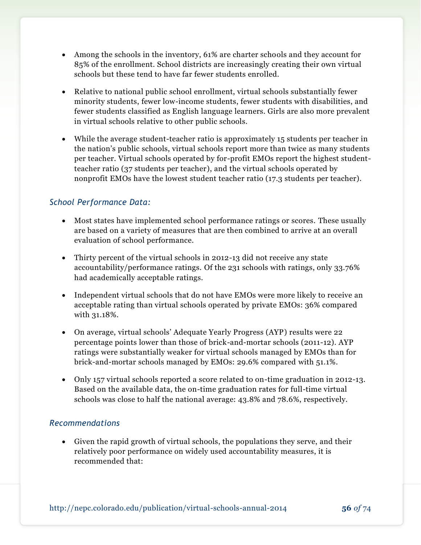- Among the schools in the inventory, 61% are charter schools and they account for 85% of the enrollment. School districts are increasingly creating their own virtual schools but these tend to have far fewer students enrolled.
- Relative to national public school enrollment, virtual schools substantially fewer minority students, fewer low-income students, fewer students with disabilities, and fewer students classified as English language learners. Girls are also more prevalent in virtual schools relative to other public schools.
- While the average student-teacher ratio is approximately 15 students per teacher in the nation's public schools, virtual schools report more than twice as many students per teacher. Virtual schools operated by for-profit EMOs report the highest studentteacher ratio (37 students per teacher), and the virtual schools operated by nonprofit EMOs have the lowest student teacher ratio (17.3 students per teacher).

## *School Performance Data:*

- Most states have implemented school performance ratings or scores. These usually are based on a variety of measures that are then combined to arrive at an overall evaluation of school performance.
- Thirty percent of the virtual schools in 2012-13 did not receive any state accountability/performance ratings. Of the 231 schools with ratings, only 33.76% had academically acceptable ratings.
- Independent virtual schools that do not have EMOs were more likely to receive an acceptable rating than virtual schools operated by private EMOs: 36% compared with 31.18%.
- On average, virtual schools' Adequate Yearly Progress (AYP) results were 22 percentage points lower than those of brick-and-mortar schools (2011-12). AYP ratings were substantially weaker for virtual schools managed by EMOs than for brick-and-mortar schools managed by EMOs: 29.6% compared with 51.1%.
- Only 157 virtual schools reported a score related to on-time graduation in 2012-13. Based on the available data, the on-time graduation rates for full-time virtual schools was close to half the national average: 43.8% and 78.6%, respectively.

### *Recommendations*

 Given the rapid growth of virtual schools, the populations they serve, and their relatively poor performance on widely used accountability measures, it is recommended that: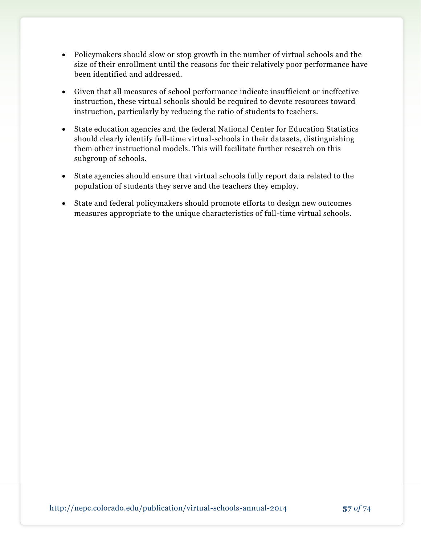- Policymakers should slow or stop growth in the number of virtual schools and the size of their enrollment until the reasons for their relatively poor performance have been identified and addressed.
- Given that all measures of school performance indicate insufficient or ineffective instruction, these virtual schools should be required to devote resources toward instruction, particularly by reducing the ratio of students to teachers.
- State education agencies and the federal National Center for Education Statistics should clearly identify full-time virtual-schools in their datasets, distinguishing them other instructional models. This will facilitate further research on this subgroup of schools.
- State agencies should ensure that virtual schools fully report data related to the population of students they serve and the teachers they employ.
- State and federal policymakers should promote efforts to design new outcomes measures appropriate to the unique characteristics of full-time virtual schools.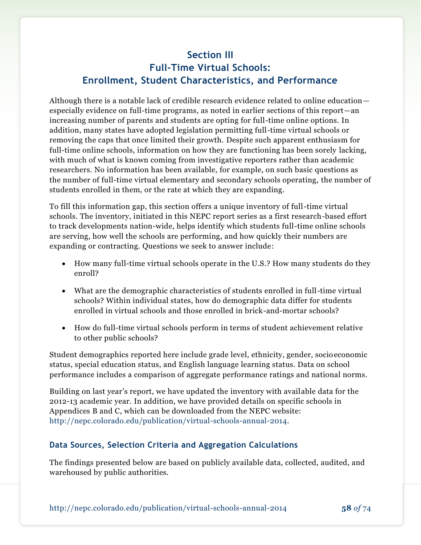# **Section III Full-Time Virtual Schools: Enrollment, Student Characteristics, and Performance**

Although there is a notable lack of credible research evidence related to online education especially evidence on full-time programs, as noted in earlier sections of this report—an increasing number of parents and students are opting for full-time online options. In addition, many states have adopted legislation permitting full-time virtual schools or removing the caps that once limited their growth. Despite such apparent enthusiasm for full-time online schools, information on how they are functioning has been sorely lacking, with much of what is known coming from investigative reporters rather than academic researchers. No information has been available, for example, on such basic questions as the number of full-time virtual elementary and secondary schools operating, the number of students enrolled in them, or the rate at which they are expanding.

To fill this information gap, this section offers a unique inventory of full-time virtual schools. The inventory, initiated in this NEPC report series as a first research-based effort to track developments nation-wide, helps identify which students full-time online schools are serving, how well the schools are performing, and how quickly their numbers are expanding or contracting. Questions we seek to answer include:

- How many full-time virtual schools operate in the U.S.? How many students do they enroll?
- What are the demographic characteristics of students enrolled in full-time virtual schools? Within individual states, how do demographic data differ for students enrolled in virtual schools and those enrolled in brick-and-mortar schools?
- How do full-time virtual schools perform in terms of student achievement relative to other public schools?

Student demographics reported here include grade level, ethnicity, gender, socioeconomic status, special education status, and English language learning status. Data on school performance includes a comparison of aggregate performance ratings and national norms.

Building on last year's report, we have updated the inventory with available data for the 2012-13 academic year. In addition, we have provided details on specific schools in Appendices B and C, which can be downloaded from the NEPC website: [http://nepc.colorado.edu/publication/virtual-schools-annual-2014.](http://nepc.colorado.edu/publication/virtual-schools-annual-2014)

### **Data Sources, Selection Criteria and Aggregation Calculations**

The findings presented below are based on publicly available data, collected, audited, and warehoused by public authorities.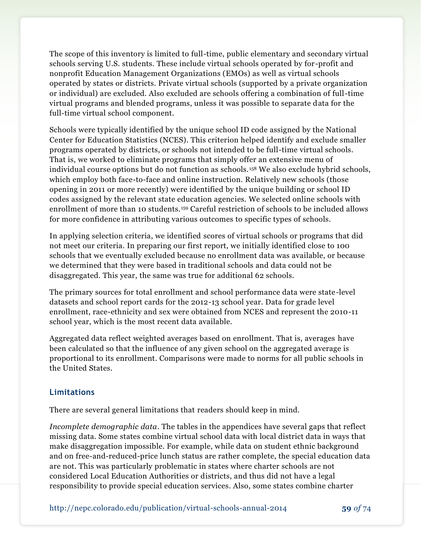The scope of this inventory is limited to full-time, public elementary and secondary virtual schools serving U.S. students. These include virtual schools operated by for-profit and nonprofit Education Management Organizations (EMOs) as well as virtual schools operated by states or districts. Private virtual schools (supported by a private organization or individual) are excluded. Also excluded are schools offering a combination of full-time virtual programs and blended programs, unless it was possible to separate data for the full-time virtual school component.

Schools were typically identified by the unique school ID code assigned by the National Center for Education Statistics (NCES). This criterion helped identify and exclude smaller programs operated by districts, or schools not intended to be full-time virtual schools. That is, we worked to eliminate programs that simply offer an extensive menu of individual course options but do not function as schools. <sup>158</sup> We also exclude hybrid schools, which employ both face-to-face and online instruction. Relatively new schools (those opening in 2011 or more recently) were identified by the unique building or school ID codes assigned by the relevant state education agencies. We selected online schools with enrollment of more than 10 students.<sup>159</sup> Careful restriction of schools to be included allows for more confidence in attributing various outcomes to specific types of schools.

In applying selection criteria, we identified scores of virtual schools or programs that did not meet our criteria. In preparing our first report, we initially identified close to 100 schools that we eventually excluded because no enrollment data was available, or because we determined that they were based in traditional schools and data could not be disaggregated. This year, the same was true for additional 62 schools.

The primary sources for total enrollment and school performance data were state-level datasets and school report cards for the 2012-13 school year. Data for grade level enrollment, race-ethnicity and sex were obtained from NCES and represent the 2010-11 school year, which is the most recent data available.

Aggregated data reflect weighted averages based on enrollment. That is, averages have been calculated so that the influence of any given school on the aggregated average is proportional to its enrollment. Comparisons were made to norms for all public schools in the United States.

### **Limitations**

There are several general limitations that readers should keep in mind.

*Incomplete demographic data*. The tables in the appendices have several gaps that reflect missing data. Some states combine virtual school data with local district data in ways that make disaggregation impossible. For example, while data on student ethnic background and on free-and-reduced-price lunch status are rather complete, the special education data are not. This was particularly problematic in states where charter schools are not considered Local Education Authorities or districts, and thus did not have a legal responsibility to provide special education services. Also, some states combine charter

http://nepc.colorado.edu/publication/virtual-schools-annual-2014 **59** *of* 74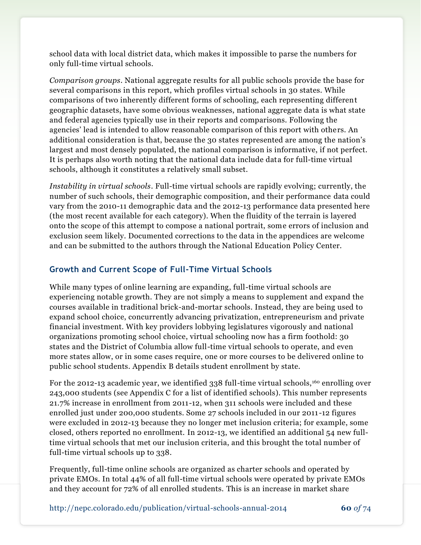school data with local district data, which makes it impossible to parse the numbers for only full-time virtual schools.

*Comparison groups*. National aggregate results for all public schools provide the base for several comparisons in this report, which profiles virtual schools in 30 states. While comparisons of two inherently different forms of schooling, each representing different geographic datasets, have some obvious weaknesses, national aggregate data is what state and federal agencies typically use in their reports and comparisons. Following the agencies' lead is intended to allow reasonable comparison of this report with others. An additional consideration is that, because the 30 states represented are among the nation's largest and most densely populated, the national comparison is informative, if not perfect. It is perhaps also worth noting that the national data include data for full-time virtual schools, although it constitutes a relatively small subset.

*Instability in virtual schools*. Full-time virtual schools are rapidly evolving; currently, the number of such schools, their demographic composition, and their performance data could vary from the 2010-11 demographic data and the 2012-13 performance data presented here (the most recent available for each category). When the fluidity of the terrain is layered onto the scope of this attempt to compose a national portrait, some errors of inclusion and exclusion seem likely. Documented corrections to the data in the appendices are welcome and can be submitted to the authors through the National Education Policy Center.

### **Growth and Current Scope of Full-Time Virtual Schools**

While many types of online learning are expanding, full-time virtual schools are experiencing notable growth. They are not simply a means to supplement and expand the courses available in traditional brick-and-mortar schools. Instead, they are being used to expand school choice, concurrently advancing privatization, entrepreneurism and private financial investment. With key providers lobbying legislatures vigorously and national organizations promoting school choice, virtual schooling now has a firm foothold: 30 states and the District of Columbia allow full-time virtual schools to operate, and even more states allow, or in some cases require, one or more courses to be delivered online to public school students. Appendix B details student enrollment by state.

For the 2012-13 academic year, we identified 338 full-time virtual schools,<sup>160</sup> enrolling over 243,000 students (see Appendix C for a list of identified schools). This number represents 21.7% increase in enrollment from 2011-12, when 311 schools were included and these enrolled just under 200,000 students. Some 27 schools included in our 2011 -12 figures were excluded in 2012-13 because they no longer met inclusion criteria; for example, some closed, others reported no enrollment. In 2012-13, we identified an additional 54 new fulltime virtual schools that met our inclusion criteria, and this brought the total number of full-time virtual schools up to 338.

Frequently, full-time online schools are organized as charter schools and operated by private EMOs. In total 44% of all full-time virtual schools were operated by private EMOs and they account for 72% of all enrolled students. This is an increase in market share

http://nepc.colorado.edu/publication/virtual-schools-annual-2014 **60** *of* 74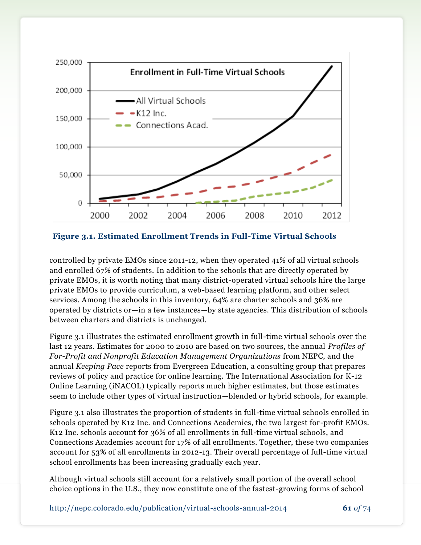

**Figure 3.1. Estimated Enrollment Trends in Full-Time Virtual Schools**

controlled by private EMOs since 2011-12, when they operated 41% of all virtual schools and enrolled 67% of students. In addition to the schools that are directly operated by private EMOs, it is worth noting that many district-operated virtual schools hire the large private EMOs to provide curriculum, a web-based learning platform, and other select services. Among the schools in this inventory, 64% are charter schools and 36% are operated by districts or—in a few instances—by state agencies. This distribution of schools between charters and districts is unchanged.

Figure 3.1 illustrates the estimated enrollment growth in full-time virtual schools over the last 12 years. Estimates for 2000 to 2010 are based on two sources, the annual *Profiles of For-Profit and Nonprofit Education Management Organizations* from NEPC, and the annual *Keeping Pace* reports from Evergreen Education, a consulting group that prepares reviews of policy and practice for online learning. The International Association for K-12 Online Learning (iNACOL) typically reports much higher estimates, but those estimates seem to include other types of virtual instruction—blended or hybrid schools, for example.

Figure 3.1 also illustrates the proportion of students in full-time virtual schools enrolled in schools operated by K12 Inc. and Connections Academies, the two largest for-profit EMOs. K12 Inc. schools account for 36% of all enrollments in full-time virtual schools, and Connections Academies account for 17% of all enrollments. Together, these two companies account for 53% of all enrollments in 2012-13. Their overall percentage of full-time virtual school enrollments has been increasing gradually each year.

Although virtual schools still account for a relatively small portion of the overall school choice options in the U.S., they now constitute one of the fastest-growing forms of school

http://nepc.colorado.edu/publication/virtual-schools-annual-2014 **61** *of* 74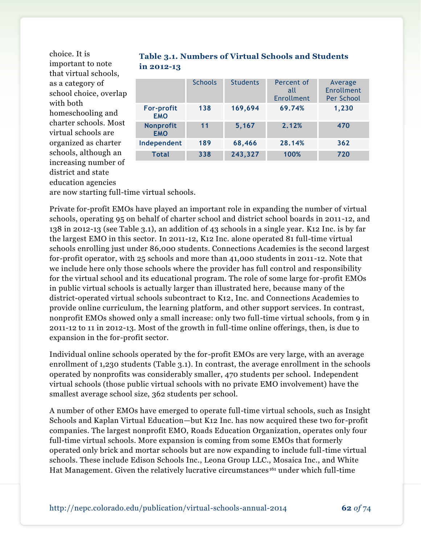choice. It is important to note that virtual schools, as a category of school choice, overlap with both homeschooling and charter schools. Most virtual schools are organized as charter schools, although an increasing number of district and state education agencies

| <b>Table 3.1. Numbers of Virtual Schools and Students</b> |  |
|-----------------------------------------------------------|--|
| in 2012-13                                                |  |

|                                 | <b>Schools</b> | <b>Students</b> | Percent of<br>all<br><b>Enrollment</b> | Average<br>Enrollment<br>Per School |
|---------------------------------|----------------|-----------------|----------------------------------------|-------------------------------------|
| <b>For-profit</b><br><b>EMO</b> | 138            | 169,694         | 69.74%                                 | 1,230                               |
| Nonprofit<br><b>EMO</b>         | 11             | 5,167           | 2.12%                                  | 470                                 |
| Independent                     | 189            | 68,466          | 28.14%                                 | 362                                 |
| <b>Total</b>                    | 338            | 243,327         | 100%                                   | 720                                 |

are now starting full-time virtual schools.

Private for-profit EMOs have played an important role in expanding the number of virtual schools, operating 95 on behalf of charter school and district school boards in 2011-12, and 138 in 2012-13 (see Table 3.1), an addition of 43 schools in a single year. K12 Inc. is by far the largest EMO in this sector. In 2011-12, K12 Inc. alone operated 81 full-time virtual schools enrolling just under 86,000 students. Connections Academies is the second largest for-profit operator, with 25 schools and more than 41,000 students in 2011-12. Note that we include here only those schools where the provider has full control and responsibility for the virtual school and its educational program. The role of some large for-profit EMOs in public virtual schools is actually larger than illustrated here, because many of the district-operated virtual schools subcontract to K12, Inc. and Connections Academies to provide online curriculum, the learning platform, and other support services. In contrast, nonprofit EMOs showed only a small increase: only two full-time virtual schools, from 9 in 2011-12 to 11 in 2012-13. Most of the growth in full-time online offerings, then, is due to expansion in the for-profit sector.

Individual online schools operated by the for-profit EMOs are very large, with an average enrollment of 1,230 students (Table 3.1). In contrast, the average enrollment in the schools operated by nonprofits was considerably smaller, 470 students per school. Independent virtual schools (those public virtual schools with no private EMO involvement) have the smallest average school size, 362 students per school.

A number of other EMOs have emerged to operate full-time virtual schools, such as Insight Schools and Kaplan Virtual Education—but K12 Inc. has now acquired these two for-profit companies. The largest nonprofit EMO, Roads Education Organization, operates only four full-time virtual schools. More expansion is coming from some EMOs that formerly operated only brick and mortar schools but are now expanding to include full-time virtual schools. These include Edison Schools Inc., Leona Group LLC., Mosaica Inc., and White Hat Management. Given the relatively lucrative circumstances<sup>161</sup> under which full-time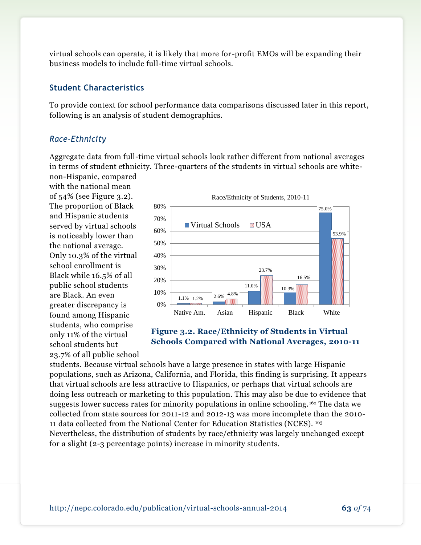virtual schools can operate, it is likely that more for-profit EMOs will be expanding their business models to include full-time virtual schools.

#### **Student Characteristics**

To provide context for school performance data comparisons discussed later in this report, following is an analysis of student demographics.

#### *Race-Ethnicity*

Aggregate data from full-time virtual schools look rather different from national averages in terms of student ethnicity. Three-quarters of the students in virtual schools are whitenon-Hispanic, compared

with the national mean of 54% (see Figure 3.2). The proportion of Black and Hispanic students served by virtual schools is noticeably lower than the national average. Only 10.3% of the virtual school enrollment is Black while 16.5% of all public school students are Black. An even greater discrepancy is found among Hispanic students, who comprise only 11% of the virtual school students but 23.7% of all public school



### **Figure 3.2. Race/Ethnicity of Students in Virtual Schools Compared with National Averages, 2010-11**

students. Because virtual schools have a large presence in states with large Hispanic populations, such as Arizona, California, and Florida, this finding is surprising. It appears that virtual schools are less attractive to Hispanics, or perhaps that virtual schools are doing less outreach or marketing to this population. This may also be due to evidence that suggests lower success rates for minority populations in online schooling. <sup>162</sup> The data we collected from state sources for 2011-12 and 2012-13 was more incomplete than the 2010- 11 data collected from the National Center for Education Statistics (NCES). <sup>163</sup> Nevertheless, the distribution of students by race/ethnicity was largely unchanged except for a slight (2-3 percentage points) increase in minority students.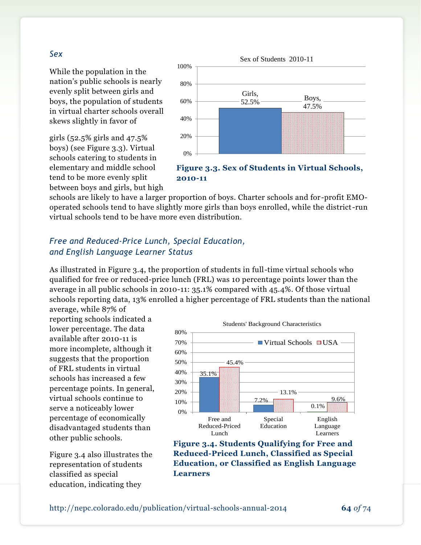#### *Sex*

While the population in the nation's public schools is nearly evenly split between girls and boys, the population of students in virtual charter schools overall skews slightly in favor of

girls (52.5% girls and 47.5% boys) (see Figure 3.3). Virtual schools catering to students in elementary and middle school tend to be more evenly split between boys and girls, but high



**Figure 3.3. Sex of Students in Virtual Schools, 2010-11**

schools are likely to have a larger proportion of boys. Charter schools and for -profit EMOoperated schools tend to have slightly more girls than boys enrolled, while the district-run virtual schools tend to be have more even distribution.

## *Free and Reduced-Price Lunch, Special Education, and English Language Learner Status*

As illustrated in Figure 3.4, the proportion of students in full-time virtual schools who qualified for free or reduced-price lunch (FRL) was 10 percentage points lower than the average in all public schools in 2010-11: 35.1% compared with 45.4%. Of those virtual schools reporting data, 13% enrolled a higher percentage of FRL students than the national average, while 87% of

reporting schools indicated a lower percentage. The data available after 2010-11 is more incomplete, although it suggests that the proportion of FRL students in virtual schools has increased a few percentage points. In general, virtual schools continue to serve a noticeably lower percentage of economically disadvantaged students than other public schools.

Figure 3.4 also illustrates the representation of students classified as special education, indicating they



**Figure 3.4. Students Qualifying for Free and Reduced-Priced Lunch, Classified as Special Education, or Classified as English Language Learners**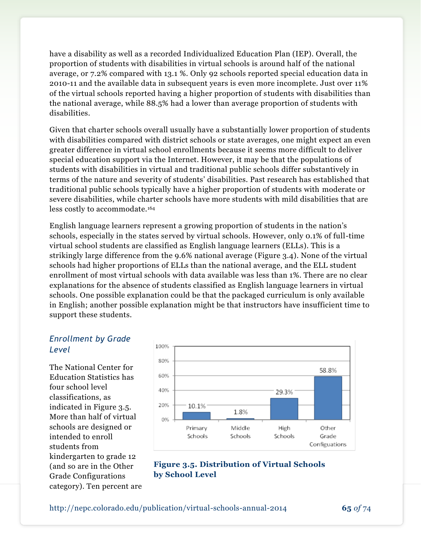have a disability as well as a recorded Individualized Education Plan (IEP). Overall, the proportion of students with disabilities in virtual schools is around half of the national average, or 7.2% compared with 13.1 %. Only 92 schools reported special education data in 2010-11 and the available data in subsequent years is even more incomplete. Just over 11% of the virtual schools reported having a higher proportion of students with disabilities than the national average, while 88.5% had a lower than average proportion of students with disabilities.

Given that charter schools overall usually have a substantially lower proportion of students with disabilities compared with district schools or state averages, one might expect an even greater difference in virtual school enrollments because it seems more difficult to deliver special education support via the Internet. However, it may be that the populations of students with disabilities in virtual and traditional public schools differ substantively in terms of the nature and severity of students' disabilities. Past research has established that traditional public schools typically have a higher proportion of students with moderate or severe disabilities, while charter schools have more students with mild disabilities that are less costly to accommodate.<sup>164</sup>

English language learners represent a growing proportion of students in the nation's schools, especially in the states served by virtual schools. However, only 0.1% of full-time virtual school students are classified as English language learners (ELLs). This is a strikingly large difference from the 9.6% national average (Figure 3.4). None of the virtual schools had higher proportions of ELLs than the national average, and the ELL student enrollment of most virtual schools with data available was less than 1%. There are no clear explanations for the absence of students classified as English language learners in virtual schools. One possible explanation could be that the packaged curriculum is only available in English; another possible explanation might be that instructors have insufficient time to support these students.

### *Enrollment by Grade Level*

The National Center for Education Statistics has four school level classifications, as indicated in Figure 3.5. More than half of virtual schools are designed or intended to enroll students from kindergarten to grade 12 (and so are in the Other Grade Configurations category). Ten percent are



**Figure 3.5. Distribution of Virtual Schools by School Level**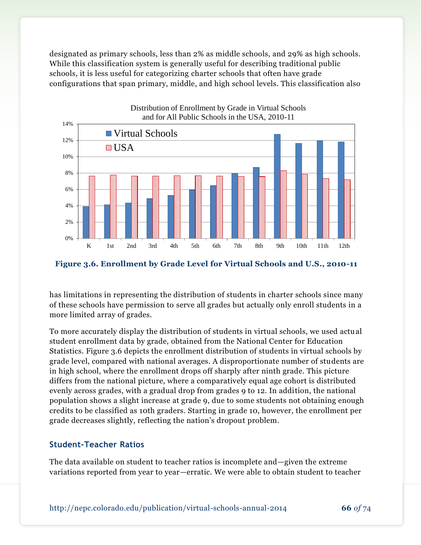designated as primary schools, less than 2% as middle schools, and 29% as high schools. While this classification system is generally useful for describing traditional public schools, it is less useful for categorizing charter schools that often have grade configurations that span primary, middle, and high school levels. This classification also





has limitations in representing the distribution of students in charter schools since many of these schools have permission to serve all grades but actually only enroll students in a more limited array of grades.

To more accurately display the distribution of students in virtual schools, we used actual student enrollment data by grade, obtained from the National Center for Education Statistics. Figure 3.6 depicts the enrollment distribution of students in virtual schools by grade level, compared with national averages. A disproportionate number of students are in high school, where the enrollment drops off sharply after ninth grade. This picture differs from the national picture, where a comparatively equal age cohort is distributed evenly across grades, with a gradual drop from grades 9 to 12. In addition, the national population shows a slight increase at grade 9, due to some students not obtaining enough credits to be classified as 10th graders. Starting in grade 10, however, the enrollment per grade decreases slightly, reflecting the nation's dropout problem.

### **Student-Teacher Ratios**

The data available on student to teacher ratios is incomplete and—given the extreme variations reported from year to year—erratic. We were able to obtain student to teacher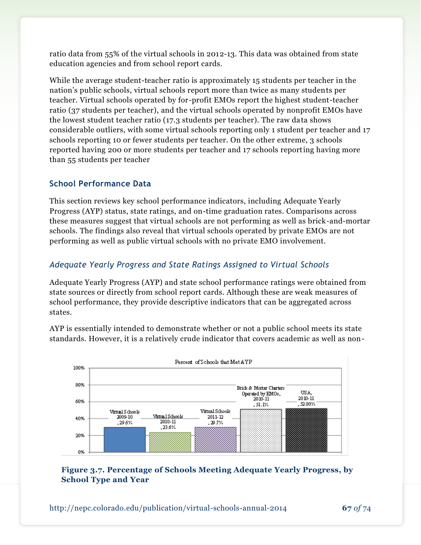ratio data from 55% of the virtual schools in 2012-13. This data was obtained from state education agencies and from school report cards.

While the average student-teacher ratio is approximately 15 students per teacher in the nation's public schools, virtual schools report more than twice as many students per teacher. Virtual schools operated by for-profit EMOs report the highest student-teacher ratio (37 students per teacher), and the virtual schools operated by nonprofit EMOs have the lowest student teacher ratio (17.3 students per teacher). The raw data shows considerable outliers, with some virtual schools reporting only 1 student per teacher and 17 schools reporting 10 or fewer students per teacher. On the other extreme, 3 schools reported having 200 or more students per teacher and 17 schools reporting having more than 55 students per teacher

### **School Performance Data**

This section reviews key school performance indicators, including Adequate Yearly Progress (AYP) status, state ratings, and on-time graduation rates. Comparisons across these measures suggest that virtual schools are not performing as well as brick-and-mortar schools. The findings also reveal that virtual schools operated by private EMOs are not performing as well as public virtual schools with no private EMO involvement.

### *Adequate Yearly Progress and State Ratings Assigned to Virtual Schools*

Adequate Yearly Progress (AYP) and state school performance ratings were obtained from state sources or directly from school report cards. Although these are weak measures of school performance, they provide descriptive indicators that can be aggregated across states.

AYP is essentially intended to demonstrate whether or not a public school meets its state standards. However, it is a relatively crude indicator that covers academic as well as non-



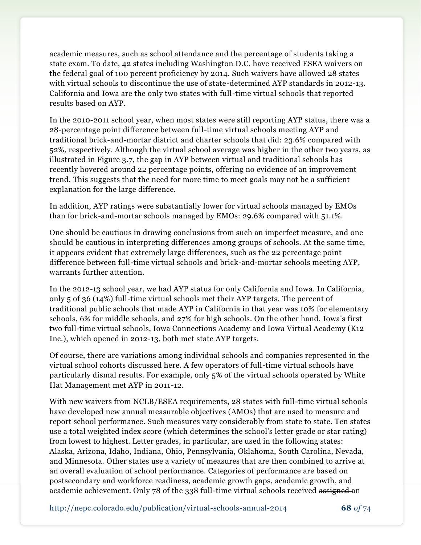academic measures, such as school attendance and the percentage of students taking a state exam. To date, 42 states including Washington D.C. have received ESEA waivers on the federal goal of 100 percent proficiency by 2014. Such waivers have allowed 28 states with virtual schools to discontinue the use of state-determined AYP standards in 2012-13. California and Iowa are the only two states with full-time virtual schools that reported results based on AYP.

In the 2010-2011 school year, when most states were still reporting AYP status, there was a 28-percentage point difference between full-time virtual schools meeting AYP and traditional brick-and-mortar district and charter schools that did: 23.6% compared with 52%, respectively. Although the virtual school average was higher in the other two years, as illustrated in Figure 3.7, the gap in AYP between virtual and traditional schools has recently hovered around 22 percentage points, offering no evidence of an improvement trend. This suggests that the need for more time to meet goals may not be a sufficient explanation for the large difference.

In addition, AYP ratings were substantially lower for virtual schools managed by EMOs than for brick-and-mortar schools managed by EMOs: 29.6% compared with 51.1%.

One should be cautious in drawing conclusions from such an imperfect measure, and one should be cautious in interpreting differences among groups of schools. At the same time, it appears evident that extremely large differences, such as the 22 percentage point difference between full-time virtual schools and brick-and-mortar schools meeting AYP, warrants further attention.

In the 2012-13 school year, we had AYP status for only California and Iowa. In California, only 5 of 36 (14%) full-time virtual schools met their AYP targets. The percent of traditional public schools that made AYP in California in that year was 10% for elementary schools, 6% for middle schools, and 27% for high schools. On the other hand, Iowa's first two full-time virtual schools, Iowa Connections Academy and Iowa Virtual Academy (K12 Inc.), which opened in 2012-13, both met state AYP targets.

Of course, there are variations among individual schools and companies represented in the virtual school cohorts discussed here. A few operators of full-time virtual schools have particularly dismal results. For example, only 5% of the virtual schools operated by White Hat Management met AYP in 2011-12.

With new waivers from NCLB/ESEA requirements, 28 states with full-time virtual schools have developed new annual measurable objectives (AMOs) that are used to measure and report school performance. Such measures vary considerably from state to state. Ten states use a total weighted index score (which determines the school's letter grade or star rating) from lowest to highest. Letter grades, in particular, are used in the following states: Alaska, Arizona, Idaho, Indiana, Ohio, Pennsylvania, Oklahoma, South Carolina, Nevada, and Minnesota. Other states use a variety of measures that are then combined to arrive at an overall evaluation of school performance. Categories of performance are based on postsecondary and workforce readiness, academic growth gaps, academic growth, and academic achievement. Only 78 of the 338 full-time virtual schools received assigned an

http://nepc.colorado.edu/publication/virtual-schools-annual-2014 **68** *of* 74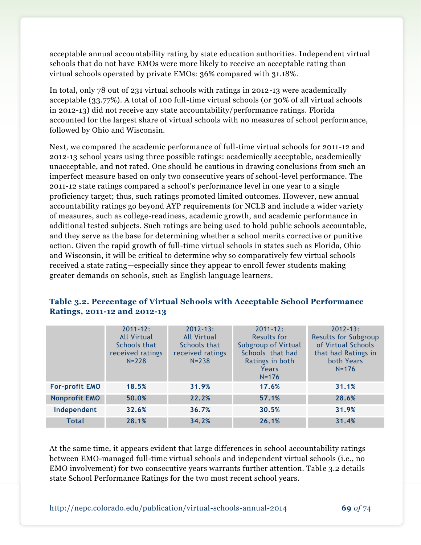acceptable annual accountability rating by state education authorities. Independent virtual schools that do not have EMOs were more likely to receive an acceptable rating than virtual schools operated by private EMOs: 36% compared with 31.18%.

In total, only 78 out of 231 virtual schools with ratings in 2012-13 were academically acceptable (33.77%). A total of 100 full-time virtual schools (or 30% of all virtual schools in 2012-13) did not receive any state accountability/performance ratings. Florida accounted for the largest share of virtual schools with no measures of school performance, followed by Ohio and Wisconsin.

Next, we compared the academic performance of full-time virtual schools for 2011-12 and 2012-13 school years using three possible ratings: academically acceptable, academically unacceptable, and not rated. One should be cautious in drawing conclusions from such an imperfect measure based on only two consecutive years of school-level performance. The 2011-12 state ratings compared a school's performance level in one year to a single proficiency target; thus, such ratings promoted limited outcomes. However, new annual accountability ratings go beyond AYP requirements for NCLB and include a wider variety of measures, such as college-readiness, academic growth, and academic performance in additional tested subjects. Such ratings are being used to hold public schools accountable, and they serve as the base for determining whether a school merits corrective or punitive action. Given the rapid growth of full-time virtual schools in states such as Florida, Ohio and Wisconsin, it will be critical to determine why so comparatively few virtual schools received a state rating—especially since they appear to enroll fewer students making greater demands on schools, such as English language learners.

|                       | $2011 - 12$ :      | $2012 - 13$ :      | $2011 - 12$ :       | $2012 - 13$ :               |
|-----------------------|--------------------|--------------------|---------------------|-----------------------------|
|                       | <b>All Virtual</b> | <b>All Virtual</b> | <b>Results for</b>  | <b>Results for Subgroup</b> |
|                       | Schools that       | Schools that       | Subgroup of Virtual | of Virtual Schools          |
|                       | received ratings   | received ratings   | Schools that had    | that had Ratings in         |
|                       | $N = 228$          | $N = 238$          | Ratings in both     | both Years                  |
|                       |                    |                    | Years               | $N = 176$                   |
|                       |                    |                    | $N = 176$           |                             |
| <b>For-profit EMO</b> | 18.5%              | 31.9%              | 17.6%               | 31.1%                       |
| <b>Nonprofit EMO</b>  | 50.0%              | 22.2%              | 57.1%               | 28.6%                       |
| Independent           | 32.6%              | 36.7%              | 30.5%               | 31.9%                       |
| <b>Total</b>          | 28.1%              | 34.2%              | 26.1%               | 31.4%                       |

### **Table 3.2. Percentage of Virtual Schools with Acceptable School Performance Ratings, 2011-12 and 2012-13**

At the same time, it appears evident that large differences in school accountability ratings between EMO-managed full-time virtual schools and independent virtual schools (i.e., no EMO involvement) for two consecutive years warrants further attention. Table 3.2 details state School Performance Ratings for the two most recent school years.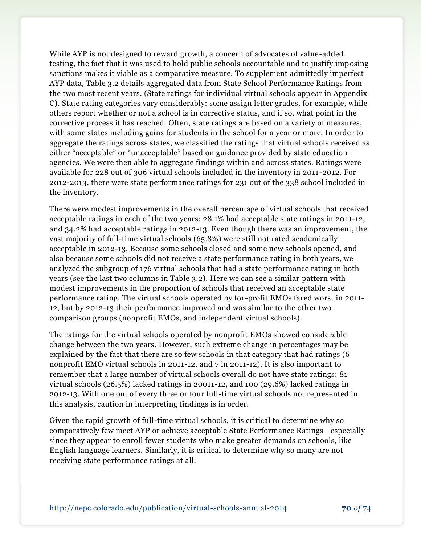While AYP is not designed to reward growth, a concern of advocates of value-added testing, the fact that it was used to hold public schools accountable and to justify imposing sanctions makes it viable as a comparative measure. To supplement admittedly imperfect AYP data, Table 3.2 details aggregated data from State School Performance Ratings from the two most recent years. (State ratings for individual virtual schools appear in Appendix C). State rating categories vary considerably: some assign letter grades, for example, while others report whether or not a school is in corrective status, and if so, what point in the corrective process it has reached. Often, state ratings are based on a variety of measures, with some states including gains for students in the school for a year or more. In order to aggregate the ratings across states, we classified the ratings that virtual schools received as either "acceptable" or "unacceptable" based on guidance provided by state education agencies. We were then able to aggregate findings within and across states. Ratings were available for 228 out of 306 virtual schools included in the inventory in 2011-2012. For 2012-2013, there were state performance ratings for 231 out of the 338 school included in the inventory.

There were modest improvements in the overall percentage of virtual schools that received acceptable ratings in each of the two years; 28.1% had acceptable state ratings in 2011-12, and 34.2% had acceptable ratings in 2012-13. Even though there was an improvement, the vast majority of full-time virtual schools (65.8%) were still not rated academically acceptable in 2012-13. Because some schools closed and some new schools opened, and also because some schools did not receive a state performance rating in both years, we analyzed the subgroup of 176 virtual schools that had a state performance rating in both years (see the last two columns in Table 3.2). Here we can see a similar pattern with modest improvements in the proportion of schools that received an acceptable state performance rating. The virtual schools operated by for-profit EMOs fared worst in 2011- 12, but by 2012-13 their performance improved and was similar to the other two comparison groups (nonprofit EMOs, and independent virtual schools).

The ratings for the virtual schools operated by nonprofit EMOs showed considerable change between the two years. However, such extreme change in percentages may be explained by the fact that there are so few schools in that category that had ratings (6 nonprofit EMO virtual schools in 2011-12, and 7 in 2011-12). It is also important to remember that a large number of virtual schools overall do not have state ratings: 81 virtual schools (26.5%) lacked ratings in 20011-12, and 100 (29.6%) lacked ratings in 2012-13. With one out of every three or four full-time virtual schools not represented in this analysis, caution in interpreting findings is in order.

Given the rapid growth of full-time virtual schools, it is critical to determine why so comparatively few meet AYP or achieve acceptable State Performance Ratings—especially since they appear to enroll fewer students who make greater demands on schools, like English language learners. Similarly, it is critical to determine why so many are not receiving state performance ratings at all.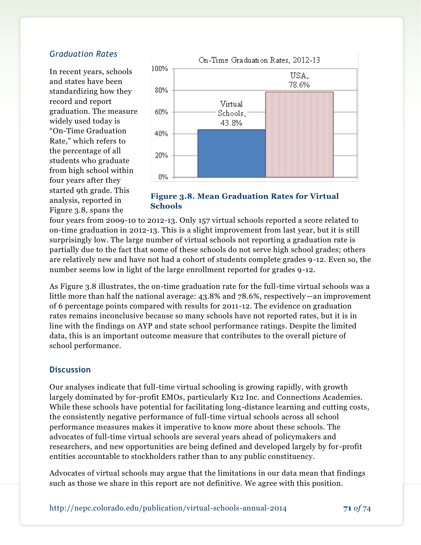#### *Graduation Rates*

In recent years, schools and states have been standardizing how they record and report graduation. The measure widely used today is "On-Time Graduation Rate," which refers to the percentage of all students who graduate from high school within four years after they started 9th grade. This analysis, reported in Figure 3.8, spans the



**Figure 3.8. Mean Graduation Rates for Virtual Schools**

four years from 2009-10 to 2012-13. Only 157 virtual schools reported a score related to on-time graduation in 2012-13. This is a slight improvement from last year, but it is still surprisingly low. The large number of virtual schools not reporting a graduation rate is partially due to the fact that some of these schools do not serve high school grades; others are relatively new and have not had a cohort of students complete grades 9-12. Even so, the number seems low in light of the large enrollment reported for grades 9-12.

As Figure 3.8 illustrates, the on-time graduation rate for the full-time virtual schools was a little more than half the national average: 43.8% and 78.6%, respectively—an improvement of 6 percentage points compared with results for 2011-12. The evidence on graduation rates remains inconclusive because so many schools have not reported rates, but it is in line with the findings on AYP and state school performance ratings. Despite the limited data, this is an important outcome measure that contributes to the overall picture of school performance.

#### **Discussion**

Our analyses indicate that full-time virtual schooling is growing rapidly, with growth largely dominated by for-profit EMOs, particularly K12 Inc. and Connections Academies. While these schools have potential for facilitating long-distance learning and cutting costs, the consistently negative performance of full-time virtual schools across all school performance measures makes it imperative to know more about these schools. The advocates of full-time virtual schools are several years ahead of policymakers and researchers, and new opportunities are being defined and developed largely by for -profit entities accountable to stockholders rather than to any public constituency.

Advocates of virtual schools may argue that the limitations in our data mean that findings such as those we share in this report are not definitive. We agree with this position.

http://nepc.colorado.edu/publication/virtual-schools-annual-2014 **71** *of* 74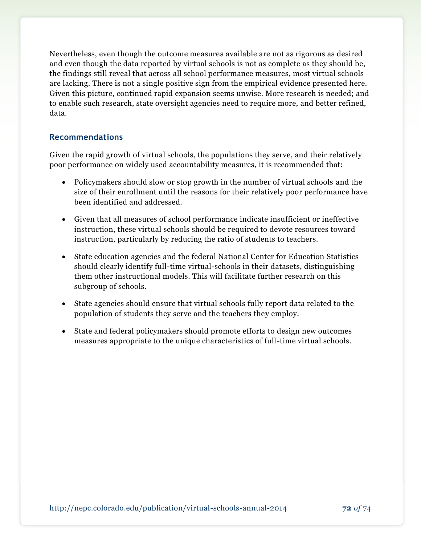Nevertheless, even though the outcome measures available are not as rigorous as desired and even though the data reported by virtual schools is not as complete as they should be, the findings still reveal that across all school performance measures, most virtual schools are lacking. There is not a single positive sign from the empirical evidence presented here. Given this picture, continued rapid expansion seems unwise. More research is needed; and to enable such research, state oversight agencies need to require more, and better refined, data.

#### **Recommendations**

Given the rapid growth of virtual schools, the populations they serve, and their relatively poor performance on widely used accountability measures, it is recommended that:

- Policymakers should slow or stop growth in the number of virtual schools and the size of their enrollment until the reasons for their relatively poor performance have been identified and addressed.
- Given that all measures of school performance indicate insufficient or ineffective instruction, these virtual schools should be required to devote resources toward instruction, particularly by reducing the ratio of students to teachers.
- State education agencies and the federal National Center for Education Statistics should clearly identify full-time virtual-schools in their datasets, distinguishing them other instructional models. This will facilitate further research on this subgroup of schools.
- State agencies should ensure that virtual schools fully report data related to the population of students they serve and the teachers they employ.
- State and federal policymakers should promote efforts to design new outcomes measures appropriate to the unique characteristics of full-time virtual schools.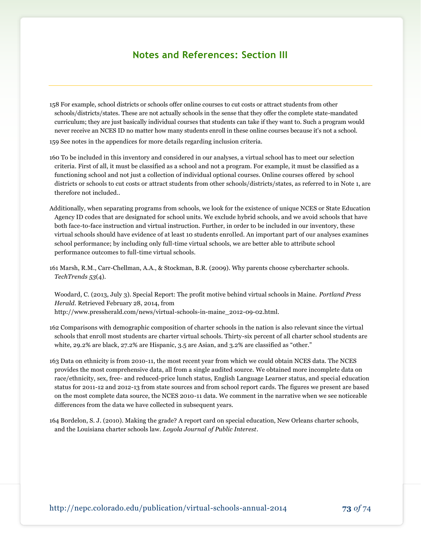## **Notes and References: Section III**

- 158 For example, school districts or schools offer online courses to cut costs or attract students from other schools/districts/states. These are not actually schools in the sense that they offer the complete state-mandated curriculum; they are just basically individual courses that students can take if they want to. Such a program would never receive an NCES ID no matter how many students enroll in these online courses because it's not a school.
- 159 See notes in the appendices for more details regarding inclusion criteria.
- 160 To be included in this inventory and considered in our analyses, a virtual school has to meet our selection criteria. First of all, it must be classified as a school and not a program. For example, it must be classified as a functioning school and not just a collection of individual optional courses. Online courses offered by school districts or schools to cut costs or attract students from other schools/districts/states, as referred to in Note 1, are therefore not included..
- Additionally, when separating programs from schools, we look for the existence of unique NCES or State Education Agency ID codes that are designated for school units. We exclude hybrid schools, and we avoid schools that have both face-to-face instruction and virtual instruction. Further, in order to be included in our inventory, these virtual schools should have evidence of at least 10 students enrolled. An important part of our analyses examines school performance; by including only full-time virtual schools, we are better able to attribute school performance outcomes to full-time virtual schools.
- 161 Marsh, R.M., Carr-Chellman, A.A., & Stockman, B.R. (2009). Why parents choose cybercharter schools. *TechTrends 53*(4).

Woodard, C. (2013, July 3). Special Report: The profit motive behind virtual schools in Maine. *Portland Press Herald*. Retrieved February 28, 2014, from [http://www.pressherald.com/news/virtual-schools-in-maine\\_2012-09-02.html.](http://www.pressherald.com/news/virtual-schools-in-maine_2012-09-02.html)

- 162 Comparisons with demographic composition of charter schools in the nation is also relevant since the virtual schools that enroll most students are charter virtual schools. Thirty-six percent of all charter school students are white, 29.2% are black, 27.2% are Hispanic, 3.5 are Asian, and 3.2% are classified as "other."
- 163 Data on ethnicity is from 2010-11, the most recent year from which we could obtain NCES data. The NCES provides the most comprehensive data, all from a single audited source. We obtained more incomplete data on race/ethnicity, sex, free- and reduced-price lunch status, English Language Learner status, and special education status for 2011-12 and 2012-13 from state sources and from school report cards. The figures we present are based on the most complete data source, the NCES 2010-11 data. We comment in the narrative when we see noticeable differences from the data we have collected in subsequent years.
- 164 Bordelon, S. J. (2010). Making the grade? A report card on special education, New Orleans charter schools, and the Louisiana charter schools law. *Loyola Journal of Public Interest*.